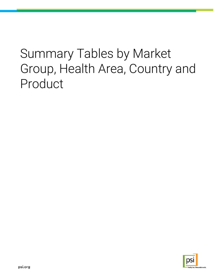# Summary Tables by Market Group, Health Area, Country and Product

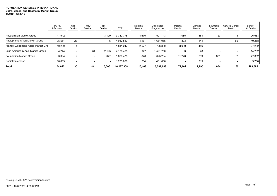#### **POPULATION SERVICES INTERNATIONAL CYPs, Cases, and Deaths by Market Group 1/2019 - 12/2019**

|                                    | New HIV<br>Infections | STI<br>Deaths  | <b>PWID</b><br>Deaths    | TB<br>Deaths   | $CYP^*$    | Maternal<br>Deaths | Unintended<br>Pregnancies | Malaria<br>Deaths | Diarrhea<br>Deaths | Pneumonia<br>Deaths | <b>Cervical Cancer</b><br>Death | Sum of<br>All Deaths |
|------------------------------------|-----------------------|----------------|--------------------------|----------------|------------|--------------------|---------------------------|-------------------|--------------------|---------------------|---------------------------------|----------------------|
| <b>Acceleration Market Group</b>   | 41,942                |                | $\overline{\phantom{0}}$ | 3,129          | 3,382,778  | 4,670              | 1,501,143                 | 1,085             | 564                | 123                 | 3                               | 26,663               |
| Anglophone Africa Market Group     | 95,551                | 23             |                          | 5 <sup>5</sup> | 4,012,517  | 4,161              | 1,661,065                 | 803               | 144                |                     | 55                              | 40,258               |
| Franco/Lusophone Africa Market Gro | 10,209                |                |                          | $\sim$         | 1,811,247  | 2,577              | 726,890                   | 8,990             | 456                |                     | $\overline{\phantom{a}}$        | 27,282               |
| Latin America & Asia Market Group  | 4,244                 |                | 48                       | 2,195          | 4,186,405  | 1,947              | 1,591,750                 | 3                 | 78                 |                     | $\overline{\phantom{a}}$        | 14,232               |
| <b>Foundation Market Group</b>     | 3,394                 | $\overline{2}$ | $\overline{\phantom{a}}$ | 677            | 1.600.475  | 1,878              | 625,204                   | 61,220            | 239                | 881                 |                                 | 77,362               |
| Social Enterprise                  | 18,683                |                | $\overline{\phantom{a}}$ | $\sim$         | 1,233,886  | 1,234              | 431,636                   |                   | 313                |                     |                                 | 3,788                |
| Total                              | 174.022               | 30             | 48                       | 6.006          | 16.227.308 | 16,468             | 6,537,688                 | 72.101            | 1,795              | 1.004               | 60                              | 189,585              |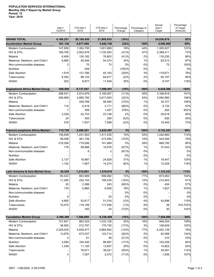# **POPULATION SERVICES INTERNATIONAL Monthly DALY Report by Market Group Period: 12**

**Year: 2019**

|                                       | <b>DALY</b><br>12/2019 | <b>YTD DALY</b><br>2018 | <b>YTD DALY</b><br>2019 | Percentage<br>Change | Percentage of<br>Category | Annual<br><b>DALY</b><br>Target | Percentage<br>of Target<br>Achieved |
|---------------------------------------|------------------------|-------------------------|-------------------------|----------------------|---------------------------|---------------------------------|-------------------------------------|
| <b>GRAND TOTAL</b>                    | 4,188,251              | 26,150,430              | 21,995,933              | (16%)                |                           | 24,036,878                      | 92%                                 |
| <b>Acceleration Market Group</b>      | 361,126                | 4,677,485               | 3,642,740               | (22%)                | 100%                      | 4,096,068                       | 89%                                 |
| Modern Contraception                  | 147,656                | 1,354,750               | 1,601,669               | 18%                  | 44%                       | 1,305,027                       | 123%                                |
| HIV & STIS                            | 189,765                | 2,922,876               | 1,720,293               | (41)%                | 47%                       | 2,388,411                       | 72%                                 |
| Malaria                               | 6,406                  | 130,182                 | 76,803                  | (41)%                | 2%                        | 116,230                         | 66%                                 |
| Maternal, Newborn, and Child H        | 8,885                  | 40,594                  | 54,374                  | 34%                  | 1%                        | 62,513                          | 87%                                 |
| Non-communicable diseases             | 2                      | 70                      | 73                      | 3%                   | 0%                        | 73                              | 100%                                |
| Nutrition                             |                        | 249                     |                         | (100)%               | 0%                        |                                 | 0%                                  |
| Safe Abortion                         | 1,918                  | 131,766                 | 93,163                  | (29)%                | 3%                        | 119,871                         | 78%                                 |
| Tuberculosis                          | 6,292                  | 88,122                  | 84,817                  | (4)%                 | 2%                        | 94,197                          | 90%                                 |
| WASH                                  | 202                    | 8,877                   | 11,548                  | 30%                  | 0%                        | 9,747                           | 118%                                |
|                                       |                        |                         |                         |                      |                           |                                 |                                     |
| <b>Anglophone Africa Market Group</b> | 508,500                | 8,737,057               | 7,098,951               | (19%)                | 100%                      | 6,838,586                       | 104%                                |
| Modern Contraception                  | 298,541                | 3,574,876               | 3,190,057               | (11)%                | 45%                       | 3,168,819                       | 101%                                |
| HIV & STIs                            | 206,969                | 4,895,700               | 3,817,645               | (22)%                | 54%                       | 3,592,960                       | 106%                                |
| Malaria                               |                        | 228,768                 | 56,590                  | (75)%                | 1%                        | 35,727                          | 158%                                |
| Maternal, Newborn, and Child H        | 116                    | 6,418                   | 2,171                   | (66)%                | 0%                        | 4,132                           | 53%                                 |
| Non-communicable diseases             | 7                      | 306                     | 1,457                   | 376%                 | 0%                        | 264                             | 552%                                |
| Safe Abortion                         | 2,326                  | 22.753                  | 23,148                  | 2%                   | 0%                        | 25,618                          | 90%                                 |
| Tuberculosis                          | 24                     | 300                     | 284                     | (5)%                 | 0%                        | 626                             | 45%                                 |
| <b>WASH</b>                           | 516                    | 7,937                   | 7,599                   | (4)%                 | 0%                        | 10,440                          | 73%                                 |
| Franco/Lusophone Africa Market (      | 715,759                | 2,498,201               | 2,625,497               | 5%                   | 100%                      | 2,722,253                       | 96%                                 |
| Modern Contraception                  | 136,838                | 1,231,563               | 1,411,435               | 15%                  | 54%                       | 1,242,892                       | 114%                                |
| HIV & STIS                            | 56,098                 | 461,736                 | 413,494                 | (10)%                | 16%                       | 543,046                         | 76%                                 |
| Malaria                               | 519,356                | 719,056                 | 741,889                 | 3%                   | 28%                       | 868,795                         | 85%                                 |
| Maternal, Newborn, and Child H        | 178                    | 58,996                  | 19,576                  | (67)%                | 1%                        | 37,043                          | 53%                                 |
| Non-communicable diseases             |                        | 6                       | 2                       | (67)%                | 0%                        |                                 | 0%                                  |
| <b>Nutrition</b>                      |                        |                         |                         | 0%                   | 0%                        |                                 | 0%                                  |
| Safe Abortion                         | 2,137                  | 18,987                  | 24,828                  | 31%                  | 1%                        | 18,447                          | 135%                                |
| <b>WASH</b>                           | 1,152                  | 7,857                   | 14,274                  | 82%                  | 1%                        | 12,029                          | 119%                                |
| Latin America & Asia Market Grou      | 92,055                 | 1,215,801               | 1,278,619               | 5%                   | 100%                      | 1,133,232                       | 113%                                |
| <b>Modern Contraception</b>           | 65,432                 | 803,569                 | 906,992                 | 13%                  | 71%                       | 873,063                         | 104%                                |
| HIV & STIs                            | 11,285                 | 232,104                 | 195,435                 | (16)%                | 15%                       | 214,953                         | 91%                                 |
| Malaria                               | 20                     | 2,386                   | 243                     | (90)%                | 0%                        | 424                             | 57%                                 |
| Maternal, Newborn, and Child H        | 176                    | 5,860                   | 6,929                   | 18%                  | 1%                        | 1,827                           | 379%                                |
| Non-communicable diseases             |                        |                         |                         | 0%                   | 0%                        |                                 | 0%                                  |
| Nutrition                             | 6                      |                         | 25                      | 0%                   | 0%                        |                                 | 0%                                  |
| Safe Abortion                         | 4,660                  | 52,617                  | 51,016                  | (3)%                 | 4%                        | 42,896                          | 119%                                |
| Tuberculosis                          | 10,475                 | 119,106                 | 117,936                 | (1)%                 | 9%                        | 38                              | 310,703%                            |
| <b>WASH</b>                           |                        | 160                     | 43                      | (73)%                | 0%                        | 30                              | 142%                                |
| <b>Foundation Market Group</b>        | 2,386,388              | 7,586,885               | 6,338,408               | (16%)                | 100%                      | 7,584,880                       | 84%                                 |
| <b>Modern Contraception</b>           | 101,601                | 863,324                 | 1,033,128               | 20%                  | 16%                       | 949,254                         | 109%                                |
| HIV & STIs                            | 36,955                 | 212,797                 | 175,730                 | (17)%                | 3%                        | 146,629                         | 120%                                |
| Malaria                               | 2,229,425              | 5,638,477               | 4,864,942               | (14)%                | 77%                       | 6,242,139                       | 78%                                 |
| Maternal, Newborn, and Child H        | 13,876                 | 673,037                 | 123,714                 | (82)%                | 2%                        | 92,588                          | 134%                                |
| Non-communicable diseases             | 4                      | 61                      | 48                      | (21)%                | 0%                        | 210                             | 23%                                 |
| Nutrition                             | 3,085                  | 104,340                 | 86,897                  | (17)%                | 1%                        | 103,209                         | 84%                                 |
| Safe Abortion                         | 1,438                  | 11,120                  | 13,857                  | 25%                  | 0%                        | 14,822                          | 93%                                 |
| Tuberculosis                          |                        | 76,671                  | 38,021                  | (50)%                | 1%                        | 34,091                          | 112%                                |
| <b>WASH</b>                           | 4                      | 7,057                   | 2,072                   | (71)%                | 0%                        | 1,936                           | 107%                                |
|                                       |                        |                         |                         |                      |                           |                                 |                                     |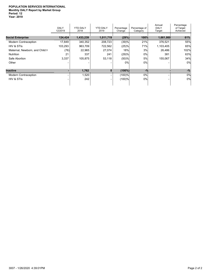|                                | <b>DALY</b><br>12/2019 | <b>YTD DALY</b><br>2018 | <b>YTD DALY</b><br>2019 | Percentage<br>Change | Percentage of<br>Category | Annual<br>DALY<br>Target | Percentage<br>of Target<br>Achieved |
|--------------------------------|------------------------|-------------------------|-------------------------|----------------------|---------------------------|--------------------------|-------------------------------------|
| <b>Social Enterprise</b>       | 124,424                | 1,433,239               | 1,011,719               | (29%)                | 100%                      | 1,661,860                | 61%                                 |
| <b>Modern Contraception</b>    | 17,849                 | 340,352                 | 208,723                 | (39)%                | 21%                       | 376,521                  | 55%                                 |
| HIV & STIS                     | 103,293                | 963,709                 | 722,562                 | (25)%                | 71%                       | 1,103,405                | 65%                                 |
| Maternal, Newborn, and Child H | (76)                   | 22,965                  | 27,074                  | 18%                  | 3%                        | 26,486                   | 102%                                |
| <b>Nutrition</b>               | 21                     | 337                     | 241                     | (29)%                | $0\%$                     | 381                      | 63%                                 |
| Safe Abortion                  | 3,337                  | 105,875                 | 53,118                  | (50)%                | 5%                        | 155,067                  | 34%                                 |
| Other                          |                        |                         |                         | $0\%$                | 0%                        |                          | 0%                                  |
| <b>Inactive</b>                |                        | 1,762                   | $\bf{0}$                | $(100\%)$            | $-$ %                     |                          | $-$ %                               |
| <b>Modern Contraception</b>    |                        | 1,520                   |                         | (100)%               | 0%                        |                          | 0%                                  |
| HIV & STIS                     |                        | 242                     |                         | (100)%               | 0%                        |                          | 0%                                  |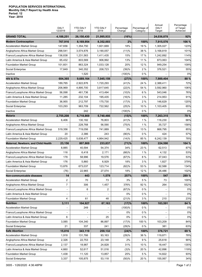|                                      | <b>DALY</b><br>12/2019   | <b>YTD DALY</b><br>2018 | <b>YTD DALY</b><br>2019 | Percentage<br>Change | Percentage of<br>Category | Annual<br><b>DALY</b><br>Target | Percentage<br>of Target<br>Achieved |
|--------------------------------------|--------------------------|-------------------------|-------------------------|----------------------|---------------------------|---------------------------------|-------------------------------------|
| <b>GRAND TOTAL</b>                   | 4,188,251                | 26,150,430              | 21,995,933              | (16%)                |                           | 24,036,878                      | 92%                                 |
| <b>Modern Contraception</b>          | 767,916                  | 8,169,954               | 8,352,003               | 2%                   | 100%                      | 7,915,576                       | 106 %                               |
| <b>Acceleration Market Group</b>     | 147,656                  | 1,354,750               | 1,601,669               | 18%                  | 19 %                      | 1.305.027                       | 123%                                |
| Anglophone Africa Market Group       | 298,541                  | 3,574,876               | 3,190,057               | (11)%                | 38 %                      | 3,168,819                       | 101%                                |
| Franco/Lusophone Africa Market Group | 136,838                  | 1,231,563               | 1,411,435               | 15%                  | 17 %                      | 1,242,892                       | 114%                                |
| Latin America & Asia Market Group    | 65,432                   | 803,569                 | 906,992                 | 13%                  | 11 %                      | 873,063                         | 104%                                |
| <b>Foundation Market Group</b>       | 101,601                  | 863,324                 | 1,033,128               | 20%                  | 12 %                      | 949,254                         | 109%                                |
| Social Enterprise                    | 17,849                   | 340,352                 | 208,723                 | (39)%                | 2%                        | 376,521                         | 55%                                 |
| Inactive                             |                          | 1,520                   |                         | (100)%               | $0\%$                     |                                 | 0%                                  |
| <b>HIV &amp; STIs</b>                | 604,365                  | 9,689,164               | 7,045,159               | (27)%                | 100%                      | 7,989,404                       | 88 %                                |
| <b>Acceleration Market Group</b>     | 189,765                  | 2,922,876               | 1,720,293               | (41)%                | 24 %                      | 2,388,411                       | 72%                                 |
| Anglophone Africa Market Group       | 206,969                  | 4,895,700               | 3,817,645               | (22)%                | 54 %                      | 3,592,960                       | 106%                                |
| Franco/Lusophone Africa Market Group | 56,098                   | 461,736                 | 413,494                 | (10)%                | 6 %                       | 543,046                         | 76%                                 |
| Latin America & Asia Market Group    | 11,285                   | 232,104                 | 195.435                 | (16)%                | 3%                        | 214,953                         | 91%                                 |
| <b>Foundation Market Group</b>       | 36,955                   | 212,797                 | 175,730                 | (17)%                | 2%                        | 146,629                         | 120%                                |
| Social Enterprise                    | 103,293                  | 963,709                 | 722,562                 | (25)%                | 10 %                      | 1,103,405                       | 65%                                 |
| Inactive                             |                          | 242                     |                         | (100)%               | $0\%$                     |                                 | 0%                                  |
| Malaria                              | 2,755,208                | 6,718,869               | 5,740,466               | (15)%                | 100%                      | 7,263,315                       | 79 %                                |
| <b>Acceleration Market Group</b>     | 6,406                    | 130,182                 | 76,803                  | (41)%                | 1%                        | 116,230                         | 66%                                 |
| Anglophone Africa Market Group       |                          | 228,768                 | 56,590                  | (75)%                | 1%                        | 35,727                          | 158%                                |
| Franco/Lusophone Africa Market Group | 519,356                  | 719,056                 | 741,889                 | 3%                   | 13 %                      | 868,795                         | 85%                                 |
| Latin America & Asia Market Group    | 20                       | 2,386                   | 243                     | (90)%                | $0\%$                     | 424                             | 57%                                 |
| <b>Foundation Market Group</b>       | 2,229,425                | 5,638,477               | 4,864,942               | (14)%                | 85 %                      | 6,242,139                       | 78%                                 |
| Maternal, Newborn, and Child Health  | 23,156                   | 807,869                 | 233,837                 | (71)%                | 100%                      | 224,590                         | 104 %                               |
| <b>Acceleration Market Group</b>     | 8,885                    | 40,594                  | 54,374                  | 34%                  | 23 %                      | 62,513                          | 87%                                 |
| Anglophone Africa Market Group       | 116                      | 6,418                   | 2,171                   | $(66)$ %             | 1%                        | 4,132                           | 53%                                 |
| Franco/Lusophone Africa Market Group | 178                      | 58,996                  | 19,576                  | (67)%                | 8%                        | 37,043                          | 53%                                 |
| Latin America & Asia Market Group    | 176                      | 5,860                   | 6,929                   | 18%                  | 3%                        | 1,827                           | 379%                                |
| <b>Foundation Market Group</b>       | 13,876                   | 673,037                 | 123,714                 | (82)%                | 53 %                      | 92,588                          | 134%                                |
| Social Enterprise                    | (76)                     | 22,965                  | 27,074                  | 18%                  | 12 %                      | 26,486                          | 102%                                |
| Non-communicable diseases            | 14                       | 443                     | 1,579                   | 257%                 | 100%                      | 547                             | 289 %                               |
| <b>Acceleration Market Group</b>     | 2                        | 70                      | 73                      | 3%                   | 5 %                       | 73                              | 100%                                |
| Anglophone Africa Market Group       | $\overline{7}$           | 306                     | 1,457                   | 376%                 | 92 %                      | 264                             | 552%                                |
| Franco/Lusophone Africa Market Group | $\overline{\phantom{a}}$ | 6                       | 2                       | (67)%                | $0\%$                     |                                 | 0%                                  |
| Latin America & Asia Market Group    | ÷,                       |                         | ä,                      | 0%                   | $0\%$                     |                                 | 0%                                  |
| <b>Foundation Market Group</b>       | 4                        | 61                      | 48                      | (21)%                | 3%                        | 210                             | 23%                                 |
| Nutrition                            | 3,111                    | 104,927                 | 87,163                  | (17)%                | 100%                      | 103,591                         | 84 %                                |
| <b>Acceleration Market Group</b>     |                          | 249                     |                         | (100)%               | $0\%$                     |                                 | 0%                                  |
| Franco/Lusophone Africa Market Group |                          |                         |                         | 0%                   | $0\%$                     | $\qquad \qquad \blacksquare$    | 0%                                  |
| Latin America & Asia Market Group    | 6                        |                         | 25                      | 0%                   | $0\%$                     |                                 | 0%                                  |
| <b>Foundation Market Group</b>       | 3,085                    | 104,340                 | 86,897                  | (17)%                | 100 %                     | 103,209                         | 84%                                 |
| Social Enterprise                    | 21                       | 337                     | 241                     | (29)%                | $0\%$                     | 381                             | 63%                                 |
| <b>Safe Abortion</b>                 | 15,816                   | 343,119                 | 259,132                 | $(24)\%$             | 100%                      | 376,721                         | 69 %                                |
| <b>Acceleration Market Group</b>     | 1,918                    | 131,766                 | 93,163                  | (29)%                | 36 %                      | 119,871                         | 78%                                 |
| Anglophone Africa Market Group       | 2,326                    | 22,753                  | 23,148                  | 2%                   | 9 %                       | 25,618                          | 90%                                 |
| Franco/Lusophone Africa Market Group | 2,137                    | 18,987                  | 24,828                  | 31%                  | 10 %                      | 18,447                          | 135%                                |
| Latin America & Asia Market Group    | 4,660                    | 52,617                  | 51,016                  | (3)%                 | 20 %                      | 42,896                          | 119%                                |
| <b>Foundation Market Group</b>       | 1,438                    | 11,120                  | 13,857                  | 25%                  | 5 %                       | 14,822                          | 93%                                 |
| Social Enterprise                    | 3,337                    | 105,875                 | 53,118                  | (50)%                | 20 %                      | 155,067                         | 34%                                 |
|                                      |                          |                         |                         |                      |                           |                                 |                                     |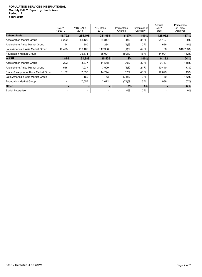|                                      | <b>DALY</b><br>12/2019 | <b>YTD DALY</b><br>2018 | <b>YTD DALY</b><br>2019 | Percentage<br>Change | Percentage of<br>Category | Annual<br><b>DALY</b><br>Target | Percentage<br>of Target<br>Achieved |
|--------------------------------------|------------------------|-------------------------|-------------------------|----------------------|---------------------------|---------------------------------|-------------------------------------|
| <b>Tuberculosis</b>                  | 16,792                 | 284,198                 | 241,059                 | (15)%                | 100%                      | 128,952                         | 187 %                               |
| <b>Acceleration Market Group</b>     | 6,292                  | 88,122                  | 84,817                  | (4)%                 | 35 %                      | 94,197                          | 90%                                 |
| Anglophone Africa Market Group       | 24                     | 300                     | 284                     | (5)%                 | $0\%$                     | 626                             | 45%                                 |
| Latin America & Asia Market Group    | 10,475                 | 119,106                 | 117,936                 | (1)%                 | 49 %                      | 38                              | 310,703%                            |
| <b>Foundation Market Group</b>       |                        | 76,671                  | 38,021                  | (50)%                | 16 %                      | 34,091                          | 112%                                |
| <b>WASH</b>                          | 1,874                  | 31,888                  | 35,536                  | 11%                  | 100%                      | 34,182                          | 104 %                               |
| <b>Acceleration Market Group</b>     | 202                    | 8,877                   | 11,548                  | 30%                  | 32 %                      | 9,747                           | 118%                                |
| Anglophone Africa Market Group       | 516                    | 7,937                   | 7,599                   | (4)%                 | 21 %                      | 10,440                          | 73%                                 |
| Franco/Lusophone Africa Market Group | 1,152                  | 7,857                   | 14,274                  | 82%                  | 40 %                      | 12,029                          | 119%                                |
| Latin America & Asia Market Group    | $\overline{a}$         | 160                     | 43                      | (73)%                | $0\%$                     | 30                              | 142%                                |
| <b>Foundation Market Group</b>       | 4                      | 7,057                   | 2,072                   | (71)%                | 6 %                       | 1,936                           | 107%                                |
| <b>Other</b>                         |                        |                         |                         | 0%                   | 0%                        |                                 | 0%                                  |
| Social Enterprise                    |                        |                         | -                       | $0\%$                | $0\%$                     | $\overline{\phantom{0}}$        | 0%                                  |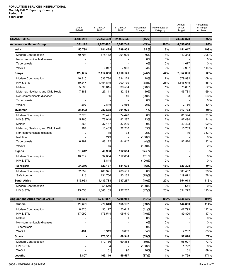|                                       | <b>DALY</b><br>12/2019 | <b>YTD DALY</b><br>2018 | <b>YTD DALY</b><br>2019 | Percentage<br>Change | Percentage of<br>Category | Annual<br><b>DALY</b><br>Target | Percentage<br>of Target<br>Achieved |
|---------------------------------------|------------------------|-------------------------|-------------------------|----------------------|---------------------------|---------------------------------|-------------------------------------|
| <b>GRAND TOTAL</b>                    | 4,188,251              | 26,150,430              | 21,995,933              | (16%)                |                           | 24,036,878                      | 92%                                 |
| <b>Acceleration Market Group</b>      | 361,126                | 4,677,485               | 3,642,740               | (22%)                | 100%                      | 4,096,068                       | 89%                                 |
| India                                 | 50,798                 | 181,428                 | 299,908                 | 65 %                 | 8%                        | 151,017                         | 199%                                |
| Modern Contraception                  | 50,798                 | 175,412                 | 291,926                 | 66%                  | 8%                        | 142,343                         | 205 %                               |
| Non-communicable diseases             |                        |                         |                         | 0%                   | 0%                        |                                 | $0\%$                               |
| <b>Tuberculosis</b>                   |                        |                         |                         | 0%                   | 0%                        | 1,677                           | $0\%$                               |
| <b>WASH</b>                           |                        | 6,017                   | 7,982                   | 33%                  | 0%                        | 6,997                           | 114 %                               |
| Kenya                                 | 129,685                | 2,114,656               | 1,610,141               | (24)%                | 44%                       | 2,352,036                       | 68%                                 |
| Modern Contraception                  | 46,810                 | 536,784                 | 634,129                 | 18%                  | 17%                       | 579,992                         | 109 %                               |
| HIV & STIs                            | 69,247                 | 1,454,845               | 900,739                 | (38)%                | 25%                       | 1,646,645                       | 55 %                                |
| Malaria                               | 5,538                  | 93,015                  | 39,504                  | (58)%                | 1%                        | 75,807                          | 52 %                                |
| Maternal, Newborn, and Child Health   | 7,888                  | 27,111                  | 32,163                  | 19%                  | 1%                        | 46,781                          | 69 %                                |
| Non-communicable diseases             |                        | 56                      | 40                      | (29)%                | 0%                        | 63                              | 63 %                                |
| Tuberculosis                          |                        |                         |                         | 0%                   | 0%                        |                                 | $0\%$                               |
| <b>WASH</b>                           | 202                    | 2,845                   | 3,566                   | 25%                  | 0%                        | 2,750                           | 130 %                               |
| Myanmar                               | 21,002                 | 282,568                 | 301,075                 | 7%                   | 8%                        | 317,773                         | 95%                                 |
| Modern Contraception                  | 7,378                  | 70,471                  | 74,428                  | 6%                   | 2%                        | 81,594                          | 91 %                                |
| HIV & STIs                            | 5,465                  | 73,048                  | 82,287                  | 13%                  | 2%                        | 87,494                          | 94 %                                |
| Malaria                               | 868                    | 37,167                  | 37,299                  | 0%                   | 1%                        | 40,423                          | 92 %                                |
| Maternal, Newborn, and Child Health   | 997                    | 13,483                  | 22,210                  | 65%                  | 1%                        | 15,733                          | 141 %                               |
| Non-communicable diseases             | 2                      | 15                      | 33                      | 125%                 | 0%                        | 10                              | 333 %                               |
| Nutrition                             |                        | 249                     |                         | (100)%               | 0%                        |                                 | 0%                                  |
| Tuberculosis                          | 6,292                  | 88,122                  | 84,817                  | (4)%                 | 2%                        | 92,520                          | 92 %                                |
| <b>WASH</b>                           |                        | 15                      |                         | (100)%               | 0%                        |                                 | $0\%$                               |
| Nigeria                               | 10,312                 | 40,908                  | 112,654                 | 175 %                | 3%                        |                                 | $-9/6$                              |
| Modern Contraception                  | 10,312                 | 32,064                  | 112,654                 | 251%                 | 3%                        |                                 | $0\%$                               |
| HIV & STIS                            |                        | 8,844                   |                         | (100)%               | 0%                        |                                 | $0\%$                               |
| <b>PSI Nigeria</b>                    | 34,276                 | 620,137                 | 581,695                 | (6)%                 | 16%                       | 620,328                         | 94%                                 |
| Modern Contraception                  | 32,359                 | 488,371                 | 488,531                 | 0%                   | 13%                       | 500,457                         | 98 %                                |
| Safe Abortion                         | 1,918                  | 131,766                 | 93,163                  | (29)%                | 3%                        | 119,871                         | 78 %                                |
| <b>South Africa</b>                   | 115,053                | 1,437,788               | 737,267                 | (49)%                | 20%                       | 654,913                         | 113%                                |
| <b>Modern Contraception</b>           |                        | 51,649                  |                         | (100)%               | 0%                        | 641                             | $0\%$                               |
| HIV & STIs                            | 115,053                | 1,386,139               | 737,267                 | (47)%                | 20%                       | 654,272                         | 113 %                               |
|                                       |                        |                         |                         |                      |                           |                                 |                                     |
| <b>Anglophone Africa Market Group</b> | 508,500                | 8,737,057               | 7,098,951               | (19%)                | 100%                      | 6,838,586                       | 104%                                |
| <b>Ethiopia</b>                       | 26,391                 | 270,640                 | 165,192                 | (39)%                | 2%                        | 144,850                         | 114%                                |
| Modern Contraception                  | 8,820                  | 90,177                  | 53,642                  | (41)%                | 1%                        | 47,793                          | 112 %                               |
| HIV & STIs                            | 17,090                 | 176,544                 | 105,510                 | (40)%                | $1\%$                     | 89,820                          | 117 %                               |
| Malaria                               |                        |                         | 1                       | 0%                   | 0%                        |                                 | $0\%$                               |
| Non-communicable diseases             |                        |                         |                         | 0%                   | 0%                        |                                 | $0\%$                               |
| Tuberculosis                          |                        |                         |                         | 0%                   | 0%                        |                                 | $0\%$                               |
| WASH                                  | 481                    | 3,919                   | 6,039                   | 54%                  | 0%                        | 7,237                           | 83 %                                |
| Ghana                                 |                        | 170,301                 | 69,948                  | (59)%                | 1%                        | 97,820                          | 72%                                 |
| Modern Contraception                  |                        | 170,186                 | 69,858                  | (59)%                | 1%                        | 95,927                          | 73 %                                |
| HIV & STIs                            |                        | 64                      |                         | (100)%               | 0%                        | 1,792                           | $0\%$                               |
| <b>WASH</b>                           |                        | 51                      | 90                      | 76%                  | 0%                        | 101                             | 89 %                                |
| Lesotho                               | 3,807                  | 469,110                 | 59,567                  | (87)%                | $1\%$                     | 34,799                          | 171%                                |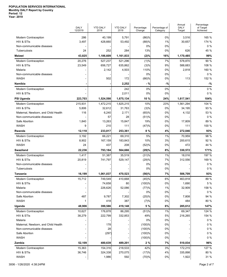|                                     | <b>DALY</b><br>12/2019 | <b>YTD DALY</b><br>2018 | <b>YTD DALY</b><br>2019 | Percentage<br>Change | Percentage of<br>Category | Annual<br><b>DALY</b><br>Target | Percentage<br>of Target<br>Achieved |
|-------------------------------------|------------------------|-------------------------|-------------------------|----------------------|---------------------------|---------------------------------|-------------------------------------|
| Modern Contraception                | 286                    | 40,199                  | 5,791                   | (86)%                | 0%                        | 3,516                           | 165 %                               |
| HIV & STIs                          | 3,497                  | 428,660                 | 53,492                  | (88)%                | 1%                        | 30,657                          | 174 %                               |
| Non-communicable diseases           |                        |                         |                         | 0%                   | 0%                        |                                 | 0%                                  |
| Tuberculosis                        | 24                     | 252                     | 284                     | 13%                  | 0%                        | 626                             | 45 %                                |
| <b>Malawi</b>                       | 43,825                 | 1,186,609               | 1,161,833               | (2)%                 | 16%                       | 1,170,485                       | 99%                                 |
| Modern Contraception                | 20,276                 | 527,237                 | 521,296                 | (1)%                 | 7%                        | 578,870                         | 90 %                                |
| HIV & STIs                          | 23,549                 | 656,727                 | 635,862                 | (3)%                 | 9%                        | 588,683                         | 108 %                               |
| Malaria                             |                        | 2,142                   | 4,503                   | 110%                 | 0%                        | 2,818                           | 160 %                               |
| Non-communicable diseases           |                        |                         |                         | 0%                   | 0%                        |                                 | $0\%$                               |
| <b>WASH</b>                         |                        | 502                     | 172                     | (66)%                | 0%                        | 113                             | 152 %                               |
| <b>Namibia</b>                      |                        |                         | 2,252                   | - %                  | $-$ %                     |                                 | $-$ %                               |
| Modern Contraception                |                        |                         | 242                     | 0%                   | 0%                        |                                 | 0%                                  |
| HIV & STIs                          |                        |                         | 2,011                   | 0%                   | 0%                        |                                 | $0\%$                               |
| <b>PSI Uganda</b>                   | 223,703                | 1,524,598               | 1,675,134               | 10 %                 | 24%                       | 1,617,541                       | 104%                                |
| <b>Modern Contraception</b>         | 215,931                | 1,472,215               | 1,625,215               | 10%                  | 23%                       | 1,561,294                       | 104 %                               |
| HIV & STIs                          | 5,806                  | 32,612                  | 31,763                  | (3)%                 | 0%                        | 34,195                          | 93 %                                |
| Maternal, Newborn, and Child Health | 116                    | 6,240                   | 2,171                   | (65)%                | 0%                        | 4,132                           | 53 %                                |
| Non-communicable diseases           |                        | 57                      | 28                      | (51)%                | 0%                        |                                 | $0\%$                               |
| Safe Abortion                       | 1,840                  | 13,263                  | 15,847                  | 19%                  | 0%                        | 17,809                          | 89 %                                |
| <b>WASH</b>                         | 9                      | 210                     | 111                     | (47)%                | 0%                        | 111                             | 100 %                               |
| Rwanda                              | 12,118                 | 233,817                 | 253,361                 | 8 %                  | 4%                        | 272,046                         | 93%                                 |
| Modern Contraception                | 3,192                  | 66,221                  | 69,310                  | 5%                   | 1%                        | 70,959                          | 98 %                                |
| HIV & STIs                          | 8,902                  | 167,159                 | 183,843                 | 10%                  | 3%                        | 200,615                         | 92 %                                |
| <b>WASH</b>                         | 24                     | 437                     | 208                     | (52)%                | 0%                        | 472                             | 44 %                                |
| Swaziland                           | 22,236                 | 793,184                 | 564,666                 | (29)%                | 8%                        | 330,572                         | 171%                                |
| Modern Contraception                | 1,417                  | 51,387                  | 35,519                  | (31)%                | 1%                        | 18,016                          | 197 %                               |
| HIV & STIs                          | 20,819                 | 741,797                 | 529,147                 | (29)%                | 7%                        | 312,556                         | 169 %                               |
| Non-communicable diseases           |                        |                         |                         | 0%                   | 0%                        |                                 | $0\%$                               |
| Tuberculosis                        |                        |                         |                         | 0%                   | 0%                        |                                 | $0\%$                               |
| Tanzania                            | 16,199                 | 1,061,037               | 470,523                 | (56)%                | 7%                        | 506,709                         | 93%                                 |
| <b>Modern Contraception</b>         | 15,712                 | 749.549                 | 410,668                 | (45)%                | 6%                        | 463,818                         | 89 %                                |
| HIV & STIs                          |                        | 74,658                  | 80                      | (100)%               | 0%                        | 1,690                           | 5 %                                 |
| Malaria                             |                        | 226,626                 | 52,086                  | (77)%                | 1%                        | 32,909                          | 158 %                               |
| Non-communicable diseases           |                        |                         |                         | 0%                   | 0%                        |                                 | $0\%$                               |
| Safe Abortion                       | 487                    | 9,787                   | 7,302                   | (25)%                | 0%                        | 7,808                           | 94 %                                |
| WASH                                | 1                      | 418                     | 387                     | (7)%                 | 0%                        | 484                             | 80 %                                |
| Uganda                              | 48,906                 | 399,586                 | 419,148                 | 5 %                  | 6%                        | 285,612                         | 147%                                |
| Modern Contraception                | 10,627                 | 176,878                 | 86,295                  | (51)%                | 1%                        | 69,347                          | 124 %                               |
| HIV & STIs                          | 38,279                 | 222,799                 | 332,853                 | 49%                  | 5%                        | 216,265                         | 154 %                               |
| Malaria                             |                        |                         |                         | 0%                   | 0%                        |                                 | $0\%$                               |
| Maternal, Newborn, and Child Health |                        | 178                     |                         | (100)%               | 0%                        |                                 | $0\%$                               |
| Non-communicable diseases           |                        | 28                      |                         | (100)%               | 0%                        |                                 | $0\%$<br>$0\%$                      |
| Safe Abortion<br>WASH               |                        | (297)                   |                         | (100)%<br>(100)%     | 0%<br>0%                  |                                 | $0\%$                               |
| Zambia                              | 52,109                 |                         |                         | 2%                   |                           |                                 | 96%                                 |
| Modern Contraception                | 15,363                 | 480,639<br>154,316      | 489,201                 | 42%                  | 7%<br>3%                  | 510,034<br>172,215              | 127 %                               |
| HIV & STIs                          | 36,746                 | 324,338                 | 218,533<br>270,075      | (17)%                | 4%                        | 335,898                         | 80 %                                |
| <b>WASH</b>                         |                        | 1,986                   | 592                     | (70)%                | 0%                        | 1,922                           | 31 %                                |
|                                     |                        |                         |                         |                      |                           |                                 |                                     |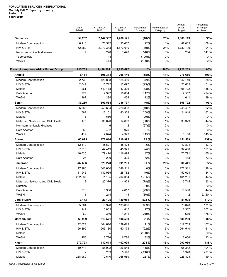|                                       | <b>DALY</b><br>12/2019 | <b>YTD DALY</b><br>2018 | <b>YTD DALY</b><br>2019 | Percentage<br>Change | Percentage of<br>Category | Annual<br>DALY<br>Target | Percentage<br>of Target<br>Achieved |
|---------------------------------------|------------------------|-------------------------|-------------------------|----------------------|---------------------------|--------------------------|-------------------------------------|
| <b>Zimbabwe</b>                       | 59,207                 | 2,147,537               | 1,768,125               | (18)%                | 25%                       | 1,868,119                | 95%                                 |
| Modern Contraception                  | 6,918                  | 76,512                  | 93,687                  | 22%                  | 1%                        | 87.065                   | 108 %                               |
| HIV & STIs                            | 52,282                 | 2,070,343               | 1,673,010               | (19)%                | 24%                       | 1,780,790                | 94 %                                |
| Non-communicable diseases             | 7                      | 220                     | 1,428                   | 548%                 | 0%                        | 264                      | 541 %                               |
| Tuberculosis                          |                        | 48                      |                         | (100)%               | 0%                        |                          | $0\%$                               |
| <b>WASH</b>                           |                        | 414                     |                         | (100)%               | 0%                        |                          | $0\%$                               |
| Franco/Lusophone Africa Market Group  | 715,759                | 2,498,201               | 2,625,497               | 5%                   | 100%                      | 2,722,253                | 96%                                 |
| Angola                                | 6,184                  | 698,314                 | 296,140                 | (58)%                | 11%                       | 276,666                  | 107%                                |
| Modern Contraception                  | 2,738                  | 126,838                 | 124,450                 | (2)%                 | 5%                        | 142,140                  | 88 %                                |
| HIV & STIs                            | 2,047                  | 15,712                  | 12,097                  | (23)%                | 0%                        | 23,605                   | 51 %                                |
| Malaria                               | 261                    | 549,478                 | 147,306                 | (73)%                | 6%                        | 106,722                  | 138 %                               |
| Safe Abortion                         | 977                    | 4,992                   | 10,834                  | 117%                 | 0%                        | 2,557                    | 424 %                               |
| <b>WASH</b>                           | 162                    | 1,294                   | 1,454                   | 12%                  | 0%                        | 1,641                    | 89 %                                |
| Benin                                 | 37,285                 | 303,564                 | 286,737                 | (6)%                 | 11%                       | 306,792                  | 93%                                 |
| Modern Contraception                  | 35,865                 | 250,634                 | 226,398                 | (10)%                | 9%                        | 245,407                  | 92 %                                |
| HIV & STIs                            | 767                    | 13,101                  | 40,358                  | 208%                 | 2%                        | 24,948                   | 162 %                               |
| Malaria                               | 3                      | 686                     | 8                       | (99)%                | 0%                        |                          | $0\%$                               |
| Maternal, Newborn, and Child Health   | 177                    | 36,620                  | 14,653                  | (60)%                | 1%                        | 33,329                   | 44 %                                |
| Non-communicable diseases             |                        | 6                       | 2                       | (67)%                | 0%                        |                          | $0\%$                               |
| Safe Abortion                         | 60                     | 492                     | 970                     | 97%                  | 0%                        |                          | $0\%$                               |
| <b>WASH</b>                           | 412                    | 2,024                   | 4,349                   | 115%                 | 0%                        | 3,108                    | 140 %                               |
| Burundi                               | 66,675                 | 172,616                 | 210,992                 | 22 %                 | 8%                        | 151,589                  | 139%                                |
| Modern Contraception                  | 12,119                 | 45,527                  | 48,423                  | 6%                   | 2%                        | 42,894                   | 113 %                               |
| HIV & STIs                            | 7,910                  | 47,419                  | 45,371                  | (4)%                 | 2%                        | 37,486                   | 121 %                               |
| Malaria                               | 46,620                 | 79,470                  | 116,894                 | 47%                  | 4%                        | 70,791                   | 165 %                               |
| Safe Abortion                         | 25                     | 200                     | 305                     | 52%                  | 0%                        | 418                      | 73 %                                |
| Cameroon                              | 232,586                | 529,278                 | 691,231                 | 31 %                 | 26%                       | 900,441                  | 77%                                 |
| Modern Contraception                  | 17,186                 | 348,630                 | 348,511                 | 0%                   | 13%                       | 272,311                  | 128 %                               |
| HIV & STIs                            | 11,945                 | 140,955                 | 128,782                 | (9)%                 | 5%                        | 152,624                  | 84 %                                |
| Malaria                               | 202,537                | 11,135                  | 204,354                 | 1,735%               | 8%                        | 461,281                  | 44 %                                |
| Maternal, Newborn, and Child Health   | 2                      | 22,376                  | 4,923                   | (78)%                | 0%                        | 3,715                    | 133 %                               |
| Nutrition                             |                        |                         |                         | 0%                   | 0%                        |                          | $0\%$                               |
| Safe Abortion<br><b>WASH</b>          | 916<br>1               | 5,968<br>214            | 4,617                   | (23)%                | $0\%$<br>0%               | 10,508                   | 44 %<br>2,120 %                     |
|                                       |                        |                         | 44                      | (80)%                |                           | 2                        |                                     |
| Cote d'Ivoire<br>Modern Contraception | 7,173                  | 23,105                  | 139,081                 | 502 %<br>603%        | $5\%$<br>$5\%$            | 81,095                   | 172%<br>171 %                       |
| HIV & STIs                            | 5,964<br>1,147         | 18,920<br>3,805         | 133,056<br>4,815        | 27%                  | $0\%$                     | 78,028<br>2,387          | 202 %                               |
| <b>WASH</b>                           | 62                     | 380                     | 1,211                   | 219%                 | $0\%$                     | 679                      | 178 %                               |
| Mozambique                            | 69,969                 | 513,571                 | 506,589                 | (1)%                 | 19%                       | 588,280                  | 86%                                 |
| <b>Modern Contraception</b>           | 42,624                 | 304,610                 | 339,629                 | 11%                  | 13%                       | 317,733                  | 107 %                               |
| HIV & STIs                            | 26,890                 | 205,130                 | 160,174                 | (22)%                | 6%                        | 264,540                  | 61 %                                |
| Malaria                               |                        | 95                      |                         | (100)%               | 0%                        |                          | $0\%$                               |
| <b>WASH</b>                           | 455                    | 3,736                   | 6,786                   | 82%                  | $0\%$                     | 6,006                    | 113 %                               |
| Niger                                 | 279,793                | 132,613                 | 402,999                 | 204 %                | 15%                       | 292,956                  | 138%                                |
| Modern Contraception                  | 10,714                 | 58,092                  | 126,545                 | 118%                 | $5\%$                     | 65,342                   | 194 %                               |
| HIV & STIs                            |                        | 239                     | 5,596                   | 2,246%               | $0\%$                     | 1,328                    | 421 %                               |
| Malaria                               | 268,989                | 70,640                  | 268,989                 | 281%                 | 10%                       | 225,393                  | 119 %                               |
|                                       |                        |                         |                         |                      |                           |                          |                                     |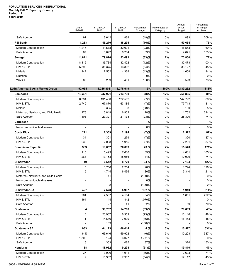|                                            | <b>DALY</b><br>12/2019  | <b>YTD DALY</b><br>2018 | <b>YTD DALY</b><br>2019 | Percentage<br>Change | Percentage of<br>Category | Annual<br><b>DALY</b><br>Target | Percentage<br>of Target<br>Achieved |
|--------------------------------------------|-------------------------|-------------------------|-------------------------|----------------------|---------------------------|---------------------------------|-------------------------------------|
| Safe Abortion                              | 91                      | 3,642                   | 1,868                   | (49)%                | 0%                        | 893                             | 209 %                               |
| <b>PSI Benin</b>                           | 1,283                   | 45,270                  | 38,235                  | (16)%                | 1%                        | 50,634                          | 76%                                 |
| Modern Contraception                       | 1,216                   | 41,578                  | 32,001                  | (23)%                | 1%                        | 46,563                          | 69 %                                |
| Safe Abortion                              | 67                      | 3,692                   | 6,234                   | 69%                  | 0%                        | 4,071                           | 153 %                               |
| Senegal                                    | 14,811                  | 79,870                  | 53,493                  | (33)%                | 2%                        | 73,800                          | 72%                                 |
| Modern Contraception                       | 8,412                   | 36,734                  | 32,422                  | (12)%                | 1%                        | 32,473                          | 100 %                               |
| HIV & STIs                                 | 5,393                   | 35,375                  | 16,302                  | (54)%                | 1%                        | 36,127                          | 45 %                                |
| Malaria                                    | 947                     | 7,552                   | 4,338                   | (43)%                | 0%                        | 4,608                           | 94 %                                |
| Nutrition                                  |                         |                         |                         | 0%                   | 0%                        |                                 | $0\%$                               |
| <b>WASH</b>                                | 60                      | 209                     | 431                     | 106%                 | 0%                        | 593                             | 73 %                                |
| Latin America & Asia Market Group          | 92,055                  | 1,215,801               | 1,278,619               | 5%                   | 100%                      | 1,133,232                       | 113%                                |
| Cambodia                                   | 10,361                  | 232,921                 | 213,730                 | (8)%                 | 17%                       | 250,805                         | 85%                                 |
| <b>Modern Contraception</b>                | 6,331                   | 131,480                 | 122,502                 | (7)%                 | 10%                       | 142,792                         | 86 %                                |
| HIV & STIs                                 | 2,749                   | 67,870                  | 63,185                  | (7)%                 | 5%                        | 77,713                          | 81 %                                |
| Malaria                                    |                         | 395                     | 8                       | (98)%                | 0%                        | 160                             | 5 %                                 |
| Maternal, Newborn, and Child Health        | 176                     | 5,849                   | 6,902                   | 18%                  | 1%                        | 1,752                           | 394 %                               |
| Safe Abortion                              | 1,105                   | 27,327                  | 21,133                  | (23)%                | 2%                        | 28,390                          | 74 %                                |
| Caribbean                                  |                         |                         |                         | $-$ %                | $-$ %                     |                                 | $-$ %                               |
| Non-communicable diseases                  |                         |                         |                         | 0%                   | 0%                        |                                 | $0\%$                               |
| <b>Costa Rica</b>                          | 271                     | 2,369                   | 2,194                   | (7)%                 | $-%$                      | 2,522                           | 87%                                 |
| Modern Contraception                       | 34                      | 301                     | 279                     | (7)%                 | 0%                        | 320                             | 87 %                                |
| HIV & STIs                                 | 236                     | 2,068                   | 1,915                   | (7)%                 | 0%                        | 2,201                           | 87 %                                |
| <b>Dominican Republic</b>                  | 383                     | 18,652                  | 26,603                  | 43 %                 | 2%                        | 15,540                          | 171%                                |
| Modern Contraception                       | 115                     | 5,499                   | 7,636                   | 39%                  | 1%                        | 4,631                           | 165 %                               |
| HIV & STIs                                 | 268                     | 13,153                  | 18,966                  | 44%                  | 1%                        | 10,909                          | 174 %                               |
| <b>El Salvador</b>                         | 10                      | 6,512                   | 8,720                   | 34 %                 | 1%                        | 7,134                           | 122%                                |
| Modern Contraception                       | 5                       | 1,756                   | 2,254                   | 28%                  | 0%                        | 1,794                           | 126 %                               |
| HIV & STIs                                 | 5                       | 4,744                   | 6,466                   | 36%                  | 1%                        | 5,340                           | 121 %                               |
| Maternal, Newborn, and Child Health        |                         | 11                      |                         | (100)%               | 0%                        |                                 | $0\%$                               |
| Non-communicable diseases<br>Safe Abortion |                         | 2                       |                         | 0%<br>(100)%         | 0%<br>$0\%$               |                                 | $0\%$<br>$0\%$                      |
| <b>El Salvador SA</b>                      | 427                     | 2,578                   | 5,987                   | 132 %                | $\mathcal{N}_0$           | 1,910                           | 314%                                |
| Modern Contraception                       | 261                     | 2,507                   | 4,104                   | 64%                  | 0%                        | 1,851                           | 222 %                               |
| HIV & STIs                                 | 164                     | 44                      | 1,842                   | 4,070%               | $0\%$                     |                                 | $0\%$                               |
| Safe Abortion                              | $\overline{\mathbf{c}}$ | 27                      | 41                      | 52%                  | $0\%$                     | 59                              | 70 %                                |
| Guatemala                                  | 4                       | 38,762                  | 14,268                  | (63)%                | 1%                        | 29,609                          | 48%                                 |
| Modern Contraception                       | 3                       | 23,967                  | 6,359                   | (73)%                | $0\%$                     | 13,146                          | 48 %                                |
| HIV & STIs                                 | 1                       | 14,686                  | 7,909                   | (46)%                | 1%                        | 16,463                          | 48 %                                |
| Safe Abortion                              |                         | 109                     |                         | (100)%               | $0\%$                     |                                 | $0\%$                               |
| Guatemala SA                               | 983                     | 64,123                  | 66,414                  | 4 %                  | 5%                        | 10,527                          | 631%                                |
| Modern Contraception                       | (341)                   | 63,646                  | 59,902                  | (6)%                 | 5%                        | 10,203                          | 587 %                               |
| HIV & STIs                                 | 1,308                   | 124                     | 6,027                   | 4,771%               | $0\%$                     |                                 | $0\%$                               |
| Safe Abortion                              | 16                      | 353                     | 485                     | 37%                  | $0\%$                     | 324                             | 150 %                               |
| <b>Honduras</b>                            | 38                      | 18,932                  | 9,298                   | (51)%                | 1%                        | 19,810                          | 47%                                 |
| Modern Contraception                       | 37                      | 3,000                   | 1,911                   | (36)%                | 0%                        | 2,693                           | 71 %                                |
| HIV & STIs                                 | 2                       | 15,932                  | 7,387                   | (54)%                | 1%                        | 17,117                          | 43 %                                |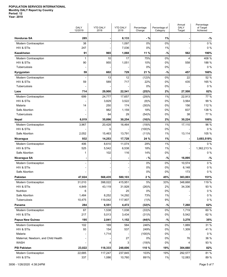|                                     | <b>DALY</b><br>12/2019 | <b>YTD DALY</b><br>2018 | <b>YTD DALY</b><br>2019 | Percentage<br>Change | Percentage of<br>Category | Annual<br><b>DALY</b><br>Target | Percentage<br>of Target<br>Achieved |
|-------------------------------------|------------------------|-------------------------|-------------------------|----------------------|---------------------------|---------------------------------|-------------------------------------|
| <b>Honduras SA</b>                  | 285                    |                         | 8,133                   | $-$ %                | 1%                        |                                 | $-$ %                               |
| Modern Contraception                | 38                     |                         | 1,097                   | 0%                   | 0%                        |                                 | $0\%$                               |
| HIV & STIs                          | 247                    |                         | 7,036                   | 0%                   | 1%                        |                                 | $0\%$                               |
| Kazakhstan                          | 91                     | 965                     | 1,068                   | 11 %                 | $-$ %                     | 562                             | 190%                                |
| Modern Contraception                | 1                      | 10                      | 17                      | 75%                  | 0%                        | 4                               | 408 %                               |
| HIV & STIs                          | 90                     | 955                     | 1,051                   | 10%                  | 0%                        | 558                             | 188 %                               |
| Tuberculosis                        |                        |                         |                         | 0%                   | 0%                        |                                 | $0\%$                               |
| Kyrgyzstan                          | 59                     | 602                     | 729                     | 21 %                 | $-%$                      | 457                             | 160%                                |
| Modern Contraception                |                        | 13                      | 12                      | (12)%                | 0%                        | 22                              | 52 %                                |
| HIV & STIs                          | 59                     | 589                     | 717                     | 22%                  | 0%                        | 435                             | 165 %                               |
| Tuberculosis                        |                        |                         |                         | 0%                   | 0%                        |                                 | 0%                                  |
| Laos                                | 714                    | 29,900                  | 22,541                  | (25)%                | 2%                        | 27,508                          | 82%                                 |
| Modern Contraception                | 699                    | 24,777                  | 17,657                  | (29)%                | 1%                        | 22,913                          | 77 %                                |
| HIV & STIs                          |                        | 3,829                   | 3,522                   | (8)%                 | 0%                        | 3,564                           | 99 %                                |
| Malaria                             | 14                     | 250                     | 174                     | (30)%                | 0%                        | 156                             | 112 %                               |
| Safe Abortion                       |                        | 982                     | 1,159                   | 18%                  | 0%                        | 837                             | 138 %                               |
| Tuberculosis                        |                        | 64                      | 29                      | (54)%                | 0%                        | 38                              | 77 %                                |
| <b>Nepal</b>                        | 6,019                  | 35,896                  | 30,254                  | (16)%                | 2%                        | 30,224                          | 100%                                |
| Modern Contraception                | 3,967                  | 20,428                  | 16,464                  | (19)%                | 1%                        | 17,110                          | 96 %                                |
| HIV & STIs                          |                        | 5                       |                         | (100)%               | 0%                        |                                 | $0\%$                               |
| Safe Abortion                       | 2,052                  | 15,463                  | 13,791                  | (11)%                | 1%                        | 13,114                          | 105 %                               |
| Nicaragua                           | 932                    | 14,253                  | 17,728                  | 24 %                 | 1%                        |                                 | 3,693,519%                          |
| Modern Contraception                | 406                    | 8,610                   | 11,074                  | 29%                  | 1%                        |                                 | $0\%$                               |
| HIV & STIs                          | 525                    | 5,542                   | 6,538                   | 18%                  | 1%                        |                                 | 1,362,213 %                         |
| Safe Abortion                       | 1                      | 102                     | 116                     | 14%                  | 0%                        |                                 | $0\%$                               |
| Nicaragua SA                        |                        |                         |                         | $-$ %                | $\mathcal{N}_0$           | 16,895                          | $-$ %                               |
| Modern Contraception                |                        |                         |                         | 0%                   | 0%                        | 10,574                          | $0\%$                               |
| HIV & STIs                          |                        |                         |                         | 0%                   | 0%                        | 6,148                           | $0\%$                               |
| Safe Abortion                       |                        |                         |                         | 0%                   | 0%                        | 173                             | 0%                                  |
| Pakistan                            | 47,824                 | 568,435                 | 580,103                 | 2%                   | 45%                       | 383,003                         | 151%                                |
| Modern Contraception                | 31,010                 | 398,022                 | 415,951                 | $5\%$                | 33%                       | 348,668                         | 119 %                               |
| HIV & STIs                          | 4,849                  | 43,119                  | 31,928                  | (26)%                | 2%                        | 34,336                          | 93 %                                |
| Nutrition                           | 6                      |                         | 25                      | 0%                   | 0%                        |                                 | $0\%$                               |
| Safe Abortion<br>Tuberculosis       | 1,484<br>10,475        | 8,252<br>119,042        | 14,292<br>117,907       | 73%<br>(1)%          | 1%<br>9%                  |                                 | $0\%$<br>$0\%$                      |
| Panama                              | 284                    | 6,551                   | 4,472                   | (32)%                | $\mathcal{N}_0$           | 7,260                           | 62%                                 |
| Modern Contraception                | 67                     | 1,538                   | 1,038                   | (33)%                | 0%                        | 1,719                           | 60 %                                |
| HIV & STIs                          | 217                    | 5,013                   | 3,434                   | (31)%                | 0%                        | 5,542                           | 62 %                                |
| <b>Papua New Guinea</b>             | 195                    | 2,041                   | 1,152                   | (44)%                | $\mathcal{N}_0$           | 3,278                           | 35%                                 |
| Modern Contraception                | 102                    | 169                     | 584                     | 246%                 | 0%                        | 1,889                           | 31 %                                |
| HIV & STIs                          | 93                     | 154                     | 537                     | 249%                 | 0%                        | 1,309                           | 41 %                                |
| Malaria                             |                        | 1,714                   |                         | (100)%               | 0%                        |                                 | $0\%$                               |
| Maternal, Newborn, and Child Health |                        |                         | 27                      | 0%                   | 0%                        | 76                              | 36 %                                |
| <b>WASH</b>                         |                        | 4                       | 3                       | (19)%                | 0%                        | 4                               | 93 %                                |
| <b>PSI Pakistan</b>                 | 23,022                 | 118,333                 | 248,606                 | 110 %                | 19%                       | 304,660                         | 82%                                 |
| Modern Contraception                | 22,685                 | 117,247                 | 237,845                 | 103%                 | 19%                       | 292,577                         | 81 %                                |
| HIV & STIs                          | 337                    | 1,086                   | 10,760                  | 891%                 | 1%                        | 12,083                          | 89 %                                |
|                                     |                        |                         |                         |                      |                           |                                 |                                     |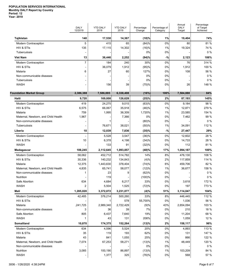|                                     | <b>DALY</b><br>12/2019 | <b>YTD DALY</b><br>2018 | <b>YTD DALY</b><br>2019 | Percentage<br>Change | Percentage of<br>Category | Annual<br><b>DALY</b><br>Target | Percentage<br>of Target<br>Achieved |
|-------------------------------------|------------------------|-------------------------|-------------------------|----------------------|---------------------------|---------------------------------|-------------------------------------|
| Tajikistan                          | 140                    | 17,530                  | 14,367                  | (18)%                | 1%                        | 19,404                          | 74%                                 |
| Modern Contraception                | 5                      | 415                     | 65                      | (84)%                | 0%                        | 80                              | 81 %                                |
| HIV & STIs                          | 135                    | 17,115                  | 14,302                  | (16)%                | 1%                        | 19,324                          | 74 %                                |
| Tuberculosis                        |                        |                         |                         | 0%                   | 0%                        |                                 | 0%                                  |
| <b>Viet Nam</b>                     | 13                     | 36,446                  | 2,252                   | (94)%                | $-%$                      | 2,123                           | 106%                                |
| Modern Contraception                | $\overline{7}$         | 184                     | 240                     | 30%                  | 0%                        | 76                              | 314 %                               |
| HIV & STIs                          |                        | 36,079                  | 1,912                   | (95)%                | 0%                        | 1,912                           | 100 %                               |
| Malaria                             | 6                      | 27                      | 60                      | 127%                 | 0%                        | 108                             | 56 %                                |
| Non-communicable diseases           |                        |                         |                         | 0%                   | 0%                        |                                 | 0%                                  |
| Tuberculosis                        |                        |                         |                         | 0%                   | 0%                        |                                 | 0%                                  |
| <b>WASH</b>                         |                        | 156                     | 39                      | (75)%                | 0%                        | 26                              | 148 %                               |
| <b>Foundation Market Group</b>      | 2,386,388              | 7,586,885               | 6,338,408               | (16%)                | 100%                      | 7,584,880                       | 84%                                 |
| Haiti                               | 9,720                  | 169,008                 | 126,628                 | (25)%                | 2%                        | 87,193                          | 145%                                |
| Modern Contraception                | 419                    | 24,275                  | 9,015                   | (63)%                | 0%                        | 9,184                           | 98 %                                |
| HIV & STIS                          | 6,575                  | 66,067                  | 35,918                  | (46)%                | 1%                        | 12,871                          | 279 %                               |
| Malaria                             | 759                    | 1,995                   | 36,309                  | 1,720%               | 1%                        | 23,585                          | 154 %                               |
| Maternal, Newborn, and Child Health | 1,967                  |                         | 7,366                   | 0%                   | 0%                        | 7,462                           | 99 %                                |
| Non-communicable diseases           |                        |                         |                         | (80)%                | 0%                        |                                 | 0%                                  |
| Tuberculosis                        |                        | 76,671                  | 38,021                  | (50)%                | 1%                        | 34,091                          | 112 %                               |
| Liberia                             | 10                     | 12,039                  | 7,836                   | (35)%                | $-$ %                     | 27,447                          | 29%                                 |
| Modern Contraception                |                        | 5,528                   | 3,547                   | (36)%                | 0%                        | 12,602                          | 28 %                                |
| HIV & STIs                          | 10                     | 6,378                   | 4,198                   | (34)%                | 0%                        | 14,733                          | 28 %                                |
| <b>WASH</b>                         |                        | 133                     | 91                      | (32)%                | 0%                        | 112                             | 81 %                                |
| Madagascar                          | 106,245                | 2,112,645               | 1,093,857               | (48)%                | 17%                       | 1,094,187                       | 100%                                |
| Modern Contraception                | 58,062                 | 452,712                 | 514,782                 | 14%                  | 8%                        | 476,130                         | 108 %                               |
| HIV & STIs                          | 30,336                 | 140,232                 | 134,843                 | (4)%                 | 2%                        | 117,859                         | 114 %                               |
| Malaria                             | 12,375                 | 1,443,630               | 378,404                 | (74)%                | 6%                        | 459,706                         | 82 %                                |
| Maternal, Newborn, and Child Health | 4,835                  | 65.741                  | 58,077                  | (12)%                | 1%                        | 36,677                          | 158 %                               |
| Non-communicable diseases           | 1                      | 23                      | 9                       | (62)%                | 0%                        |                                 | 0%                                  |
| Nutrition                           |                        | 119                     |                         | (100)%               | 0%                        |                                 | 0%                                  |
| Safe Abortion                       | 634                    | 4,684                   | 6,217                   | 33%                  | 0%                        | 3,618                           | 172 %                               |
| <b>WASH</b>                         | $\overline{2}$         | 5,504                   | 1,525                   | (72)%                | 0%                        | 197                             | 773 %                               |
| Mali                                | 1,285,020              | 3,372,072               | 3,231,077               | (4)%                 | 51%                       | 3,114,047                       | 104%                                |
| Modern Contraception                | 42,485                 | 376,214                 | 500,260                 | 33%                  | 8%                        | 446,445                         | 112 %                               |
| HIV & STIs                          |                        |                         | 578                     | 55,700%              | 0%                        | 1,036                           | 56 %                                |
| Malaria                             | ,241,725               | 2,989,340               | 2,722,429               | (9)%                 | 43%                       | 2,654,094                       | 103 %                               |
| Non-communicable diseases           | 3                      | 36                      | 39                      | 7%                   | 0%                        | 210                             | 18 %                                |
| Safe Abortion                       | 805                    | 6,437                   | 7,640                   | 19%                  | 0%                        | 11,204                          | 68 %                                |
| WASH                                | 1                      | 43                      | 131                     | 206%                 | 0%                        | 1,059                           | 12 %                                |
| Somaliland                          | 10,870                 | 174,375                 | 152,264                 | (13)%                | 2%                        | 158,117                         | 96%                                 |
| Modern Contraception                | 634                    | 4,596                   | 5,524                   | 20%                  | 0%                        | 4,893                           | 113 %                               |
| HIV & STIs                          | 35                     | 119                     | 193                     | 62%                  | 0%                        | 131                             | 147 %                               |
| Malaria                             | 43                     | 841                     | 1,055                   | 25%                  | 0%                        | 866                             | 122 %                               |
| Maternal, Newborn, and Child Health | 7,074                  | 67,253                  | 58,271                  | (13)%                | 1%                        | 48,449                          | 120 %                               |
| Non-communicable diseases           |                        |                         |                         | 0%                   | 0%                        |                                 | $0\%$                               |
| Nutrition                           | 3,085                  | 100,190                 | 86,897                  | (13)%                | 1%                        | 103,209                         | 84 %                                |
| WASH                                |                        | 1,377                   | 325                     | (76)%                | 0%                        | 568                             | 57 %                                |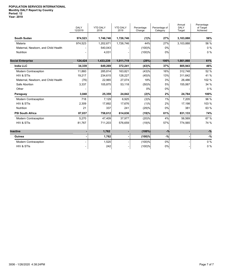|                                     | <b>DALY</b><br>12/2019 | <b>YTD DALY</b><br>2018 | <b>YTD DALY</b><br>2019 | Percentage<br>Change | Percentage of<br>Category | Annual<br><b>DALY</b><br>Target | Percentage<br>of Target<br>Achieved |
|-------------------------------------|------------------------|-------------------------|-------------------------|----------------------|---------------------------|---------------------------------|-------------------------------------|
| <b>South Sudan</b>                  | 974,523                | 1,746,746               | 1,726,746               | (1)%                 | 27%                       | 3,103,888                       | 56%                                 |
| Malaria                             | 974,523                | 1,202,671               | 1,726,746               | 44%                  | 27%                       | 3,103,888                       | 56 %                                |
| Maternal, Newborn, and Child Health |                        | 540,043                 |                         | (100)%               | 0%                        |                                 | $0\%$                               |
| <b>Nutrition</b>                    |                        | 4,031                   |                         | (100)%               | 0%                        |                                 | $0\%$                               |
| <b>Social Enterprise</b>            | 124,424                | 1,433,239               | 1,011,719               | (29%)                | 100%                      | 1,661,860                       | 61%                                 |
| <b>India LLC</b>                    | 34,339                 | 649,269                 | 372,241                 | (43)%                | 37%                       | 805,943                         | 46%                                 |
| Modern Contraception                | 11,860                 | 285,814                 | 163,821                 | (43)%                | 16%                       | 312,748                         | 52 %                                |
| HIV & STIS                          | 19,217                 | 234,615                 | 128,227                 | (45)%                | 13%                       | 311,642                         | 41 %                                |
| Maternal, Newborn, and Child Health | (76)                   | 22,965                  | 27,074                  | 18%                  | 3%                        | 26,486                          | 102 %                               |
| Safe Abortion                       | 3,337                  | 105,875                 | 53,118                  | (50)%                | 5%                        | 155,067                         | 34 %                                |
| Other                               |                        |                         |                         | 0%                   | 0%                        |                                 | $0\%$                               |
| Paraguay                            | 3,048                  | 25,359                  | 24,842                  | (2)%                 | 2%                        | 24,784                          | 100%                                |
| Modern Contraception                | 718                    | 7,129                   | 6,925                   | (3)%                 | 1%                        | 7,205                           | 96 %                                |
| HIV & STIS                          | 2,309                  | 17,892                  | 17,676                  | (1)%                 | 2%                        | 17,198                          | 103 %                               |
| <b>Nutrition</b>                    | 21                     | 337                     | 241                     | (29)%                | 0%                        | 381                             | 63 %                                |
| <b>PSI South Africa</b>             | 87,037                 | 758,612                 | 614,636                 | (19)%                | 61%                       | 831,133                         | 74%                                 |
| Modern Contraception                | 5,270                  | 47,409                  | 37,977                  | (20)%                | 4%                        | 56,569                          | 67 %                                |
| HIV & STIS                          | 81,767                 | 711,203                 | 576,659                 | (19)%                | 57%                       | 774,565                         | 74 %                                |
| <b>Inactive</b>                     |                        | 1,762                   |                         | $(100\%)$            | $-$ %                     |                                 | $-$ %                               |
| Guinea                              |                        | 1,762                   |                         | $(100)$ %            | $-%$                      |                                 | $-$ %                               |
| <b>Modern Contraception</b>         |                        | 1,520                   |                         | (100)%               | 0%                        |                                 | $0\%$                               |
| HIV & STIs                          |                        | 242                     |                         | (100)%               | $0\%$                     |                                 | $0\%$                               |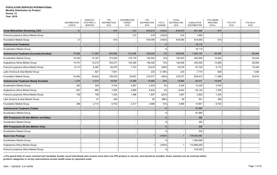|                                                      | <b>DISTRIBUTION</b><br>12/2019 | <b>MONTHLY</b><br>AVG PREV 3<br><b>MONTHS</b> | <b>YTD</b><br><b>DISTRIBUTION</b><br>2019 | <b>DISTRIBUTION</b><br><b>TARGET</b><br>2019 | <b>YTD</b><br><b>DISTRIBUTION</b><br>2018 | YTD <sub>%</sub><br>CHANGE | <b>TOTAL</b><br><b>DISTRIBUTION</b><br>2018 | <b>CUMULATIVE</b><br><b>DISTRIBUTION</b> | <b>YTD USERS</b><br><b>REACHED</b><br>2019(a) | <b>YTD CYP</b><br>2019 | <b>YTD DALY</b><br>2019 |
|------------------------------------------------------|--------------------------------|-----------------------------------------------|-------------------------------------------|----------------------------------------------|-------------------------------------------|----------------------------|---------------------------------------------|------------------------------------------|-----------------------------------------------|------------------------|-------------------------|
| <b>Acute Malnutrition Screening_CU5</b>              | 21                             |                                               | 410                                       | 312                                          | 619,573                                   | (100)%                     | 619,573                                     | 621,360                                  | 410                                           |                        |                         |
| Franco/Lusophone Africa Market Group                 |                                |                                               |                                           | 312                                          | 518                                       | (100)%                     | 518                                         | 1,895                                    |                                               |                        |                         |
| <b>Foundation Market Group</b>                       | 21                             |                                               | 410                                       |                                              | 619,055                                   | (100)%                     | 619,055                                     | 619,465                                  | 410                                           |                        |                         |
| <b>Antiretroviral Treatment</b>                      |                                |                                               |                                           |                                              |                                           | $-$ %                      |                                             | 18,119                                   |                                               |                        |                         |
| <b>Acceleration Market Group</b>                     |                                |                                               |                                           |                                              |                                           | $-$ %                      |                                             | 18,119                                   |                                               |                        |                         |
| <b>Antiretroviral Treatment (Currently Enrolled)</b> | 70,958                         | 71,395                                        | 545,956                                   | 313,246                                      | 535,855                                   | 2%                         | 535,855                                     | 1,554,153                                | 45,496                                        |                        | 98,464                  |
| <b>Acceleration Market Group</b>                     | 15,532                         | 15,167                                        | 174,024                                   | 170,176                                      | 152,003                                   | 14%                        | 152,003                                     | 402,508                                  | 14,502                                        |                        | 34,444                  |
| Anglophone Africa Market Group                       | 14,751                         | 14,210                                        | 163,277                                   | 105,390                                      | 148,026                                   | 10%                        | 148,026                                     | 430,536                                  | 13,606                                        |                        | 29,008                  |
| Franco/Lusophone Africa Market Group                 | 6,113                          | 6,367                                         | 62,079                                    | 7,723                                        | 19,016                                    | 226%                       | 19,016                                      | 87,725                                   | 5,173                                         |                        | 10,345                  |
| Latin America & Asia Market Group                    |                                | 827                                           | 7,541                                     |                                              | 233                                       | 3,136%                     | 233                                         | 7,774                                    | 628                                           |                        | 1,049                   |
| <b>Foundation Market Group</b>                       | 34,562                         | 34,824                                        | 139,035                                   | 29,957                                       | 216,577                                   | (36)%                      | 216,577                                     | 625,610                                  | 11,586                                        |                        | 23,619                  |
| <b>Antiretroviral Treatment (Newly Enrolled)</b>     | 1,275                          | 3,314                                         | 19,554                                    | 13,389                                       | 15,865                                    | 23%                        | 15,865                                      | 62,517                                   | 19,554                                        |                        |                         |
| <b>Acceleration Market Group</b>                     | 263                            | 309                                           | 3,744                                     | 3,981                                        | 3,434                                     | 9%                         | 3,434                                       | 13,330                                   | 3,744                                         |                        |                         |
| Anglophone Africa Market Group                       | 607                            | 685                                           | 7,255                                     | 4,695                                        | 6,634                                     | 9%                         | 6,634                                       | 30,120                                   | 7,255                                         |                        |                         |
| Franco/Lusophone Africa Market Group                 | 139                            | 159                                           | 1,404                                     | 1,396                                        | 1,807                                     | (22)%                      | 1,807                                       | 3,625                                    | 1,404                                         |                        |                         |
| Latin America & Asia Market Group                    |                                | 47                                            | 449                                       |                                              | 92                                        | 388%                       | 92                                          | 541                                      | 449                                           |                        |                         |
| <b>Foundation Market Group</b>                       | 266                            | 2,114                                         | 6,702                                     | 3,317                                        | 3,898                                     | 72%                        | 3,898                                       | 14,901                                   | 6,702                                         |                        |                         |
| <b>Antiretroviral Treatment (Tablet)</b>             |                                |                                               |                                           |                                              |                                           | $-$ %                      |                                             | 97,980                                   |                                               |                        |                         |
| <b>Acceleration Market Group</b>                     |                                |                                               |                                           |                                              |                                           | $-$ %                      |                                             | 97,980                                   |                                               |                        |                         |
| ARV Prophylaxis 28 wks (Mother and Baby)             |                                |                                               |                                           |                                              |                                           | $-9/0$                     |                                             | 382                                      |                                               |                        |                         |
| <b>Acceleration Market Group</b>                     |                                |                                               |                                           |                                              |                                           | $-9/6$                     |                                             | 382                                      |                                               |                        |                         |
| ARV Prophylaxis 28 wks (Mother Only)                 |                                |                                               |                                           |                                              |                                           | $-9/0$                     |                                             | 359                                      |                                               |                        |                         |
| <b>Acceleration Market Group</b>                     |                                |                                               |                                           |                                              |                                           | $-9/6$                     |                                             | 359                                      |                                               |                        |                         |
| <b>Basic Care Package</b>                            |                                |                                               |                                           |                                              |                                           | (100)%                     | $\overline{1}$                              | 176,452,482                              |                                               |                        |                         |
| <b>Acceleration Market Group</b>                     |                                |                                               |                                           |                                              |                                           | $-9/6$                     |                                             | 1,064,698                                |                                               |                        |                         |
| Anglophone Africa Market Group                       |                                |                                               |                                           |                                              |                                           | (100)%                     | $\mathbf{1}$                                | 174,969,459                              |                                               |                        |                         |
| Franco/Lusophone Africa Market Group                 |                                |                                               |                                           |                                              |                                           | $-$ %                      |                                             | 418,325                                  |                                               |                        |                         |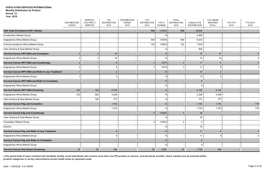|                                                        | <b>DISTRIBUTION</b> | <b>MONTHLY</b><br>AVG PREV 3 | <b>YTD</b><br><b>DISTRIBUTION</b> | <b>DISTRIBUTION</b><br><b>TARGET</b> | <b>YTD</b><br><b>DISTRIBUTION</b> | YTD %           | <b>TOTAL</b><br><b>DISTRIBUTION</b> | <b>CUMULATIVE</b>   | <b>YTD USERS</b><br><b>REACHED</b> | <b>YTD CYP</b> | <b>YTD DALY</b> |
|--------------------------------------------------------|---------------------|------------------------------|-----------------------------------|--------------------------------------|-----------------------------------|-----------------|-------------------------------------|---------------------|------------------------------------|----------------|-----------------|
|                                                        | 12/2019             | <b>MONTHS</b>                | 2019                              | 2019                                 | 2018                              | CHANGE          | 2018                                | <b>DISTRIBUTION</b> | 2019(a)                            | 2019           | 2019            |
| CD4 Tests Provided to HIV+ Clients                     |                     |                              |                                   |                                      | 666                               | (100)%          | 666                                 | 16,834              |                                    |                |                 |
| Acceleration Market Group                              |                     |                              |                                   |                                      |                                   | $-$ %           |                                     | 4,995               |                                    |                |                 |
| Anglophone Africa Market Group                         |                     |                              |                                   |                                      | 544                               | $(100)$ %       | 544                                 | 9,416               |                                    |                |                 |
| Franco/Lusophone Africa Market Group                   |                     |                              |                                   |                                      | 122                               | $(100)\%$       | 122                                 | 1,919               |                                    |                |                 |
| Latin America & Asia Market Group                      |                     |                              |                                   |                                      |                                   | $-$ %           |                                     | 504                 |                                    |                |                 |
| <b>Cervical Cancer-HPV DNA and Conization</b>          | 3                   | $\overline{2}$               | 10                                |                                      |                                   | $-9/6$          |                                     | 10                  | 10                                 |                |                 |
| Anglophone Africa Market Group                         | 3                   | 2                            | 10                                |                                      |                                   | $-$ %           |                                     | 10                  | 10                                 |                |                 |
| <b>Cervical Cancer-HPV DNA and Cryotherapy</b>         | $\overline{2}$      |                              | 8                                 |                                      |                                   | 167%            | $\mathbf{3}$                        | 11                  | 8                                  |                |                 |
| Anglophone Africa Market Group                         | $\mathcal{P}$       |                              | 8                                 |                                      |                                   | 167%            | 3                                   | 11                  | 8                                  |                |                 |
| Cervical Cancer-HPV DNA and Refer to any Treatment     |                     |                              | $\overline{2}$                    |                                      |                                   | $-$ %           |                                     | 13                  | 2                                  |                |                 |
| Anglophone Africa Market Group                         |                     |                              |                                   |                                      |                                   | $-$ %           |                                     | 13                  |                                    |                |                 |
| <b>Cervical Cancer-HPV DNA and Refer to Conization</b> |                     |                              |                                   |                                      |                                   | $-9/0$          |                                     | 9                   |                                    |                |                 |
| Anglophone Africa Market Group                         |                     |                              |                                   |                                      |                                   | $-$ %           |                                     | c                   |                                    |                |                 |
| <b>Cervical Cancer-HPV DNA Screening</b>               | 333                 | 728                          | 4,123                             |                                      |                                   | $-9/0$          |                                     | 4,123               | 4,123                              |                |                 |
| Anglophone Africa Market Group                         | 333                 | 582                          | 3,346                             |                                      |                                   | $-$ %           |                                     | 3,346               | 3,346                              |                |                 |
| Latin America & Asia Market Group                      |                     | 146                          | 777                               |                                      |                                   | $-$ %           |                                     | 777                 | 777                                |                |                 |
| <b>Cervical Cancer-Pap and Conization</b>              |                     |                              | 1,753                             |                                      |                                   | $- \frac{0}{0}$ |                                     | 1,753               | 1,753                              |                | 778             |
| Anglophone Africa Market Group                         |                     |                              | 1,753                             |                                      |                                   | $-$ %           |                                     | 1,753               | 1,753                              |                | 778             |
| <b>Cervical Cancer-Pap and Cryotherapy</b>             |                     |                              |                                   |                                      |                                   | (100)%          | $\overline{4}$                      | 39                  |                                    |                |                 |
| Latin America & Asia Market Group                      |                     |                              |                                   |                                      |                                   | $-$ %           |                                     | 25                  |                                    |                |                 |
| <b>Foundation Market Group</b>                         |                     |                              |                                   |                                      | Δ                                 | $(100)\%$       | $\overline{\mathbf{4}}$             | ⊿                   |                                    |                |                 |
| Inactive                                               |                     |                              |                                   |                                      |                                   | $-$ %           |                                     | 10                  |                                    |                |                 |
| Cervical Cancer-Pap and Refer to any Treatment         |                     |                              | 9                                 |                                      |                                   | $-9/0$          |                                     | 11                  | 9                                  |                |                 |
| Anglophone Africa Market Group                         |                     |                              | 9                                 |                                      |                                   | $-$ %           |                                     | 11                  | 9                                  |                |                 |
| <b>Cervical Cancer-Pap and Refer to Conization</b>     |                     |                              |                                   |                                      |                                   | $-9/0$          |                                     | 9                   |                                    |                |                 |
| Anglophone Africa Market Group                         |                     |                              |                                   |                                      |                                   | $-$ %           |                                     | c                   |                                    |                |                 |
| <b>Cervical Cancer-Pap Smear Screening</b>             | 30 <sup>°</sup>     | 58                           | 438                               |                                      | 92                                | 376%            | 92                                  | 7,795               | 438                                |                |                 |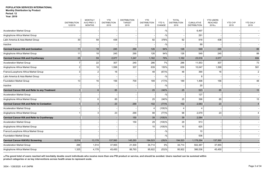**Year: 2019**

|                                                    | <b>DISTRIBUTION</b> | <b>MONTHLY</b><br>AVG PREV 3 | <b>YTD</b><br><b>DISTRIBUTION</b> | <b>DISTRIBUTION</b><br><b>TARGET</b> | <b>YTD</b><br><b>DISTRIBUTION</b> | YTD %     | <b>TOTAL</b><br><b>DISTRIBUTION</b> | <b>CUMULATIVE</b>   | <b>YTD USERS</b><br><b>REACHED</b> | <b>YTD CYP</b> | <b>YTD DALY</b> |
|----------------------------------------------------|---------------------|------------------------------|-----------------------------------|--------------------------------------|-----------------------------------|-----------|-------------------------------------|---------------------|------------------------------------|----------------|-----------------|
|                                                    | 12/2019             | <b>MONTHS</b>                | 2019                              | 2019                                 | 2018                              | CHANGE    | 2018                                | <b>DISTRIBUTION</b> | 2019(a)                            | 2019           | 2019            |
| <b>Acceleration Market Group</b>                   |                     |                              |                                   |                                      |                                   | $-$ %     |                                     | 6,497               |                                    |                |                 |
| Anglophone Africa Market Group                     |                     |                              |                                   |                                      |                                   | $-$ %     |                                     | 291                 |                                    |                |                 |
| Latin America & Asia Market Group                  | 30                  | 58                           | 438                               |                                      | 92                                | 376%      | 92                                  | 918                 | 438                                |                |                 |
| Inactive                                           |                     |                              |                                   |                                      |                                   | $-$ %     |                                     | 89                  |                                    |                |                 |
| <b>Cervical Cancer-VIA and Conization</b>          | 11                  | 18                           | 245                               | 290                                  | 126                               | 94%       | 126                                 | 549                 | 245                                |                | 88              |
| Anglophone Africa Market Group                     | 11                  | 18                           | 245                               | 290                                  | 126                               | 94%       | 126                                 | 549                 | 245                                |                | 88              |
| <b>Cervical Cancer-VIA and Cryotherapy</b>         | 25                  | 59                           | 2,077                             | 1,247                                | 1,162                             | 79%       | 1,162                               | 23,516              | 2,077                              |                | 684             |
| <b>Acceleration Market Group</b>                   |                     | 22                           | 307                               | 240                                  | 286                               | 7%        | 286                                 | 11,553              | 307                                |                | 73              |
| Anglophone Africa Market Group                     | 2                   | 18                           | 1,598                             | 307                                  | 639                               | 150%      | 639                                 | 10,047              | 1,598                              |                | 561             |
| Franco/Lusophone Africa Market Group               | 3                   | $\overline{2}$               | 16                                |                                      | 48                                | (67)%     | 48                                  | 390                 | 16                                 |                | $\overline{2}$  |
| Latin America & Asia Market Group                  |                     |                              |                                   |                                      |                                   | $-$ %     |                                     | ε                   |                                    |                |                 |
| <b>Foundation Market Group</b>                     | 13                  | 16                           | 156                               | 700                                  | 189                               | (17)%     | 189                                 | 1,498               | 156                                |                | 48              |
| Inactive                                           |                     |                              |                                   |                                      |                                   | $-$ %     |                                     | 20                  |                                    |                |                 |
| Cervical Cancer-VIA and Refer to any Treatment     |                     | 6                            | 85                                |                                      | 25                                | 240%      | 25                                  | 523                 | 85                                 |                | $15\,$          |
| <b>Acceleration Market Group</b>                   |                     |                              |                                   |                                      |                                   | $-$ %     |                                     | 127                 |                                    |                |                 |
| Anglophone Africa Market Group                     |                     | 6                            | 85                                |                                      | 25                                | 240%      | 25                                  | 396                 | 85                                 |                | 15              |
| <b>Cervical Cancer-VIA and Refer to Conization</b> |                     | 3                            | 23                                | 290                                  | 102                               | (77)%     | 102                                 | 2,083               | 23                                 |                | $\overline{4}$  |
| <b>Acceleration Market Group</b>                   |                     |                              |                                   |                                      |                                   | $(100)$ % | $\overline{4}$                      |                     |                                    |                |                 |
| Anglophone Africa Market Group                     |                     | 3                            | 23                                | 290                                  | 98                                | (77)%     | 98                                  | 2,079               | 23                                 |                |                 |
| Cervical Cancer-VIA and Refer to Cryotherapy       |                     |                              |                                   | 150                                  | 39                                | (100)%    | 39                                  | 2,084               |                                    |                |                 |
| <b>Acceleration Market Group</b>                   |                     |                              |                                   | 150                                  | 29                                | (100)%    | 29                                  | 913                 |                                    |                |                 |
| Anglophone Africa Market Group                     |                     |                              |                                   |                                      | 10                                | $(100)\%$ | 10                                  | 625                 |                                    |                |                 |
| Franco/Lusophone Africa Market Group               |                     |                              |                                   |                                      |                                   | $-$ %     |                                     | 10                  |                                    |                |                 |
| Foundation Market Group                            |                     |                              |                                   |                                      |                                   | $-$ %     |                                     | 536                 |                                    |                |                 |
| <b>Cervical Cancer-VIA/VILI Screening</b>          | 8,014               | 13,178                       | 137,560                           | 145,293                              | 194,523                           | (29)%     | 194,523                             | 1,178,264           | 137,560                            |                |                 |
| <b>Acceleration Market Group</b>                   | 288                 | 1,514                        | 37,955                            | 21,500                               | 34,714                            | 9%        | 34,714                              | 502,387             | 37,955                             |                |                 |
| Anglophone Africa Market Group                     | 1,325               | 4,178                        | 45,450                            | 88,793                               | 95,922                            | (53)%     | 95,922                              | 386,536             | 45,450                             |                |                 |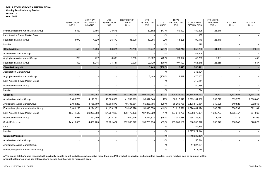#### **Period: 12 Year: 2019**

|                                      | <b>DISTRIBUTION</b><br>12/2019 | <b>MONTHLY</b><br>AVG PREV 3<br><b>MONTHS</b> | <b>YTD</b><br><b>DISTRIBUTION</b><br>2019 | <b>DISTRIBUTION</b><br><b>TARGET</b><br>2019 | <b>YTD</b><br><b>DISTRIBUTION</b><br>2018 | YTD %<br>CHANGE | <b>TOTAL</b><br><b>DISTRIBUTION</b><br>2018 | <b>CUMULATIVE</b><br><b>DISTRIBUTION</b> | <b>YTD USERS</b><br><b>REACHED</b><br>2019(a) | YTD CYP<br>2019 | <b>YTD DALY</b><br>2019 |
|--------------------------------------|--------------------------------|-----------------------------------------------|-------------------------------------------|----------------------------------------------|-------------------------------------------|-----------------|---------------------------------------------|------------------------------------------|-----------------------------------------------|-----------------|-------------------------|
| Franco/Lusophone Africa Market Group | 3,329                          | 3,156                                         | 28,676                                    |                                              | 50,592                                    | (43)%           | 50,592                                      | 189,505                                  | 28,676                                        |                 |                         |
| Latin America & Asia Market Group    |                                |                                               |                                           |                                              |                                           | $-$ %           |                                             | 387                                      |                                               |                 |                         |
| <b>Foundation Market Group</b>       | 3,072                          | 4,329                                         | 25,479                                    | 35,000                                       | 13,295                                    | 92%             | 13,295                                      | 99,179                                   | 25,479                                        |                 |                         |
| Inactive                             |                                |                                               |                                           |                                              |                                           | $-$ %           |                                             | 270                                      |                                               |                 |                         |
| Chlorhexidine                        | 563                            | 5,793                                         | 38,321                                    | 25,755                                       | 130,742                                   | (71)%           | 130,742                                     | 656,236                                  | 34,489                                        |                 | 2,315                   |
| <b>Acceleration Market Group</b>     |                                |                                               |                                           |                                              |                                           | $-$ %           |                                             | 148,406                                  |                                               |                 |                         |
| Anglophone Africa Market Group       | 263                            | 777                                           | 6,590                                     | 16,755                                       | 23,622                                    | (72)%           | 23,622                                      | 43,255                                   | 5,931                                         |                 | 458                     |
| <b>Foundation Market Group</b>       | 300                            | 5,015                                         | 31,731                                    | 9,000                                        | 107,120                                   | $(70) \%$       | 107,120                                     | 464,575                                  | 28,558                                        |                 | 1,857                   |
| <b>Clean Delivery Kit</b>            |                                |                                               |                                           |                                              | 3,449                                     | $(100)$ %       | 3,449                                       | 1,708,471                                |                                               |                 |                         |
| <b>Acceleration Market Group</b>     |                                |                                               |                                           |                                              |                                           | $-$ %           |                                             | 346,994                                  |                                               |                 |                         |
| Anglophone Africa Market Group       |                                |                                               |                                           |                                              | 3,449                                     | $(100)\%$       | 3,449                                       | 470,003                                  |                                               |                 |                         |
| Latin America & Asia Market Group    |                                |                                               |                                           |                                              |                                           | $-$ %           |                                             | 710,114                                  |                                               |                 |                         |
| <b>Foundation Market Group</b>       |                                |                                               |                                           |                                              |                                           | $-$ %           |                                             | 180,586                                  |                                               |                 |                         |
| Inactive                             |                                |                                               |                                           |                                              |                                           | $-$ %           |                                             | 774                                      |                                               |                 |                         |
| Condom                               | 44,472,930                     | 37, 377, 252                                  | 417,858,083                               | 553,397,069                                  | 504,429,167                               | (17)%           |                                             | 504,429,167 21,864,868,151               | 3,133,921                                     | 3,133,921       | 3,694,143               |
| <b>Acceleration Market Group</b>     | 3,408,750                      | 4,118,821                                     | 45,303,579                                | 41,769,999                                   | 38,017,548                                | 19%             | 38,017,548                                  | 9,799,101,930                            | 339,777                                       | 339,777         | 1,000,040               |
| Anglophone Africa Market Group       | 2,463,283                      | 3,785,709                                     | 46,603,378                                | 49,703,561                                   | 65,266,786                                | (29)%           | 65,266,786                                  | 3,193,512,061                            | 349,525                                       | 349,525         | 932,948                 |
| Franco/Lusophone Africa Market Group | 5,460,296                      | 4,224,472                                     | 41,173,232                                | 59,938,298                                   | 51,015,576                                | (19)%           | 51,015,576                                  | 1,670,441,894                            | 308,799                                       | 308,799         | 522,101                 |
| Latin America & Asia Market Group    | 18,641,510                     | 20,299,308                                    | 184,767,633                               | 196,479,173                                  | 187,072,729                               | (1)%            | 187,072,729                                 | 4,038,875,034                            | 1,385,757                                     | 1,385,757       | 394,062                 |
| <b>Foundation Market Group</b>       | 79,536                         | 292,240                                       | 1,828,764                                 | 2,920,716                                    | 3,347,338                                 | (45)%           | 3,347,338                                   | 954,325,997                              | 13,716                                        | 13,716          | 16,365                  |
| Social Enterprise                    | 14,419,555                     | 4,656,703                                     | 98,181,497                                | 202,585,322                                  | 159,709,190                               | (39)%           | 159,709,190                                 | 810,700,372                              | 736,347                                       | 736,347         | 828,627                 |
| USA                                  |                                |                                               |                                           |                                              |                                           | $-$ %           |                                             | 289,819                                  |                                               |                 |                         |
| Inactive                             |                                |                                               |                                           |                                              |                                           | $-$ %           |                                             | 1,397,621,044                            |                                               |                 |                         |
| <b>Condom Provided</b>               |                                |                                               |                                           |                                              |                                           | $- \frac{0}{0}$ |                                             | 18,930,351                               |                                               |                 |                         |
| <b>Acceleration Market Group</b>     |                                |                                               |                                           |                                              |                                           | $-$ %           |                                             | 50,644                                   |                                               |                 |                         |
| Anglophone Africa Market Group       |                                |                                               |                                           |                                              |                                           | $-$ %           |                                             | 17,527,104                               |                                               |                 |                         |
| Franco/Lusophone Africa Market Group |                                |                                               |                                           |                                              |                                           | $-$ %           |                                             | 673,774                                  |                                               |                 |                         |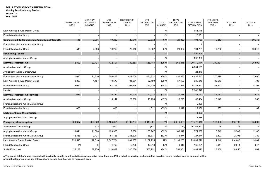|                                                               | <b>DISTRIBUTION</b><br>12/2019 | <b>MONTHLY</b><br>AVG PREV 3<br><b>MONTHS</b> | <b>YTD</b><br><b>DISTRIBUTION</b><br>2019 | <b>DISTRIBUTION</b><br><b>TARGET</b><br>2019 | <b>YTD</b><br><b>DISTRIBUTION</b><br>2018 | YTD %<br>CHANGE | <b>TOTAL</b><br><b>DISTRIBUTION</b><br>2018 | <b>CUMULATIVE</b><br><b>DISTRIBUTION</b> | <b>YTD USERS</b><br><b>REACHED</b><br>2019(a) | <b>YTD CYP</b><br>2019 | <b>YTD DALY</b><br>2019 |
|---------------------------------------------------------------|--------------------------------|-----------------------------------------------|-------------------------------------------|----------------------------------------------|-------------------------------------------|-----------------|---------------------------------------------|------------------------------------------|-----------------------------------------------|------------------------|-------------------------|
| Latin America & Asia Market Group                             |                                |                                               |                                           |                                              |                                           | $-$ %           |                                             | 651,148                                  |                                               |                        |                         |
| <b>Foundation Market Group</b>                                |                                |                                               |                                           |                                              |                                           | $-$ %           |                                             | 27,681                                   |                                               |                        |                         |
| <b>Counseling &amp; Tx for Moderate Acute MalnutritionCU5</b> | 545                            | 2,096                                         | 19,252                                    | 20,946                                       | 20,332                                    | (5)%            | 20,332                                      | 194,739                                  | 19,252                                        |                        | 60,218                  |
| Franco/Lusophone Africa Market Group                          |                                |                                               |                                           | $\overline{4}$                               |                                           | $-$ %           |                                             | 8                                        |                                               |                        |                         |
| <b>Foundation Market Group</b>                                | 545                            | 2,096                                         | 19,252                                    | 20,942                                       | 20,332                                    | (5)%            | 20,332                                      | 194,731                                  | 19,252                                        |                        | 60,218                  |
| <b>Deworming Tablets</b>                                      |                                |                                               |                                           |                                              |                                           | $-9/0$          |                                             | 1,095,308                                |                                               |                        |                         |
| Anglophone Africa Market Group                                |                                |                                               |                                           |                                              |                                           | $-9/6$          |                                             | 1,095,308                                |                                               |                        |                         |
| <b>Diarrhea Treatment Kit</b>                                 | 12,890                         | 22,424                                        | 432,701                                   | 780,367                                      | 666,448                                   | (35)%           | 666,448                                     | 20,170,174                               | 389,431                                       |                        | 26,500                  |
| Acceleration Market Group                                     |                                |                                               |                                           |                                              |                                           | $-9/6$          |                                             | 6,854,139                                |                                               |                        |                         |
| Anglophone Africa Market Group                                |                                |                                               |                                           |                                              |                                           | $-$ %           |                                             | 24,379                                   |                                               |                        |                         |
| Franco/Lusophone Africa Market Group                          | 1,010                          | 21,316                                        | 300,418                                   | 424,000                                      | 431,332                                   | (30)%           | 431,332                                     | 4,433,547                                | 270,376                                       |                        | 17,600                  |
| Latin America & Asia Market Group                             | 2,820                          | 1,107                                         | 40,570                                    | 91,951                                       | 57,190                                    | (29)%           | 57,190                                      | 989,246                                  | 36,513                                        |                        | 798                     |
| <b>Foundation Market Group</b>                                | 9,060                          | -1                                            | 91,713                                    | 264,416                                      | 177,926                                   | (48)%           | 177,926                                     | 5,121,917                                | 82,542                                        |                        | 8,103                   |
| Inactive                                                      |                                |                                               |                                           |                                              |                                           | $-$ %           |                                             | 2,746,946                                |                                               |                        |                         |
| <b>Diarrhea Treatment Kit Provided</b>                        | 635                            |                                               | 15,782                                    | 29,000                                       | 20,038                                    | (21)%           | 20,038                                      | 84,713                                   | 15,782                                        |                        | 572                     |
| Acceleration Market Group                                     |                                |                                               | 15,147                                    | 29,000                                       | 18,226                                    | (17)%           | 18,226                                      | 69,404                                   | 15,147                                        |                        | 503                     |
| Franco/Lusophone Africa Market Group                          |                                |                                               |                                           |                                              |                                           | $-$ %           |                                             | 2,400                                    |                                               |                        |                         |
| <b>Foundation Market Group</b>                                | 635                            |                                               | 635                                       |                                              | 1,812                                     | (65)%           | 1,812                                       | 12,909                                   | 635                                           |                        | 69                      |
| <b>Early Infant Male Circumcision</b>                         |                                |                                               |                                           |                                              |                                           | $-9/0$          |                                             | 4,886                                    |                                               |                        |                         |
| Anglophone Africa Market Group                                |                                |                                               |                                           |                                              |                                           | $-$ %           |                                             | 4,886                                    |                                               |                        |                         |
| <b>Emergency Contraception</b>                                | 323,667                        | 350,839                                       | 3,186,854                                 | 2,499,767                                    | 3,049,904                                 | 4%              | 3,049,904                                   | 47,776,015                               | 143,408                                       | 143,408                | 25,903                  |
| <b>Acceleration Market Group</b>                              |                                | 333                                           | 1,000                                     |                                              | (121)                                     | $-$ %           | (121)                                       | 16,367,341                               | 45                                            | 45                     | $\overline{4}$          |
| Anglophone Africa Market Group                                | 19,641                         | 11,004                                        | 123,300                                   | 7,000                                        | 180,947                                   | (32)%           | 180,947                                     | 1,771,057                                | 5,549                                         | 5,549                  | 2,145                   |
| Franco/Lusophone Africa Market Group                          | 12,358                         | 2,421                                         | 51,168                                    | 255,200                                      | 135,874                                   | (62)%           | 135,874                                     | 727,474                                  | 2,303                                         | 2,303                  | 1,389                   |
| Latin America & Asia Market Group                             | 256,540                        | 299,816                                       | 2,547,734                                 | 981,837                                      | 2,139,235                                 | 19%             | 2,139,235                                   | 23,609,520                               | 114,648                                       | 114,648                | 19,909                  |
| <b>Foundation Market Group</b>                                | (4)                            | (6)                                           | 44,760                                    | 15,700                                       | 40,018                                    | 12%             | 40,018                                      | 165,291                                  | 2,014                                         | 2,014                  | 547                     |
| Social Enterprise                                             | 35,132                         | 37,270                                        | 418,892                                   | 1,240,030                                    | 553,951                                   | (24)%           | 553,951                                     | 3,484,995                                | 18,850                                        | 18,850                 | 1,909                   |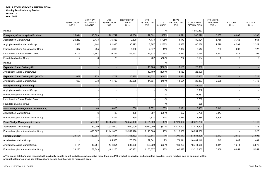**Year: 2019**

|                                         | <b>DISTRIBUTION</b><br>12/2019 | <b>MONTHLY</b><br>AVG PREV 3<br><b>MONTHS</b> | <b>YTD</b><br><b>DISTRIBUTION</b><br>2019 | <b>DISTRIBUTION</b><br><b>TARGET</b><br>2019 | <b>YTD</b><br><b>DISTRIBUTION</b><br>2018 | YTD %<br>CHANGE | <b>TOTAL</b><br><b>DISTRIBUTION</b><br>2018 | <b>CUMULATIVE</b><br><b>DISTRIBUTION</b> | <b>YTD USERS</b><br><b>REACHED</b><br>2019(a) | <b>YTD CYP</b><br>2019 | <b>YTD DALY</b><br>2019 |
|-----------------------------------------|--------------------------------|-----------------------------------------------|-------------------------------------------|----------------------------------------------|-------------------------------------------|-----------------|---------------------------------------------|------------------------------------------|-----------------------------------------------|------------------------|-------------------------|
| Inactive                                |                                |                                               |                                           |                                              |                                           | $-$ %           |                                             | 1,650,337                                |                                               |                        |                         |
| <b>Emergency Contraception Provided</b> | 25,844                         | 13,809                                        | 201,747                                   | 1,199,860                                    | 29,591                                    | 582%            | 29,591                                      | 266,696                                  | 10,087                                        | 10,087                 | 3,283                   |
| <b>Acceleration Market Group</b>        | 20,252                         | 9,473                                         | 75,323                                    | 19,800                                       | 4,173                                     | 1,705%          | 4,173                                       | 80,924                                   | 3,766                                         | 3,766                  | 561                     |
| Anglophone Africa Market Group          | 1,578                          | 1,144                                         | 91,980                                    | 30,493                                       | 6,887                                     | 1,236%          | 6,887                                       | 100,086                                  | 4,599                                         | 4,599                  | 2,329                   |
| Franco/Lusophone Africa Market Group    | 307                            | 295                                           | 4,060                                     | 3,000                                        | 2,877                                     | 41%             | 2,877                                       | 8,547                                    | 203                                           | 203                    | 127                     |
| Latin America & Asia Market Group       | 3,703                          | 2,891                                         | 30,261                                    | 1,146,567                                    | 15,372                                    | 97%             | 15,372                                      | 75,034                                   | 1,513                                         | 1,513                  | 263                     |
| <b>Foundation Market Group</b>          |                                | 6                                             | 123                                       |                                              | 282                                       | (56)%           | 282                                         | 2,104                                    | 6                                             | 6                      | $\overline{2}$          |
| Inactive                                |                                |                                               |                                           |                                              |                                           | $-$ %           |                                             |                                          |                                               |                        |                         |
| <b>Expanded Clean Delivery Kit</b>      |                                |                                               |                                           |                                              | 13,160                                    | (100)%          | 13,160                                      | 25,000                                   |                                               |                        |                         |
| Anglophone Africa Market Group          |                                |                                               |                                           |                                              | 13,160                                    | (100)%          | 13,160                                      | 25,000                                   |                                               |                        |                         |
| Expanded Clean Delivery Kit (+CHX)      | 669                            | 973                                           | 11,709                                    | 20,285                                       | 14,531                                    | (19)%           | 14,531                                      | 26,857                                   | 10,538                                        |                        | 1,713                   |
| Anglophone Africa Market Group          | 669                            | 973                                           | 11,709                                    | 20,285                                       | 14,531                                    | (19)%           | 14,531                                      | 26,857                                   | 10,538                                        |                        | 1,713                   |
| <b>Family Planning Counseling</b>       |                                |                                               |                                           |                                              |                                           | $-$ %           |                                             | 42,190                                   |                                               |                        |                         |
| Anglophone Africa Market Group          |                                |                                               |                                           |                                              |                                           | $-$ %           |                                             | 15,882                                   |                                               |                        |                         |
| Franco/Lusophone Africa Market Group    |                                |                                               |                                           |                                              |                                           | $-$ %           |                                             | 21,833                                   |                                               |                        |                         |
| Latin America & Asia Market Group       |                                |                                               |                                           |                                              |                                           | $-9/0$          |                                             | 3,787                                    |                                               |                        |                         |
| <b>Foundation Market Group</b>          |                                |                                               |                                           |                                              |                                           | $-9/6$          |                                             | 688                                      |                                               |                        |                         |
| Fecal Sludge Management (Households)    |                                | 40                                            | 3,800                                     | 750                                          | 2,071                                     | 83%             | 2,071                                       | 7,453                                    | 18,942                                        |                        |                         |
| <b>Acceleration Market Group</b>        |                                | 6                                             | 489                                       | 400                                          | 697                                       | (30)%           | 697                                         | 2,768                                    | 2,347                                         |                        |                         |
| Franco/Lusophone Africa Market Group    |                                | 34                                            | 3,311                                     | 350                                          | 1,374                                     | 141%            | 1,374                                       | 4,685                                    | 16,595                                        |                        |                         |
| <b>Fecal Sludge Management (Liters)</b> |                                | 523,667                                       | 13,055,000                                | 15,559,190                                   | 9,121,000                                 | 43%             | 9,121,000                                   | 29,322,200                               |                                               |                        | 1,443                   |
| <b>Acceleration Market Group</b>        |                                | 30,000                                        | 1,914,000                                 | 2,000,000                                    | 4,011,000                                 | (52)%           | 4,011,000                                   | 13,071,200                               |                                               |                        | 118                     |
| Franco/Lusophone Africa Market Group    |                                | 493,667                                       | 11,141,000                                | 13,559,190                                   | 5,110,000                                 | 118%            | 5,110,000                                   | 16,251,000                               |                                               |                        | 1,325                   |
| <b>Female Condom</b>                    | 24,404                         | 182,394                                       | 1,721,664                                 | 1,763,132                                    | 1,709,647                                 | 1%              | 1,709,647                                   | 87,884,528                               | 12,912                                        | 12,912                 | 21,698                  |
| Acceleration Market Group               |                                |                                               | 85,553                                    | 70,000                                       | 79,641                                    | 7%              | 79,641                                      | 10,481,146                               | 642                                           | 642                    | 461                     |
| Anglophone Africa Market Group          | 1,124                          | 13,751                                        | 174,851                                   | 533,000                                      | 469,229                                   | (63)%           | 469,229                                     | 48,744,678                               | 1,311                                         | 1,311                  | 5,678                   |
| Franco/Lusophone Africa Market Group    | 23,280                         | 168,643                                       | 1,461,260                                 | 1,160,132                                    | 1,160,677                                 | 26%             | 1,160,677                                   | 13,213,905                               | 10,959                                        | 10,959                 | 15,559                  |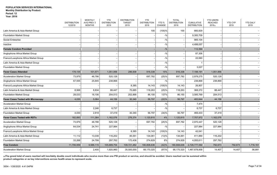|                                           | <b>DISTRIBUTION</b><br>12/2019 | <b>MONTHLY</b><br>AVG PREV 3<br><b>MONTHS</b> | <b>YTD</b><br><b>DISTRIBUTION</b><br>2019 | <b>DISTRIBUTION</b><br><b>TARGET</b><br>2019 | <b>YTD</b><br><b>DISTRIBUTION</b><br>2018 | YTD %<br>CHANGE | <b>TOTAL</b><br><b>DISTRIBUTION</b><br>2018 | <b>CUMULATIVE</b><br><b>DISTRIBUTION</b> | <b>YTD USERS</b><br><b>REACHED</b><br>2019(a) | <b>YTD CYP</b><br>2019 | <b>YTD DALY</b><br>2019 |
|-------------------------------------------|--------------------------------|-----------------------------------------------|-------------------------------------------|----------------------------------------------|-------------------------------------------|-----------------|---------------------------------------------|------------------------------------------|-----------------------------------------------|------------------------|-------------------------|
| Latin America & Asia Market Group         |                                |                                               |                                           |                                              | 100                                       | $(100)$ %       | 100                                         | 660,929                                  |                                               |                        |                         |
| <b>Foundation Market Group</b>            |                                |                                               |                                           |                                              |                                           | $-$ %           |                                             | 9,300,709                                |                                               |                        |                         |
| Social Enterprise                         |                                |                                               |                                           |                                              |                                           | $-$ %           |                                             | 985,104                                  |                                               |                        |                         |
| Inactive                                  |                                |                                               |                                           |                                              |                                           | $-$ %           |                                             | 4,498,057                                |                                               |                        |                         |
| <b>Female Condom Provided</b>             |                                |                                               |                                           |                                              |                                           | $- \frac{0}{0}$ |                                             | 112,394                                  |                                               |                        |                         |
| Anglophone Africa Market Group            |                                |                                               |                                           |                                              |                                           | $-9/0$          |                                             | 87,306                                   |                                               |                        |                         |
| Franco/Lusophone Africa Market Group      |                                |                                               |                                           |                                              |                                           | $-$ %           |                                             | 22,060                                   |                                               |                        |                         |
| Latin America & Asia Market Group         |                                |                                               |                                           |                                              |                                           | $-$ %           |                                             | -1                                       |                                               |                        |                         |
| Foundation Market Group                   |                                |                                               |                                           |                                              |                                           | $-$ %           |                                             | 3,027                                    |                                               |                        |                         |
| <b>Fever Cases Attended</b>               | 178,135                        | 101,571                                       | 1,051,956                                 | 286,938                                      | 916,338                                   | 15%             | 916,338                                     | 7,198,191                                | 1,051,956                                     |                        |                         |
| <b>Acceleration Market Group</b>          | 73,979                         | 48,786                                        | 520,128                                   |                                              | 697,782                                   | (25)%           | 697,782                                     | 2,978,275                                | 520,128                                       |                        |                         |
| Anglophone Africa Market Group            | 67,555                         | 25,845                                        | 238,868                                   |                                              |                                           | $-$ %           |                                             | 238,868                                  | 238,868                                       |                        |                         |
| Franco/Lusophone Africa Market Group      |                                |                                               |                                           | 8,385                                        | 14,143                                    | $(100)$ %       | 14,143                                      | 26,907                                   |                                               |                        |                         |
| Latin America & Asia Market Group         | 8,568                          | 8,834                                         | 88,447                                    | 75,685                                       | 118,263                                   | (25)%           | 118,263                                     | 368,372                                  | 88,447                                        |                        |                         |
| <b>Foundation Market Group</b>            | 28,033                         | 18,106                                        | 204,513                                   | 202,868                                      | 86,150                                    | 137%            | 86,150                                      | 3,585,769                                | 204,513                                       |                        |                         |
| <b>Fever Cases Tested with Microscopy</b> | 4,030                          | 5,064                                         | 44,156                                    | 30,340                                       | 56,797                                    | (22)%           | 56,797                                      | 483,644                                  | 44,156                                        |                        |                         |
| <b>Acceleration Market Group</b>          |                                |                                               |                                           |                                              |                                           | $-$ %           |                                             | 7,474                                    |                                               |                        |                         |
| Latin America & Asia Market Group         |                                | 2,246                                         | 6,737                                     |                                              |                                           | $-$ %           |                                             | 6,737                                    | 6,737                                         |                        |                         |
| <b>Foundation Market Group</b>            | 4,030                          | 2,818                                         | 37,419                                    | 30,340                                       | 56,797                                    | (34)%           | 56,797                                      | 469,433                                  | 37,419                                        |                        |                         |
| <b>Fever Cases Tested with RDTs</b>       | 182,893                        | 111,364                                       | 1,162,076                                 | 276,374                                      | 1,120,815                                 | 4%              | 1,120,815                                   | 7,707,972                                | 1,162,076                                     |                        |                         |
| <b>Acceleration Market Group</b>          | 73,979                         | 48,786                                        | 520,128                                   |                                              | 697,782                                   | $(25)\%$        | 697,782                                     | 2,970,447                                | 520,128                                       |                        |                         |
| Anglophone Africa Market Group            | 64,534                         | 24,741                                        | 227,984                                   |                                              |                                           | $-$ %           |                                             | 227,984                                  | 227,984                                       |                        |                         |
| Franco/Lusophone Africa Market Group      |                                |                                               |                                           | 8,385                                        | 14,143                                    | $(100)\%$       | 14,143                                      | 42,041                                   |                                               |                        |                         |
| Latin America & Asia Market Group         | 11,112                         | 13,038                                        | 116,202                                   | 95,551                                       | 134,061                                   | (13)%           | 134,061                                     | 411,889                                  | 116,202                                       |                        |                         |
| Foundation Market Group                   | 33,268                         | 24,799                                        | 297,762                                   | 172,438                                      | 274,829                                   | 8%              | 274,829                                     | 4,055,611                                | 297,762                                       |                        |                         |
| Free Condom                               | 11,706,959                     | 9,588,115                                     | 105,689,754                               | 109,721,482                                  | 180,808,636                               | (42)%           | 180,808,636                                 | 2,728,777,592                            | 792,673                                       | 792,673                | 1,716,161               |
| <b>Acceleration Market Group</b>          |                                | 2,400                                         | 1,920,960                                 | 35,500,000                                   | 68,170,320                                | (97)%           | 68,170,320                                  | 1,487,878,858                            | 14,407                                        | 14,407                 | 56,881                  |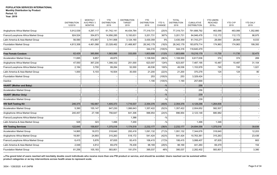| 463,066<br>Anglophone Africa Market Group<br>5,912,539<br>4,297,117<br>61,742,141<br>44,434,784<br>77,319,731<br>(20)%<br>77,319,731<br>791,688,792<br>463,066<br>Franco/Lusophone Africa Market Group<br>924,524<br>354,673<br>5,193,631<br>3,201,731<br>367%<br>3,201,731<br>84,946,478<br>112,172<br>112,172<br>14,956,285<br>56,590<br>472,857<br>3,741,906<br>3,430,359<br>9%<br>3,430,359<br>61,743,271<br>28,064<br>28,064<br>atin America & Asia Market Group<br>3,124,160<br>(18)%<br>183,879,714<br><b>Foundation Market Group</b><br>4,813,306<br>4,461,068<br>23,328,462<br>21,468,907<br>28,342,179<br>28,342,179<br>174,963<br>174,963<br>344,316<br>(100)%<br>344,316<br>118,640,479<br>Inactive<br>62,429<br><b>Free Female Condom</b><br>385,890<br>1,563,995<br>333,000<br>1,803,686<br>(13)%<br>1,803,686<br>19,216,179<br>11,730<br>11,730<br>374<br><b>Acceleration Market Group</b><br>11,695<br>9,857<br>49,875<br>1,108,500<br>(96)%<br>1,108,500<br>6,617,636<br>374<br>47,550<br>367,230<br>1,398,332<br>251,000<br>623,007<br>124%<br>623,007<br>7,487,195<br>10,487<br>10,487<br>Anglophone Africa Market Group<br>49,536<br>100%<br>1,153,978<br>745<br>Franco/Lusophone Africa Market Group<br>2,184<br>3,700<br>99,284<br>52,000<br>49,536<br>745<br>1,000<br>30,000<br>(22)%<br>124<br>124<br>Latin America & Asia Market Group<br>5,103<br>16,504<br>21,200<br>21,200<br>370,278<br>253<br>(100)%<br>253<br>3,329,424<br>Foundation Market Group<br>1,190<br>$(100)$ %<br>1,190<br>257,668<br>Inactive<br>$-$ %<br>256<br><b>HAART (Mother and Baby)</b><br>$-9/0$<br>256<br><b>Acceleration Market Group</b><br>$-9/0$<br>239<br><b>HAART (Mother Only)</b><br>$-9/0$<br>239<br><b>Acceleration Market Group</b><br>246,375<br><b>HIV Self-Testing Kit</b><br>182,667<br>1,405,373<br>1,716,537<br>2,354,376<br>(40)%<br>2,354,376<br>4,129,296<br>1,264,836<br>5,390<br>155,147<br>647,230<br>1,066,643<br>(52)%<br>1,357,422<br>582,507<br>Acceleration Market Group<br>1,357,422<br>2,004,652<br>641,306<br>996,954<br>Anglophone Africa Market Group<br>240,457<br>27,198<br>756,647<br>(24)%<br>996,954<br>2,123,148<br>680,982<br>$-$ %<br>Franco/Lusophone Africa Market Group<br>1,388<br>$-9/6$<br>528<br>323<br>Latin America & Asia Market Group<br>1,496<br>7,200<br>1,496<br>1,346<br>(38)%<br>122,645<br>158,837<br>1,375,018<br>1,174,518<br>2,232,177<br>2,232,177<br>24,694,556<br>1,375,018<br><b>HIV Testing Services</b><br>18,072<br>14,865<br>293,418<br>(71)%<br>318,640<br><b>Acceleration Market Group</b><br>318,640<br>1,091,132<br>1,091,132<br>7,344,676<br>18,061<br>518,172<br>10,763,361<br>315,263<br>Anglophone Africa Market Group<br>24,893<br>315,263<br>541,424<br>(42)%<br>541,424<br>Franco/Lusophone Africa Market Group<br>6,415<br>5,876<br>87,835<br>93,415<br>106,415<br>(17)%<br>106,415<br>3,088,407<br>87,835<br>2,048<br>Latin America & Asia Market Group<br>4,812<br>69,479<br>78,439<br>98,169<br>(29)%<br>98,169<br>441,260<br>69,479<br>81,256<br>105,183<br>583,801<br>191,074<br>395,037<br>48%<br>395,037<br>2,282,402<br>583,801<br><b>Foundation Market Group</b> | <b>DISTRIBUTION</b><br>12/2019 | <b>MONTHLY</b><br>AVG PREV 3<br><b>MONTHS</b> | <b>YTD</b><br><b>DISTRIBUTION</b><br>2019 | <b>DISTRIBUTION</b><br><b>TARGET</b><br>2019 | <b>YTD</b><br><b>DISTRIBUTION</b><br>2018 | YTD %<br>CHANGE | <b>TOTAL</b><br><b>DISTRIBUTION</b><br>2018 | <b>CUMULATIVE</b><br><b>DISTRIBUTION</b> | <b>YTD USERS</b><br><b>REACHED</b><br>2019(a) | <b>YTD CYP</b><br>2019 | YTD DALY<br>2019 |
|----------------------------------------------------------------------------------------------------------------------------------------------------------------------------------------------------------------------------------------------------------------------------------------------------------------------------------------------------------------------------------------------------------------------------------------------------------------------------------------------------------------------------------------------------------------------------------------------------------------------------------------------------------------------------------------------------------------------------------------------------------------------------------------------------------------------------------------------------------------------------------------------------------------------------------------------------------------------------------------------------------------------------------------------------------------------------------------------------------------------------------------------------------------------------------------------------------------------------------------------------------------------------------------------------------------------------------------------------------------------------------------------------------------------------------------------------------------------------------------------------------------------------------------------------------------------------------------------------------------------------------------------------------------------------------------------------------------------------------------------------------------------------------------------------------------------------------------------------------------------------------------------------------------------------------------------------------------------------------------------------------------------------------------------------------------------------------------------------------------------------------------------------------------------------------------------------------------------------------------------------------------------------------------------------------------------------------------------------------------------------------------------------------------------------------------------------------------------------------------------------------------------------------------------------------------------------------------------------------------------------------------------------------------------------------------------------------------------------------------------------------------------------------------------------------------------------------------------------------------------------------------------------------------------------------------------------------------------------------------------------------------------------------------------------------------------------------------------------------------------------------------------------------------|--------------------------------|-----------------------------------------------|-------------------------------------------|----------------------------------------------|-------------------------------------------|-----------------|---------------------------------------------|------------------------------------------|-----------------------------------------------|------------------------|------------------|
|                                                                                                                                                                                                                                                                                                                                                                                                                                                                                                                                                                                                                                                                                                                                                                                                                                                                                                                                                                                                                                                                                                                                                                                                                                                                                                                                                                                                                                                                                                                                                                                                                                                                                                                                                                                                                                                                                                                                                                                                                                                                                                                                                                                                                                                                                                                                                                                                                                                                                                                                                                                                                                                                                                                                                                                                                                                                                                                                                                                                                                                                                                                                                                |                                |                                               |                                           |                                              |                                           |                 |                                             |                                          |                                               |                        | 1,352,880        |
|                                                                                                                                                                                                                                                                                                                                                                                                                                                                                                                                                                                                                                                                                                                                                                                                                                                                                                                                                                                                                                                                                                                                                                                                                                                                                                                                                                                                                                                                                                                                                                                                                                                                                                                                                                                                                                                                                                                                                                                                                                                                                                                                                                                                                                                                                                                                                                                                                                                                                                                                                                                                                                                                                                                                                                                                                                                                                                                                                                                                                                                                                                                                                                |                                |                                               |                                           |                                              |                                           |                 |                                             |                                          |                                               |                        | 98,975           |
|                                                                                                                                                                                                                                                                                                                                                                                                                                                                                                                                                                                                                                                                                                                                                                                                                                                                                                                                                                                                                                                                                                                                                                                                                                                                                                                                                                                                                                                                                                                                                                                                                                                                                                                                                                                                                                                                                                                                                                                                                                                                                                                                                                                                                                                                                                                                                                                                                                                                                                                                                                                                                                                                                                                                                                                                                                                                                                                                                                                                                                                                                                                                                                |                                |                                               |                                           |                                              |                                           |                 |                                             |                                          |                                               |                        | 8,033            |
|                                                                                                                                                                                                                                                                                                                                                                                                                                                                                                                                                                                                                                                                                                                                                                                                                                                                                                                                                                                                                                                                                                                                                                                                                                                                                                                                                                                                                                                                                                                                                                                                                                                                                                                                                                                                                                                                                                                                                                                                                                                                                                                                                                                                                                                                                                                                                                                                                                                                                                                                                                                                                                                                                                                                                                                                                                                                                                                                                                                                                                                                                                                                                                |                                |                                               |                                           |                                              |                                           |                 |                                             |                                          |                                               |                        | 199,393          |
|                                                                                                                                                                                                                                                                                                                                                                                                                                                                                                                                                                                                                                                                                                                                                                                                                                                                                                                                                                                                                                                                                                                                                                                                                                                                                                                                                                                                                                                                                                                                                                                                                                                                                                                                                                                                                                                                                                                                                                                                                                                                                                                                                                                                                                                                                                                                                                                                                                                                                                                                                                                                                                                                                                                                                                                                                                                                                                                                                                                                                                                                                                                                                                |                                |                                               |                                           |                                              |                                           |                 |                                             |                                          |                                               |                        |                  |
|                                                                                                                                                                                                                                                                                                                                                                                                                                                                                                                                                                                                                                                                                                                                                                                                                                                                                                                                                                                                                                                                                                                                                                                                                                                                                                                                                                                                                                                                                                                                                                                                                                                                                                                                                                                                                                                                                                                                                                                                                                                                                                                                                                                                                                                                                                                                                                                                                                                                                                                                                                                                                                                                                                                                                                                                                                                                                                                                                                                                                                                                                                                                                                |                                |                                               |                                           |                                              |                                           |                 |                                             |                                          |                                               |                        | 32,473           |
|                                                                                                                                                                                                                                                                                                                                                                                                                                                                                                                                                                                                                                                                                                                                                                                                                                                                                                                                                                                                                                                                                                                                                                                                                                                                                                                                                                                                                                                                                                                                                                                                                                                                                                                                                                                                                                                                                                                                                                                                                                                                                                                                                                                                                                                                                                                                                                                                                                                                                                                                                                                                                                                                                                                                                                                                                                                                                                                                                                                                                                                                                                                                                                |                                |                                               |                                           |                                              |                                           |                 |                                             |                                          |                                               |                        | 269              |
|                                                                                                                                                                                                                                                                                                                                                                                                                                                                                                                                                                                                                                                                                                                                                                                                                                                                                                                                                                                                                                                                                                                                                                                                                                                                                                                                                                                                                                                                                                                                                                                                                                                                                                                                                                                                                                                                                                                                                                                                                                                                                                                                                                                                                                                                                                                                                                                                                                                                                                                                                                                                                                                                                                                                                                                                                                                                                                                                                                                                                                                                                                                                                                |                                |                                               |                                           |                                              |                                           |                 |                                             |                                          |                                               |                        | 31,104           |
|                                                                                                                                                                                                                                                                                                                                                                                                                                                                                                                                                                                                                                                                                                                                                                                                                                                                                                                                                                                                                                                                                                                                                                                                                                                                                                                                                                                                                                                                                                                                                                                                                                                                                                                                                                                                                                                                                                                                                                                                                                                                                                                                                                                                                                                                                                                                                                                                                                                                                                                                                                                                                                                                                                                                                                                                                                                                                                                                                                                                                                                                                                                                                                |                                |                                               |                                           |                                              |                                           |                 |                                             |                                          |                                               |                        | 1,021            |
|                                                                                                                                                                                                                                                                                                                                                                                                                                                                                                                                                                                                                                                                                                                                                                                                                                                                                                                                                                                                                                                                                                                                                                                                                                                                                                                                                                                                                                                                                                                                                                                                                                                                                                                                                                                                                                                                                                                                                                                                                                                                                                                                                                                                                                                                                                                                                                                                                                                                                                                                                                                                                                                                                                                                                                                                                                                                                                                                                                                                                                                                                                                                                                |                                |                                               |                                           |                                              |                                           |                 |                                             |                                          |                                               |                        | 80               |
|                                                                                                                                                                                                                                                                                                                                                                                                                                                                                                                                                                                                                                                                                                                                                                                                                                                                                                                                                                                                                                                                                                                                                                                                                                                                                                                                                                                                                                                                                                                                                                                                                                                                                                                                                                                                                                                                                                                                                                                                                                                                                                                                                                                                                                                                                                                                                                                                                                                                                                                                                                                                                                                                                                                                                                                                                                                                                                                                                                                                                                                                                                                                                                |                                |                                               |                                           |                                              |                                           |                 |                                             |                                          |                                               |                        |                  |
|                                                                                                                                                                                                                                                                                                                                                                                                                                                                                                                                                                                                                                                                                                                                                                                                                                                                                                                                                                                                                                                                                                                                                                                                                                                                                                                                                                                                                                                                                                                                                                                                                                                                                                                                                                                                                                                                                                                                                                                                                                                                                                                                                                                                                                                                                                                                                                                                                                                                                                                                                                                                                                                                                                                                                                                                                                                                                                                                                                                                                                                                                                                                                                |                                |                                               |                                           |                                              |                                           |                 |                                             |                                          |                                               |                        |                  |
|                                                                                                                                                                                                                                                                                                                                                                                                                                                                                                                                                                                                                                                                                                                                                                                                                                                                                                                                                                                                                                                                                                                                                                                                                                                                                                                                                                                                                                                                                                                                                                                                                                                                                                                                                                                                                                                                                                                                                                                                                                                                                                                                                                                                                                                                                                                                                                                                                                                                                                                                                                                                                                                                                                                                                                                                                                                                                                                                                                                                                                                                                                                                                                |                                |                                               |                                           |                                              |                                           |                 |                                             |                                          |                                               |                        |                  |
|                                                                                                                                                                                                                                                                                                                                                                                                                                                                                                                                                                                                                                                                                                                                                                                                                                                                                                                                                                                                                                                                                                                                                                                                                                                                                                                                                                                                                                                                                                                                                                                                                                                                                                                                                                                                                                                                                                                                                                                                                                                                                                                                                                                                                                                                                                                                                                                                                                                                                                                                                                                                                                                                                                                                                                                                                                                                                                                                                                                                                                                                                                                                                                |                                |                                               |                                           |                                              |                                           |                 |                                             |                                          |                                               |                        |                  |
|                                                                                                                                                                                                                                                                                                                                                                                                                                                                                                                                                                                                                                                                                                                                                                                                                                                                                                                                                                                                                                                                                                                                                                                                                                                                                                                                                                                                                                                                                                                                                                                                                                                                                                                                                                                                                                                                                                                                                                                                                                                                                                                                                                                                                                                                                                                                                                                                                                                                                                                                                                                                                                                                                                                                                                                                                                                                                                                                                                                                                                                                                                                                                                |                                |                                               |                                           |                                              |                                           |                 |                                             |                                          |                                               |                        |                  |
|                                                                                                                                                                                                                                                                                                                                                                                                                                                                                                                                                                                                                                                                                                                                                                                                                                                                                                                                                                                                                                                                                                                                                                                                                                                                                                                                                                                                                                                                                                                                                                                                                                                                                                                                                                                                                                                                                                                                                                                                                                                                                                                                                                                                                                                                                                                                                                                                                                                                                                                                                                                                                                                                                                                                                                                                                                                                                                                                                                                                                                                                                                                                                                |                                |                                               |                                           |                                              |                                           |                 |                                             |                                          |                                               |                        |                  |
|                                                                                                                                                                                                                                                                                                                                                                                                                                                                                                                                                                                                                                                                                                                                                                                                                                                                                                                                                                                                                                                                                                                                                                                                                                                                                                                                                                                                                                                                                                                                                                                                                                                                                                                                                                                                                                                                                                                                                                                                                                                                                                                                                                                                                                                                                                                                                                                                                                                                                                                                                                                                                                                                                                                                                                                                                                                                                                                                                                                                                                                                                                                                                                |                                |                                               |                                           |                                              |                                           |                 |                                             |                                          |                                               |                        |                  |
|                                                                                                                                                                                                                                                                                                                                                                                                                                                                                                                                                                                                                                                                                                                                                                                                                                                                                                                                                                                                                                                                                                                                                                                                                                                                                                                                                                                                                                                                                                                                                                                                                                                                                                                                                                                                                                                                                                                                                                                                                                                                                                                                                                                                                                                                                                                                                                                                                                                                                                                                                                                                                                                                                                                                                                                                                                                                                                                                                                                                                                                                                                                                                                |                                |                                               |                                           |                                              |                                           |                 |                                             |                                          |                                               |                        |                  |
|                                                                                                                                                                                                                                                                                                                                                                                                                                                                                                                                                                                                                                                                                                                                                                                                                                                                                                                                                                                                                                                                                                                                                                                                                                                                                                                                                                                                                                                                                                                                                                                                                                                                                                                                                                                                                                                                                                                                                                                                                                                                                                                                                                                                                                                                                                                                                                                                                                                                                                                                                                                                                                                                                                                                                                                                                                                                                                                                                                                                                                                                                                                                                                |                                |                                               |                                           |                                              |                                           |                 |                                             |                                          |                                               |                        |                  |
|                                                                                                                                                                                                                                                                                                                                                                                                                                                                                                                                                                                                                                                                                                                                                                                                                                                                                                                                                                                                                                                                                                                                                                                                                                                                                                                                                                                                                                                                                                                                                                                                                                                                                                                                                                                                                                                                                                                                                                                                                                                                                                                                                                                                                                                                                                                                                                                                                                                                                                                                                                                                                                                                                                                                                                                                                                                                                                                                                                                                                                                                                                                                                                |                                |                                               |                                           |                                              |                                           |                 |                                             |                                          |                                               |                        |                  |
|                                                                                                                                                                                                                                                                                                                                                                                                                                                                                                                                                                                                                                                                                                                                                                                                                                                                                                                                                                                                                                                                                                                                                                                                                                                                                                                                                                                                                                                                                                                                                                                                                                                                                                                                                                                                                                                                                                                                                                                                                                                                                                                                                                                                                                                                                                                                                                                                                                                                                                                                                                                                                                                                                                                                                                                                                                                                                                                                                                                                                                                                                                                                                                |                                |                                               |                                           |                                              |                                           |                 |                                             |                                          |                                               |                        |                  |
|                                                                                                                                                                                                                                                                                                                                                                                                                                                                                                                                                                                                                                                                                                                                                                                                                                                                                                                                                                                                                                                                                                                                                                                                                                                                                                                                                                                                                                                                                                                                                                                                                                                                                                                                                                                                                                                                                                                                                                                                                                                                                                                                                                                                                                                                                                                                                                                                                                                                                                                                                                                                                                                                                                                                                                                                                                                                                                                                                                                                                                                                                                                                                                |                                |                                               |                                           |                                              |                                           |                 |                                             |                                          |                                               |                        | 39,836           |
|                                                                                                                                                                                                                                                                                                                                                                                                                                                                                                                                                                                                                                                                                                                                                                                                                                                                                                                                                                                                                                                                                                                                                                                                                                                                                                                                                                                                                                                                                                                                                                                                                                                                                                                                                                                                                                                                                                                                                                                                                                                                                                                                                                                                                                                                                                                                                                                                                                                                                                                                                                                                                                                                                                                                                                                                                                                                                                                                                                                                                                                                                                                                                                |                                |                                               |                                           |                                              |                                           |                 |                                             |                                          |                                               |                        | 12,203           |
|                                                                                                                                                                                                                                                                                                                                                                                                                                                                                                                                                                                                                                                                                                                                                                                                                                                                                                                                                                                                                                                                                                                                                                                                                                                                                                                                                                                                                                                                                                                                                                                                                                                                                                                                                                                                                                                                                                                                                                                                                                                                                                                                                                                                                                                                                                                                                                                                                                                                                                                                                                                                                                                                                                                                                                                                                                                                                                                                                                                                                                                                                                                                                                |                                |                                               |                                           |                                              |                                           |                 |                                             |                                          |                                               |                        | 23,436           |
|                                                                                                                                                                                                                                                                                                                                                                                                                                                                                                                                                                                                                                                                                                                                                                                                                                                                                                                                                                                                                                                                                                                                                                                                                                                                                                                                                                                                                                                                                                                                                                                                                                                                                                                                                                                                                                                                                                                                                                                                                                                                                                                                                                                                                                                                                                                                                                                                                                                                                                                                                                                                                                                                                                                                                                                                                                                                                                                                                                                                                                                                                                                                                                |                                |                                               |                                           |                                              |                                           |                 |                                             |                                          |                                               |                        | 663              |
|                                                                                                                                                                                                                                                                                                                                                                                                                                                                                                                                                                                                                                                                                                                                                                                                                                                                                                                                                                                                                                                                                                                                                                                                                                                                                                                                                                                                                                                                                                                                                                                                                                                                                                                                                                                                                                                                                                                                                                                                                                                                                                                                                                                                                                                                                                                                                                                                                                                                                                                                                                                                                                                                                                                                                                                                                                                                                                                                                                                                                                                                                                                                                                |                                |                                               |                                           |                                              |                                           |                 |                                             |                                          |                                               |                        | 154              |
|                                                                                                                                                                                                                                                                                                                                                                                                                                                                                                                                                                                                                                                                                                                                                                                                                                                                                                                                                                                                                                                                                                                                                                                                                                                                                                                                                                                                                                                                                                                                                                                                                                                                                                                                                                                                                                                                                                                                                                                                                                                                                                                                                                                                                                                                                                                                                                                                                                                                                                                                                                                                                                                                                                                                                                                                                                                                                                                                                                                                                                                                                                                                                                |                                |                                               |                                           |                                              |                                           |                 |                                             |                                          |                                               |                        | 3,380            |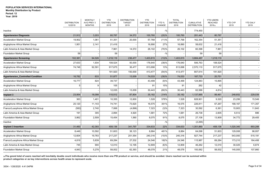# **Year: 2019**

|                                          | <b>DISTRIBUTION</b><br>12/2019 | <b>MONTHLY</b><br>AVG PREV 3<br><b>MONTHS</b> | <b>YTD</b><br><b>DISTRIBUTION</b><br>2019 | <b>DISTRIBUTION</b><br><b>TARGET</b><br>2019 | <b>YTD</b><br><b>DISTRIBUTION</b><br>2018 | YTD %<br>CHANGE | <b>TOTAL</b><br><b>DISTRIBUTION</b><br>2018 | <b>CUMULATIVE</b><br><b>DISTRIBUTION</b> | <b>YTD USERS</b><br><b>REACHED</b><br>2019(a) | <b>YTD CYP</b><br>2019 | <b>YTD DALY</b><br>2019 |
|------------------------------------------|--------------------------------|-----------------------------------------------|-------------------------------------------|----------------------------------------------|-------------------------------------------|-----------------|---------------------------------------------|------------------------------------------|-----------------------------------------------|------------------------|-------------------------|
| Inactive                                 |                                |                                               |                                           |                                              |                                           | $-$ %           |                                             | 774,450                                  |                                               |                        |                         |
| <b>Hypertension Diagnosis</b>            | 21,912                         | 3,203                                         | 80,787                                    | 34,572                                       | 100,760                                   | (20)%           | 100,760                                     | 281,443                                  | 80,787                                        |                        |                         |
| <b>Acceleration Market Group</b>         | 19,902                         | 1,061                                         | 51,351                                    | 20,000                                       | 57,768                                    | (11)%           | 57,768                                      | 162,354                                  | 51,351                                        |                        |                         |
| Anglophone Africa Market Group           | 1,951                          | 2,141                                         | 21,416                                    |                                              | 16,890                                    | 27%             | 16,890                                      | 58,632                                   | 21,416                                        |                        |                         |
| Latin America & Asia Market Group        |                                |                                               | 7,961                                     | 14,572                                       | 26,102                                    | (70)%           | 26,102                                      | 60,398                                   | 7,961                                         |                        |                         |
| <b>Foundation Market Group</b>           | 59                             |                                               | 59                                        |                                              |                                           | $-$ %           |                                             | 59                                       | 59                                            |                        |                         |
| <b>Hypertension Screening</b>            | 102,381                        | 94,526                                        | 1,218,119                                 | 236,477                                      | 1,403,815                                 | (13)%           | 1,403,815                                   | 3,884,487                                | 1,218,119                                     |                        |                         |
| <b>Acceleration Market Group</b>         | 27,633                         | 1,934                                         | 108,524                                   | 50,000                                       | 176,640                                   | (39)%           | 176,640                                     | 506,763                                  | 108,524                                       |                        |                         |
| Anglophone Africa Market Group           | 74,748                         | 92,591                                        | 917,675                                   | 36,477                                       | 813,698                                   | 13%             | 813,698                                     | 2,570,110                                | 917,675                                       |                        |                         |
| Latin America & Asia Market Group        |                                |                                               | 191,920                                   | 150,000                                      | 413,477                                   | (54)%           | 413,477                                     | 807,614                                  | 191,920                                       |                        |                         |
| <b>Hypertension_Controlled Condition</b> | 16,782                         | 833                                           | 51,877                                    | 13,009                                       | 74,033                                    | (30)%           | 74,033                                      | 187,733                                  | 20,751                                        |                        |                         |
| <b>Acceleration Market Group</b>         | 16,777                         | 824                                           | 39,737                                    |                                              | 43,499                                    | (9)%            | 43,499                                      | 124,883                                  | 15,895                                        |                        |                         |
| Anglophone Africa Market Group           | 5                              | 9                                             | 105                                       |                                              | 91                                        | 15%             | 91                                          | 262                                      | 42                                            |                        |                         |
| Latin America & Asia Market Group        |                                |                                               | 12,035                                    | 13,009                                       | 30,443                                    | $(60) \%$       | 30,443                                      | 62,588                                   | 4,814                                         |                        |                         |
| Implant 3                                | 23,954                         | 18,098                                        | 110,512                                   | 87,804                                       | 35,182                                    | 214%            | 35,182                                      | 1,137,885                                | 99,461                                        | 248,652                | 229,039                 |
| <b>Acceleration Market Group</b>         | 363                            | 1,401                                         | 10,355                                    | 12,600                                       | 1,528                                     | 578%            | 1,528                                       | 828,901                                  | 9,320                                         | 23,299                 | 15,549                  |
| Anglophone Africa Market Group           | 20,120                         | 11,143                                        | 74,741                                    | 73,620                                       | 16,575                                    | 351%            | 16,575                                      | 226,811                                  | 67,267                                        | 168,167                | 171,357                 |
| Franco/Lusophone Africa Market Group     | (582)                          | 2,740                                         | 7,068                                     | (4,896)                                      | 7,323                                     | (3)%            | 7,323                                       | 30,592                                   | 6,361                                         | 15,903                 | 11,843                  |
| Latin America & Asia Market Group        | 191                            | 305                                           | 2,894                                     | 4,920                                        | 1,681                                     | 72%             | 1,681                                       | 26,738                                   | 2,605                                         | 6,512                  | 886                     |
| <b>Foundation Market Group</b>           | 3,862                          | 2,509                                         | 15,454                                    | 1,560                                        | 8,075                                     | 91%             | 8,075                                       | 27,108                                   | 13,909                                        | 34,772                 | 29,405                  |
| Inactive                                 |                                |                                               |                                           |                                              |                                           | $-$ %           |                                             | (2, 265)                                 |                                               |                        |                         |
| Implant 3 Insertion                      | 31,460                         | 42,393                                        | 408,136                                   | 341,797                                      | 334,633                                   | 22%             | 334,633                                     | 1,351,860                                | 408,136                                       | 1,020,340              | 893,288                 |
| <b>Acceleration Market Group</b>         | 8,449                          | 10,592                                        | 51,603                                    | 38,123                                       | 8,884                                     | 481%            | 8,884                                       | 64,098                                   | 51,603                                        | 129,008                | 98,957                  |
| Anglophone Africa Market Group           | 12,604                         | 19,783                                        | 217,237                                   | 201,554                                      | 240,316                                   | $(10)\%$        | 240,316                                     | 927,744                                  | 217,237                                       | 543,093                | 515,191                 |
| Franco/Lusophone Africa Market Group     | 4,819                          | 5,839                                         | 69,284                                    | 27,532                                       | 24,546                                    | 182%            | 24,546                                      | 115,987                                  | 69,284                                        | 173,210                | 164,406                 |
| Latin America & Asia Market Group        | 745                            | 900                                           | 12,010                                    | 12,195                                       | 12,809                                    | (6)%            | 12,809                                      | 46,262                                   | 12,010                                        | 30,025                 | 6,874                   |
| <b>Foundation Market Group</b>           | 4,843                          | 5,278                                         | 58,002                                    | 62,393                                       | 48,078                                    | 21%             | 48,078                                      | 193,062                                  | 58,002                                        | 145,005                | 107,860                 |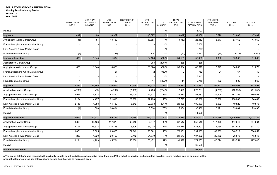**Year: 2019**

|                                      | <b>DISTRIBUTION</b><br>12/2019 | <b>MONTHLY</b><br>AVG PREV 3<br><b>MONTHS</b> | <b>YTD</b><br><b>DISTRIBUTION</b><br>2019 | <b>DISTRIBUTION</b><br><b>TARGET</b><br>2019 | <b>YTD</b><br><b>DISTRIBUTION</b><br>2018 | YTD %<br>CHANGE | <b>TOTAL</b><br><b>DISTRIBUTION</b><br>2018 | <b>CUMULATIVE</b><br><b>DISTRIBUTION</b> | <b>YTD USERS</b><br><b>REACHED</b><br>2019(a) | <b>YTD CYP</b><br>2019 | YTD DALY<br>2019 |
|--------------------------------------|--------------------------------|-----------------------------------------------|-------------------------------------------|----------------------------------------------|-------------------------------------------|-----------------|---------------------------------------------|------------------------------------------|-----------------------------------------------|------------------------|------------------|
| Inactive                             |                                |                                               |                                           |                                              |                                           | $-$ %           |                                             | 4,707                                    |                                               |                        |                  |
| Implant 4                            | (437)                          | 80                                            | 18,362                                    |                                              | (3,897)                                   | $-9/0$          | (3,897)                                     | 39,389                                   | 16,526                                        | 52,883                 | 47,402           |
| Anglophone Africa Market Group       | (436)                          | 81                                            | 18,459                                    |                                              | (3,883)                                   | $-$ %           | (3,883)                                     | 26,452                                   | 16,613                                        | 53,162                 | 47,669           |
| Franco/Lusophone Africa Market Group |                                |                                               |                                           |                                              |                                           | $-$ %           |                                             | 6,200                                    |                                               |                        |                  |
| Latin America & Asia Market Group    |                                |                                               |                                           |                                              |                                           | $-$ %           |                                             | (700)                                    |                                               |                        |                  |
| <b>Foundation Market Group</b>       | (1)                            | (1)                                           | (97)                                      |                                              | (14)                                      | $-$ %           | (14)                                        | 7,437                                    | (87)                                          | (279)                  | (267)            |
| Implant 4 Insertion                  | 836                            | 1,645                                         | 11,032                                    |                                              | 34,188                                    | (68)%           | 34,188                                      | 55,405                                   | 11,032                                        | 35,302                 | 31,682           |
| <b>Acceleration Market Group</b>     |                                |                                               |                                           |                                              | 288                                       | (100)%          | 288                                         | 288                                      |                                               |                        |                  |
| Anglophone Africa Market Group       | 835                            | 1,644                                         | 10,829                                    |                                              | 33,884                                    | (68)%           | 33,884                                      | 46,313                                   | 10,829                                        | 34,653                 | 31,072           |
| Franco/Lusophone Africa Market Group |                                |                                               | 21                                        |                                              | $\overline{2}$                            | 950%            | $\overline{a}$                              | 752                                      | 21                                            | 67                     | 40               |
| Latin America & Asia Market Group    |                                |                                               |                                           |                                              |                                           | $-$ %           |                                             | 5,342                                    |                                               |                        |                  |
| Foundation Market Group              |                                |                                               | 182                                       |                                              | 14                                        | 1,200%          | 14                                          | 2,710                                    | 182                                           | 582                    | 569              |
| Implant 5                            | 8,835                          | 13,865                                        | 116,919                                   | 50,794                                       | 85,932                                    | 36%             | 85,932                                      | 877,382                                  | 105,227                                       | 399,863                | 353,093          |
| <b>Acceleration Market Group</b>     | (4,760)                        | (13)                                          | (4,707)                                   | (7,600)                                      | 2,423                                     | (294)%          | 2,423                                       | 270,291                                  | (4,236)                                       | (16,098)               | (11, 752)        |
| Anglophone Africa Market Group       | 4,956                          | 5,823                                         | 54,899                                    | 26,000                                       | 29,617                                    | 85%             | 29,617                                      | 251,433                                  | 49,409                                        | 187,755                | 180,053          |
| Franco/Lusophone Africa Market Group | 6,194                          | 4,497                                         | 31,813                                    | 29,052                                       | 27,720                                    | 15%             | 27,720                                      | 153,538                                  | 28,632                                        | 108,800                | 94,482           |
| Latin America & Asia Market Group    | 2,446                          | 1,958                                         | 14,480                                    | 3,342                                        | 20,838                                    | (31)%           | 20,838                                      | 100,033                                  | 13,032                                        | 49,522                 | 10,876           |
| <b>Foundation Market Group</b>       | (1)                            | 1,600                                         | 20,434                                    |                                              | 5,334                                     | 283%            | 5,334                                       | 90,452                                   | 18,391                                        | 69,884                 | 79,433           |
| Inactive                             |                                |                                               |                                           |                                              |                                           | $-$ %           |                                             | 11,635                                   |                                               |                        |                  |
| Implant 5 Insertion                  | 34,099                         | 40,627                                        | 449,186                                   | 372,974                                      | 373,214                                   | 20%             | 373,214                                     | 2,436,147                                | 449,186                                       | 1,706,907              | 1,513,222        |
| Acceleration Market Group            | 8,863                          | 10,126                                        | 117,879                                   | 62,915                                       | 82,547                                    | 43%             | 82,547                                      | 552,515                                  | 117,879                                       | 447,940                | 394,964          |
| Anglophone Africa Market Group       | 8,796                          | 15,523                                        | 175,768                                   | 175,505                                      | 154,215                                   | 14%             | 154,215                                     | 948,502                                  | 175,768                                       | 667,918                | 601,310          |
| Franco/Lusophone Africa Market Group | 9,861                          | 8,565                                         | 89,663                                    | 71,842                                       | 76,301                                    | 18%             | 76,301                                      | 391,935                                  | 89,663                                        | 340,719                | 304,059          |
| Latin America & Asia Market Group    | 288                            | 1,620                                         | 20,152                                    | 12,712                                       | 21,679                                    | (7)%            | 21,679                                      | 107,932                                  | 20,152                                        | 76,578                 | 15,843           |
| <b>Foundation Market Group</b>       | 6,291                          | 4,793                                         | 45,724                                    | 50,000                                       | 38,472                                    | 19%             | 38,472                                      | 371,665                                  | 45,724                                        | 173,751                | 197,046          |
| Inactive                             |                                |                                               |                                           |                                              |                                           | $-$ %           |                                             | 63,598                                   |                                               |                        |                  |
| <b>Infant Fortified Food</b>         |                                |                                               |                                           |                                              |                                           | $-$ %           |                                             | 91,859                                   | $\blacksquare$                                |                        |                  |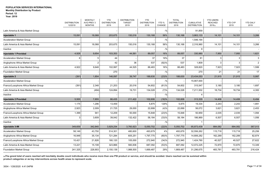**Year: 2019**

|                                      | <b>DISTRIBUTION</b><br>12/2019 | <b>MONTHLY</b><br>AVG PREV 3<br><b>MONTHS</b> | YTD<br><b>DISTRIBUTION</b><br>2019 | <b>DISTRIBUTION</b><br><b>TARGET</b><br>2019 | <b>YTD</b><br><b>DISTRIBUTION</b><br>2018 | YTD %<br>CHANGE | <b>TOTAL</b><br><b>DISTRIBUTION</b><br>2018 | <b>CUMULATIVE</b><br><b>DISTRIBUTION</b> | <b>YTD USERS</b><br><b>REACHED</b><br>2019(a) | <b>YTD CYP</b><br>2019 | YTD DALY<br>2019 |
|--------------------------------------|--------------------------------|-----------------------------------------------|------------------------------------|----------------------------------------------|-------------------------------------------|-----------------|---------------------------------------------|------------------------------------------|-----------------------------------------------|------------------------|------------------|
| Latin America & Asia Market Group    |                                |                                               |                                    |                                              |                                           | $-$ %           |                                             | 91,859                                   |                                               |                        |                  |
| Injectable 1                         | 15,091                         | 18,068                                        | 203,675                            | 150,016                                      | 130,168                                   | 56%             | 130,168                                     | 3,863,133                                | 14,101                                        | 14,101                 | 3,266            |
| <b>Acceleration Market Group</b>     |                                |                                               |                                    |                                              |                                           | $-$ %           |                                             | 1,546,164                                |                                               |                        |                  |
| Latin America & Asia Market Group    | 15,091                         | 18,068                                        | 203,675                            | 150,016                                      | 130,168                                   | 56%             | 130,168                                     | 2,316,960                                | 14,101                                        | 14,101                 | 3,266            |
| Inactive                             |                                |                                               |                                    |                                              |                                           | $-$ %           |                                             | 9                                        |                                               |                        |                  |
| <b>Injectable 1 Provided</b>         | 4,928                          | 9,654                                         | 103,353                            | 44,561                                       | 89,057                                    | 16%             | 89,057                                      | 330,980                                  | 7,950                                         | 7,950                  | 1,621            |
| <b>Acceleration Market Group</b>     | 6                              | 5                                             | 44                                 |                                              | 37                                        | 19%             | 37                                          | 81                                       | 3                                             |                        | 3                |
| Anglophone Africa Market Group       |                                | $\overline{2}$                                | 42                                 | 36                                           | 537                                       | (92)%           | 537                                         | 1,809                                    | 3                                             | 3                      | $\overline{2}$   |
| Latin America & Asia Market Group    | 4,922                          | 9,648                                         | 102,997                            | 44,525                                       | 88,483                                    | 16%             | 88,483                                      | 328,820                                  | 7,923                                         | 7,923                  | 1,599            |
| Foundation Market Group              |                                |                                               | 270                                |                                              |                                           | $-$ %           |                                             | 270                                      | 21                                            | 21                     | 17               |
| Injectable 2                         | (391)                          | 1,854                                         | 146,097                            | 39,747                                       | 188,630                                   | (23)%           | 188,630                                     | 23,434,053                               | 21,915                                        | 21,915                 | 5,997            |
| <b>Acceleration Market Group</b>     |                                |                                               |                                    |                                              |                                           | $-$ %           |                                             | 15,907,000                               |                                               |                        |                  |
| Franco/Lusophone Africa Market Group | (391)                          | 2,348                                         | 21,203                             | 20,016                                       | 54,602                                    | (61)%           | 54,602                                      | 315,547                                  | 3,180                                         | 3,180                  | 1,697            |
| Latin America & Asia Market Group    |                                | (494)                                         | 124,894                            | 19,731                                       | 134,028                                   | (7)%            | 134,028                                     | 7,211,502                                | 18,734                                        | 18,734                 | 4,300            |
| Inactive                             |                                |                                               |                                    |                                              |                                           | $-$ %           |                                             | 4                                        |                                               |                        |                  |
| Injectable 2 Provided                | 5,500                          | 7,855                                         | 86,435                             | 211,422                                      | 102,606                                   | $(16)\%$        | 102,606                                     | 313,335                                  | 14,406                                        | 14,406                 | 6,494            |
| <b>Acceleration Market Group</b>     | 1,175                          | 1,296                                         | 13,459                             |                                              | 5,875                                     | 129%            | 5,875                                       | 19,334                                   | 2,243                                         | 2,243                  | 1,891            |
| Anglophone Africa Market Group       | 2,923                          | 2,009                                         | 21,725                             | 29,000                                       | 22,699                                    | (4)%            | 22,699                                      | 56,072                                   | 3,621                                         | 3,621                  | 2,453            |
| Franco/Lusophone Africa Market Group | 1,399                          | 941                                           | 12,209                             | 50,000                                       | 15,848                                    | (23)%           | 15,848                                      | 50,959                                   | 2,035                                         | 2,035                  | 1,094            |
| Latin America & Asia Market Group    | 3                              | 3,609                                         | 39,042                             | 132,422                                      | 58,184                                    | (33)%           | 58,184                                      | 186,969                                  | 6,507                                         | 6,507                  | 1,056            |
| Inactive                             |                                |                                               |                                    |                                              |                                           | $-$ %           |                                             |                                          |                                               |                        |                  |
| Injectable 3-IM                      | 349,659                        | 342,840                                       | 3,929,254                          | 3,760,923                                    | 5,050,702                                 | (22)%           | 5,050,702                                   | 95,873,439                               | 884,082                                       | 884,082                | 367,013          |
| Acceleration Market Group            | 58,149                         | 43,750                                        | 514,301                            | 480,600                                      | 493,679                                   | 4%              | 493,679                                     | 32,556,262                               | 115,718                                       | 115,718                | 25,256           |
| Anglophone Africa Market Group       | 16,948                         | 35,134                                        | 721,284                            | 605,251                                      | 1,797,775                                 | $(60) \%$       | 1,797,775                                   | 14,806,282                               | 162,289                                       | 162,289                | 82,874           |
| Franco/Lusophone Africa Market Group | 10,421                         | 21,826                                        | 180,120                            | 105,000                                      | 272,940                                   | (34)%           | 272,940                                     | 1,424,760                                | 40,527                                        | 40,527                 | 27,622           |
| Latin America & Asia Market Group    | 13,221                         | 15,108                                        | 323,866                            | 560,836                                      | 687,092                                   | (53)%           | 687,092                                     | 12,072,225                               | 72,870                                        | 72,870                 | 13,349           |
| <b>Foundation Market Group</b>       | 241,325                        | 228,903                                       | 2,150,139                          | 1,988,500                                    | 1,669,487                                 | 29%             | 1,669,487                                   | 31,296,675                               | 483,781                                       | 483,781                | 216,424          |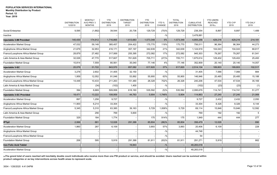# **Year: 2019**

|                                      | <b>DISTRIBUTION</b><br>12/2019 | <b>MONTHLY</b><br>AVG PREV 3<br><b>MONTHS</b> | <b>YTD</b><br><b>DISTRIBUTION</b><br>2019 | <b>DISTRIBUTION</b><br><b>TARGET</b><br>2019 | <b>YTD</b><br><b>DISTRIBUTION</b><br>2018 | YTD %<br>CHANGE | <b>TOTAL</b><br><b>DISTRIBUTION</b><br>2018 | <b>CUMULATIVE</b><br><b>DISTRIBUTION</b> | <b>YTD USERS</b><br><b>REACHED</b><br>2019(a) | <b>YTD CYP</b><br>2019 | <b>YTD DALY</b><br>2019 |
|--------------------------------------|--------------------------------|-----------------------------------------------|-------------------------------------------|----------------------------------------------|-------------------------------------------|-----------------|---------------------------------------------|------------------------------------------|-----------------------------------------------|------------------------|-------------------------|
| Social Enterprise                    | 9,595                          | (1,882)                                       | 39,544                                    | 20,736                                       | 129,729                                   | (70)%           | 129,729                                     | 238,354                                  | 8,897                                         | 8,897                  | 1,489                   |
| Inactive                             |                                |                                               |                                           |                                              |                                           | $-$ %           |                                             | 3,478,881                                |                                               |                        |                         |
| <b>Injectable 3-IM Provided</b>      | 140,430                        | 174,912                                       | 1,716,865                                 | 1,613,683                                    | 1,573,348                                 | 9%              | 1,573,348                                   | 4,855,256                                | 429,216                                       | 429,216                | 214,181                 |
| Acceleration Market Group            | 47,032                         | 59,148                                        | 385,457                                   | 204,422                                      | 175,770                                   | 119%            | 175,770                                     | 756,511                                  | 96,364                                        | 96,364                 | 44,273                  |
| Anglophone Africa Market Group       | 21,679                         | 32,953                                        | 416,171                                   | 357,197                                      | 342,639                                   | 21%             | 342,639                                     | 1,124,919                                | 104,043                                       | 104,043                | 68,817                  |
| Franco/Lusophone Africa Market Group | 28,879                         | 27,482                                        | 317,069                                   | 255,395                                      | 272,082                                   | 17%             | 272,082                                     | 945,303                                  | 79,267                                        | 79,267                 | 61,541                  |
| Latin America & Asia Market Group    | 32,026                         | 47,770                                        | 517,607                                   | 761,629                                      | 705,711                                   | (27)%           | 705,711                                     | 1,675,614                                | 129,402                                       | 129,402                | 25,493                  |
| <b>Foundation Market Group</b>       | 10,814                         | 7,559                                         | 80,561                                    | 35,040                                       | 77,146                                    | 4%              | 77,146                                      | 352,909                                  | 20,140                                        | 20,140                 | 14,057                  |
| Injectable 3-SC                      | 20,079                         | 31,722                                        | 843,570                                   | 857,082                                      | 617,820                                   | 37%             | 617,820                                     | 2,514,134                                | 189,803                                       | 189,803                | 102,517                 |
| <b>Acceleration Market Group</b>     | 3,278                          | 2,602                                         | 31,405                                    | 32,150                                       |                                           | $-$ %           |                                             | 31,405                                   | 7,066                                         | 7,066                  | 884                     |
| Anglophone Africa Market Group       | 1,959                          | 12,052                                        | 91,046                                    | 53,892                                       | 55,900                                    | 63%             | 55,900                                      | 146,946                                  | 20,485                                        | 20,485                 | 15,188                  |
| Franco/Lusophone Africa Market Group | 14,448                         | 10,433                                        | 211,263                                   | 151,480                                      | 26,328                                    | 702%            | 26,328                                      | 240,206                                  | 47,534                                        | 47,534                 | 35,169                  |
| Latin America & Asia Market Group    |                                | (34)                                          | (102)                                     | 1,400                                        |                                           | $-$ %           |                                             | (102)                                    | (23)                                          | (23)                   | (1)                     |
| Foundation Market Group              | 394                            | 6,669                                         | 509,958                                   | 618,160                                      | 535,592                                   | (5)%            | 535,592                                     | 2,095,679                                | 114,741                                       | 114,741                | 51,277                  |
| Injectable 3-SC Provided             | 18,471                         | 13,222                                        | 108.959                                   | 44,763                                       | 5,904                                     | 1,746%          | 5,904                                       | 114,863                                  | 27,240                                        | 27,240                 | 21,069                  |
| <b>Acceleration Market Group</b>     | 897                            | 1,258                                         | 9,727                                     |                                              |                                           | $-$ %           |                                             | 9,727                                    | 2,432                                         | 2,432                  | 2,050                   |
| Anglophone Africa Market Group       | 11,900                         | 6,214                                         | 33,304                                    |                                              |                                           | $-$ %           |                                             | 33,304                                   | 8,326                                         | 8,326                  | 6,144                   |
| Franco/Lusophone Africa Market Group | 5,345                          | 5,310                                         | 63,385                                    | 39,163                                       | 5,729                                     | 1,006%          | 5,729                                       | 69,114                                   | 15,846                                        | 15,846                 | 12,592                  |
| Latin America & Asia Market Group    |                                | 256                                           | 769                                       | 5,600                                        |                                           | $-$ %           |                                             | 769                                      | 192                                           | 192                    | 5                       |
| Foundation Market Group              | 329                            | 184                                           | 1,774                                     |                                              | 175                                       | 914%            | 175                                         | 1,949                                    | 444                                           | 444                    | 277                     |
| IPT <sub>p2</sub>                    | 2,066                          | 881                                           | 12,028                                    | 291,388                                      | 85,804                                    | (86)%           | 85,804                                      | 356,479                                  | 12,028                                        |                        | 890                     |
| <b>Acceleration Market Group</b>     | 1,860                          | 287                                           | 6,109                                     |                                              | 3,893                                     | 57%             | 3,893                                       | 20,406                                   | 6,109                                         |                        | 228                     |
| Anglophone Africa Market Group       |                                |                                               |                                           |                                              |                                           | $-$ %           |                                             | 44,748                                   |                                               |                        |                         |
| Franco/Lusophone Africa Market Group |                                |                                               |                                           |                                              |                                           | $-9/6$          |                                             | 54                                       |                                               |                        |                         |
| Foundation Market Group              | 206                            | 595                                           | 5,919                                     | 291,388                                      | 81,911                                    | (93)%           | 81,911                                      | 291,271                                  | 5,919                                         |                        | 662                     |
| <b>Iron Folic Acid Tablet</b>        |                                |                                               |                                           | 19,843                                       |                                           | $-$ %           |                                             | 48,283,018                               | $\blacksquare$                                |                        | $\sim$                  |
| <b>Acceleration Market Group</b>     |                                |                                               |                                           |                                              |                                           | $-9/0$          |                                             | 48,283,018                               |                                               |                        |                         |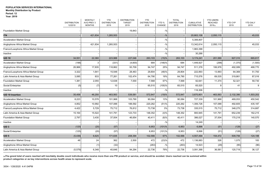**Year: 2019**

|                                      | <b>DISTRIBUTION</b><br>12/2019 | <b>MONTHLY</b><br>AVG PREV 3<br><b>MONTHS</b> | <b>YTD</b><br><b>DISTRIBUTION</b><br>2019 | <b>DISTRIBUTION</b><br><b>TARGET</b><br>2019 | <b>YTD</b><br><b>DISTRIBUTION</b><br>2018 | YTD %<br>CHANGE | <b>TOTAL</b><br><b>DISTRIBUTION</b><br>2018 | CUMULATIVE<br><b>DISTRIBUTION</b> | <b>YTD USERS</b><br><b>REACHED</b><br>2019(a) | <b>YTD CYP</b><br>2019 | <b>YTD DALY</b><br>2019 |
|--------------------------------------|--------------------------------|-----------------------------------------------|-------------------------------------------|----------------------------------------------|-------------------------------------------|-----------------|---------------------------------------------|-----------------------------------|-----------------------------------------------|------------------------|-------------------------|
| Foundation Market Group              |                                |                                               |                                           | 19,843                                       |                                           | $-$ %           |                                             |                                   |                                               |                        |                         |
| <b>ITN</b>                           |                                | 421,834                                       | 1,265,503                                 |                                              |                                           | $-$ %           |                                             | 20,663,108                        | 2,050,115                                     |                        | 45,033                  |
| <b>Acceleration Market Group</b>     |                                |                                               |                                           |                                              |                                           | $-9/6$          |                                             | 5,306,807                         |                                               |                        |                         |
| Anglophone Africa Market Group       |                                | 421,834                                       | 1,265,503                                 |                                              |                                           | $-$ %           |                                             | 13,342,614                        | 2,050,115                                     |                        | 45,033                  |
| Franco/Lusophone Africa Market Group |                                |                                               |                                           |                                              |                                           | $-$ %           |                                             | 1,983,399                         |                                               |                        |                         |
| Inactive                             |                                |                                               |                                           |                                              |                                           | $-$ %           |                                             | 30,288                            |                                               |                        |                         |
| <b>IUD 10</b>                        | 34,551                         | 22,360                                        | 223,988                                   | 227,046                                      | 263,103                                   | (15)%           | 263,103                                     | 3,174,241                         | 201,589                                       | 927,310                | 665,817                 |
| Acceleration Market Group            | (198)                          | 3                                             | (331)                                     | (4,600)                                      | 684                                       | (148)%          | 684                                         | 1,449,927                         | (298)                                         | (1,370)                | (1,500)                 |
| Anglophone Africa Market Group       | 26,966                         | 17,835                                        | 118,862                                   | 93,709                                       | 94,747                                    | 25%             | 94,747                                      | 511,378                           | 106,976                                       | 492,089                | 468,770                 |
| Franco/Lusophone Africa Market Group | 3,322                          | 1,641                                         | 15,548                                    | 28,463                                       | 29,804                                    | (48)%           | 29,804                                      | 222,893                           | 13,993                                        | 64,369                 | 51,793                  |
| Latin America & Asia Market Group    | 3,085                          | 833                                           | 77,261                                    | 102,474                                      | 64,790                                    | 19%             | 64,790                                      | 715,576                           | 69,535                                        | 319,861                | 87,016                  |
| Foundation Market Group              | 1,381                          | 2,055                                         | 12,638                                    | 7,000                                        | 7,568                                     | 67%             | 7,568                                       | 92,641                            | 11,374                                        | 52,321                 | 59,730                  |
| Social Enterprise                    | (5)                            | (7)                                           | 10                                        |                                              | 65,510                                    | $(100)\%$       | 65,510                                      | 65,520                            |                                               | 41                     | 9                       |
| Inactive                             |                                |                                               |                                           |                                              |                                           | $-$ %           |                                             | 116,306                           |                                               |                        |                         |
| <b>IUD 10 Insertion</b>              | 35,458                         | 46,250                                        | 463,563                                   | 539,581                                      | 572,847                                   | (19)%           | 572.847                                     | 3,670,801                         | 463,563                                       | 2,132,390              | 1,503,202               |
| <b>Acceleration Market Group</b>     | 8,223                          | 10,578                                        | 101,968                                   | 103,790                                      | 90,084                                    | 13%             | 90,084                                      | 727,339                           | 101,968                                       | 469,053                | 450,542                 |
| Anglophone Africa Market Group       | 4,852                          | 10,992                                        | 107,088                                   | 188,592                                      | 220,262                                   | (51)%           | 220,262                                     | 1,306,726                         | 107,088                                       | 492,605                | 435,187                 |
| Franco/Lusophone Africa Market Group | 4,422                          | 5,729                                         | 75,712                                    | 76,812                                       | 73,738                                    | 3%              | 73,738                                      | 335,515                           | 75,712                                        | 348,275                | 314,687                 |
| Latin America & Asia Market Group    | 15,164                         | 15,522                                        | 141,791                                   | 123,733                                      | 148,352                                   | (4)%            | 148,352                                     | 900,945                           | 141,791                                       | 652,239                | 162,215                 |
| Foundation Market Group              | 2,797                          | 3,430                                         | 37,004                                    | 46,654                                       | 40,411                                    | (8)%            | 40,411                                      | 386,027                           | 37,004                                        | 170,218                | 140,570                 |
| Inactive                             |                                |                                               |                                           |                                              |                                           | $-9/6$          |                                             | 14,249                            |                                               |                        |                         |
| <b>IUD3</b>                          | (125)                          | (20)                                          | (57)                                      |                                              | 6,953                                     | $(101)$ %       | 6,953                                       | 6,896                             | (51)                                          | (128)                  | (27)                    |
| Social Enterprise                    | (125)                          | (20)                                          | (57)                                      |                                              | 6,953                                     | (101)%          | 6,953                                       | 6,896                             | (51)                                          | (128)                  | (27)                    |
| <b>IUD 5</b>                         | (5, 436)                       | 6,625                                         | 171,635                                   | 208,394                                      | 102,566                                   | 67%             | 102,566                                     | 4,557,494                         | 154,472                                       | 509,756                | 124,188                 |
| <b>Acceleration Market Group</b>     | 48                             | 24                                            | 362                                       | 2,500                                        | 472                                       | (23)%           | 472                                         | 1,136,883                         | 326                                           | 1,075                  | 183                     |
| Anglophone Africa Market Group       |                                | (1)                                           | (32)                                      |                                              | (263)                                     | $-$ %           | (263)                                       | 14,523                            | (29)                                          | (95)                   | (96)                    |
| Latin America & Asia Market Group    | (5, 579)                       | 6,348                                         | 40,646                                    | 94,294                                       | 22,736                                    | 79%             | 22,736                                      | 3,091,368                         | 36,581                                        | 120,719                | 36,127                  |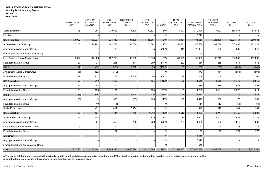#### **Period: 12**

**Year: 2019**

|                                      | <b>DISTRIBUTION</b><br>12/2019 | <b>MONTHLY</b><br>AVG PREV 3<br><b>MONTHS</b> | <b>YTD</b><br><b>DISTRIBUTION</b><br>2019 | <b>DISTRIBUTION</b><br><b>TARGET</b><br>2019 | <b>YTD</b><br><b>DISTRIBUTION</b><br>2018 | YTD %<br>CHANGE | <b>TOTAL</b><br><b>DISTRIBUTION</b><br>2018 | <b>CUMULATIVE</b><br><b>DISTRIBUTION</b> | <b>YTD USERS</b><br><b>REACHED</b><br>2019(a) | <b>YTD CYP</b><br>2019 | <b>YTD DALY</b><br>2019 |
|--------------------------------------|--------------------------------|-----------------------------------------------|-------------------------------------------|----------------------------------------------|-------------------------------------------|-----------------|---------------------------------------------|------------------------------------------|-----------------------------------------------|------------------------|-------------------------|
| Social Enterprise                    | 95                             | 254                                           | 130,659                                   | 111,600                                      | 79,621                                    | 64%             | 79,621                                      | 310,994                                  | 117,593                                       | 388,057                | 87,975                  |
| Inactive                             |                                |                                               |                                           |                                              |                                           | $-$ %           |                                             | 3,726                                    |                                               |                        |                         |
| <b>IUD 5 Insertion</b>               | 38,092                         | 33,924                                        | 325,380                                   | 131,309                                      | 115,881                                   | 181%            | 115,881                                     | 1,481,666                                | 325,380                                       | 1,073,754              | 289,835                 |
| <b>Acceleration Market Group</b>     | 27,103                         | 20,992                                        | 162,738                                   | 65,000                                       | 51,661                                    | 215%            | 51,661                                      | 343,588                                  | 162,738                                       | 537,035                | 121,524                 |
| Anglophone Africa Market Group       |                                |                                               | 162                                       |                                              | 345                                       | (53)%           | 345                                         | 28,984                                   | 162                                           | 535                    | 343                     |
| Franco/Lusophone Africa Market Group |                                |                                               |                                           |                                              |                                           | $-$ %           |                                             | 45                                       |                                               |                        |                         |
| Latin America & Asia Market Group    | 10,962                         | 12,906                                        | 162,215                                   | 65,998                                       | 63,576                                    | 155%            | 63,576                                      | 1,108,485                                | 162,215                                       | 535,309                | 167,093                 |
| <b>Foundation Market Group</b>       | 27                             | 24                                            | 265                                       | 311                                          | 299                                       | (11)%           | 299                                         | 564                                      | 265                                           | 874                    | 876                     |
| <b>IUS3</b>                          | 22                             | (95)                                          | (328)                                     | 2,500                                        | 98                                        | $(435)\%$       | 98                                          | (230)                                    | (295)                                         | (738)                  | (743)                   |
| Anglophone Africa Market Group       | (65)                           | (82)                                          | (379)                                     |                                              |                                           | $-$ %           |                                             | (379)                                    | (341)                                         | (853)                  | (808)                   |
| <b>Foundation Market Group</b>       | 87                             | (12)                                          | 51                                        | 2,500                                        | 98                                        | (48)%           | 98                                          | 149                                      | 46                                            | 115                    | 65                      |
| <b>IUS 3 Insertion</b>               | 153                            | 218                                           | 1,510                                     |                                              | 135                                       | 1,019%          | 135                                         | 1,645                                    | 1,510                                         | 3,775                  | 2,510                   |
| Anglophone Africa Market Group       | 65                             | 82                                            | 379                                       |                                              |                                           | $-$ %           |                                             | 379                                      | 379                                           | 948                    | 898                     |
| <b>Foundation Market Group</b>       | 88                             | 136                                           | 1,131                                     |                                              | 135                                       | 738%            | 135                                         | 1,266                                    | 1,131                                         | 2,828                  | 1,611                   |
| IUS 5                                | (8)                            | (46)                                          | 803                                       | 5,128                                        | 126                                       | 537%            | 126                                         | 1,883                                    | 723                                           | 2,385                  | 1,533                   |
| Anglophone Africa Market Group       | (8)                            | (5)                                           | 395                                       | (56)                                         | 126                                       | 213%            | 126                                         | 1,475                                    | 356                                           | 1,173                  | 1,332                   |
| Foundation Market Group              |                                | 10 <sup>1</sup>                               | (11)                                      |                                              |                                           | $-$ %           |                                             | (11)                                     | (10)                                          | (33)                   | (81)                    |
| Social Enterprise                    |                                | (51)                                          | 419                                       | 5,184                                        |                                           | $-$ %           |                                             | 419                                      | 377                                           | 1,244                  | 282                     |
| <b>IUS 5 Insertion</b>               | 86                             | 124                                           | 1,744                                     | 756                                          | 1,516                                     | 15%             | 1,516                                       | 4,253                                    | 1,744                                         | 5,755                  | 5,993                   |
| <b>Acceleration Market Group</b>     | 75                             | 103                                           | 1,102                                     | $\overline{\phantom{a}}$                     | 775                                       | 42%             | 775                                         | 2,503                                    | 1,102                                         | 3,637                  | 4,182                   |
| Anglophone Africa Market Group       | 8                              | 21                                            | 550                                       | 756                                          | 739                                       | $(26)\%$        | 739                                         | 1,655                                    | 550                                           | 1,815                  | 1,530                   |
| Latin America & Asia Market Group    | 3                              | -1                                            | 10                                        |                                              | $\overline{2}$                            | 400%            | $\overline{2}$                              | 13                                       | 10                                            | 33                     | 6                       |
| <b>Foundation Market Group</b>       |                                |                                               | 82                                        |                                              |                                           | $-$ %           |                                             | 82                                       | 82                                            | 271                    | 276                     |
| LifeStraw                            |                                |                                               |                                           |                                              |                                           | $-9/6$          |                                             | 15,965                                   |                                               |                        |                         |
| Anglophone Africa Market Group       |                                |                                               |                                           |                                              |                                           | $-$ %           |                                             | 15,320                                   |                                               |                        |                         |
| Franco/Lusophone Africa Market Group |                                |                                               |                                           |                                              |                                           | $-$ %           |                                             | 645                                      |                                               |                        |                         |
| LLIN                                 | 1,547,796                      | 1,186,194                                     | 9,265,240                                 | 18,656,324                                   | 31,104,885                                | (70)%           | 31,104,885                                  | 367,900,639                              | 15,009,689                                    |                        | 2,323,595               |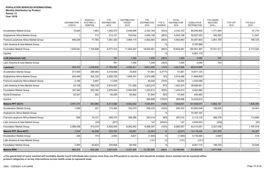|  | . |            |  |
|--|---|------------|--|
|  |   | Year: 2019 |  |

|                                      | <b>DISTRIBUTION</b><br>12/2019 | <b>MONTHLY</b><br>AVG PREV 3<br><b>MONTHS</b> | <b>YTD</b><br><b>DISTRIBUTION</b><br>2019 | <b>DISTRIBUTION</b><br><b>TARGET</b><br>2019 | <b>YTD</b><br><b>DISTRIBUTION</b><br>2018 | YTD %<br><b>CHANGE</b> | <b>TOTAL</b><br><b>DISTRIBUTION</b><br>2018 | <b>CUMULATIVE</b><br><b>DISTRIBUTION</b> | <b>YTD USERS</b><br><b>REACHED</b><br>2019(a) | <b>YTD CYP</b><br>2019 | <b>YTD DALY</b><br>2019 |
|--------------------------------------|--------------------------------|-----------------------------------------------|-------------------------------------------|----------------------------------------------|-------------------------------------------|------------------------|---------------------------------------------|------------------------------------------|-----------------------------------------------|------------------------|-------------------------|
| <b>Acceleration Market Group</b>     | 10,625                         | 1,853                                         | 1,093,373                                 | 2,049,898                                    | 2,332,163                                 | (53)%                  | 2,332,163                                   | 65,044,809                               | 1,771,264                                     |                        | 41,770                  |
| Anglophone Africa Market Group       |                                | 713                                           | 213,151                                   | 700,054                                      | 4,545,198                                 | (95)%                  | 4,545,198                                   | 56,897,553                               | 345,305                                       |                        | 11,557                  |
| Franco/Lusophone Africa Market Group | 498,229                        | 77,780                                        | 1,581,302                                 | 3,964,115                                    | 4,602,963                                 | $(66)$ %               | 4,602,963                                   | 54,057,803                               | 2,561,709                                     |                        | 156,725                 |
| Latin America & Asia Market Group    |                                |                                               |                                           |                                              |                                           | $-$ %                  |                                             | 5,197,868                                |                                               |                        |                         |
| <b>Foundation Market Group</b>       | 1,038,941                      | 1,105,848                                     | 6,377,414                                 | 11,942,257                                   | 19,624,561                                | (68)%                  | 19,624,561                                  | 182,641,487                              | 10,331,411                                    |                        | 2,113,544               |
| Inactive                             |                                |                                               |                                           |                                              |                                           | $-9/6$                 |                                             | 4,061,119                                |                                               |                        |                         |
| <b>LLIN (Hammock net)</b>            |                                |                                               | 781                                       | 1,350                                        | 1,259                                     | (38)%                  | 1,259                                       | 2,085                                    | 703                                           |                        |                         |
| Latin America & Asia Market Group    |                                |                                               | 781                                       | 1,350                                        | 1,259                                     | (38)%                  | 1,259                                       | 2,085                                    | 703                                           |                        |                         |
| Lubricant                            | 782,370                        | 1,229,832                                     | 11,793,095                                | 5,295,911                                    | 5,621,900                                 | 110%                   | 5,621,900                                   | 89,574,969                               |                                               |                        |                         |
| <b>Acceleration Market Group</b>     | 271,000                        | 286,000                                       | 2,318,836                                 | 70,000                                       | 51,861                                    | 4,371%                 | 51,861                                      | 15,871,125                               |                                               |                        |                         |
| Anglophone Africa Market Group       | 245,469                        | 324,724                                       | 2,926,726                                 | 1,900,761                                    | 2,574,286                                 | 14%                    | 2,574,286                                   | 11,669,908                               |                                               |                        |                         |
| Franco/Lusophone Africa Market Group | 2,184                          | 2,667                                         | 11,039                                    |                                              | 45,024                                    | (75)%                  | 45,024                                      | 1,533,058                                |                                               |                        |                         |
| Latin America & Asia Market Group    | 43,136                         | 350,729                                       | 2,810,451                                 | 731,208                                      | 1,423,274                                 | 97%                    | 1,423,274                                   | 39,508,941                               |                                               |                        |                         |
| <b>Foundation Market Group</b>       | 197,340                        | 265,160                                       | 3,676,834                                 | 2,500,000                                    | 1,223,813                                 | 200%                   | 1,223,813                                   | 5,922,862                                |                                               |                        |                         |
| Social Enterprise                    | 23,241                         | 552                                           | 49,209                                    | 93,942                                       | 37,944                                    | 30%                    | 37,944                                      | 635,465                                  |                                               |                        |                         |
| Inactive                             |                                |                                               |                                           |                                              | 265,698                                   | $(100)\%$              | 265,698                                     | 14,433,610                               |                                               |                        |                         |
| <b>Malaria PPT (ACT)</b>             | 3,091,373                      | 483,968                                       | 6,513,485                                 | 6,562,602                                    | 7,543,851                                 | (14)%                  | 7,543,851                                   | 141,646,077                              | 5,862,137                                     |                        | 1,926,050               |
| <b>Acceleration Market Group</b>     | 1,089                          | 391                                           | 174,362                                   | 182,270                                      | 256,333                                   | (32)%                  | 256,333                                     | 63,892,648                               | 156,926                                       |                        | 24,461                  |
| Anglophone Africa Market Group       |                                |                                               |                                           |                                              |                                           | $-$ %                  |                                             | 10,387,257                               |                                               |                        |                         |
| Franco/Lusophone Africa Market Group | 828                            | 10,131                                        | 409,310                                   | 326,390                                      | 297,014                                   | 38%                    | 297,014                                     | 2,112,118                                | 368,379                                       |                        | 113,695                 |
| Latin America & Asia Market Group    |                                | (24)                                          | (227)                                     |                                              | 147                                       | $(254)$ %              | 147                                         | 2,839,503                                | (204)                                         |                        | (25)                    |
| <b>Foundation Market Group</b>       | 3,089,456                      | 473,470                                       | 5,930,040                                 | 6,053,942                                    | 6,990,357                                 | (15)%                  | 6,990,357                                   | 62,414,551                               | 5,337,036                                     |                        | 1,787,919               |
| <b>Malaria PPT (Non-ACT)</b>         | 7,224                          | 40,808                                        | 223,754                                   | 83,621                                       | (2,041)                                   | $-$ %                  | (2,041)                                     | 14,118,042                               | 201,379                                       |                        | 24,351                  |
| <b>Acceleration Market Group</b>     | 224                            | 174                                           | 2,954                                     | 3,621                                        | (1,900)                                   | $-$ %                  | (1,900)                                     | 5,116,468                                | 2,659                                         |                        | 414                     |
| Latin America & Asia Market Group    |                                |                                               |                                           |                                              | (141)                                     | $-$ %                  | (141)                                       | (141)                                    |                                               |                        |                         |
| <b>Foundation Market Group</b>       | 7,000                          | 40,633                                        | 220,800                                   | 80,000                                       |                                           | $-$ %                  |                                             | 9,001,715                                | 198,720                                       |                        | 23,936                  |
| <b>Malaria RDK</b>                   | 992,370                        | 632,355                                       | 3,857,675                                 | 4,357,458                                    | 12,180,985                                | (68)%                  | 12,180,985                                  | 63,305,638                               | 3,471,908                                     |                        |                         |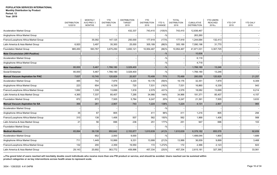|                                         | <b>DISTRIBUTION</b><br>12/2019 | <b>MONTHLY</b><br>AVG PREV 3<br><b>MONTHS</b> | <b>YTD</b><br><b>DISTRIBUTION</b><br>2019 | <b>DISTRIBUTION</b><br><b>TARGET</b><br>2019 | <b>YTD</b><br><b>DISTRIBUTION</b><br>2018 | YTD %<br>CHANGE | <b>TOTAL</b><br><b>DISTRIBUTION</b><br>2018 | <b>CUMULATIVE</b><br><b>DISTRIBUTION</b> | <b>YTD USERS</b><br><b>REACHED</b><br>2019(a) | <b>YTD CYP</b><br>2019 | <b>YTD DALY</b><br>2019 |
|-----------------------------------------|--------------------------------|-----------------------------------------------|-------------------------------------------|----------------------------------------------|-------------------------------------------|-----------------|---------------------------------------------|------------------------------------------|-----------------------------------------------|------------------------|-------------------------|
| <b>Acceleration Market Group</b>        |                                |                                               |                                           | 432,337                                      | 743,410                                   | $(100)\%$       | 743,410                                     | 12,836,467                               |                                               |                        |                         |
| Anglophone Africa Market Group          |                                |                                               |                                           |                                              |                                           | $-$ %           |                                             | 263,260                                  |                                               |                        |                         |
| Franco/Lusophone Africa Market Group    |                                | 35,092                                        | 147,125                                   | 250,000                                      | 177,919                                   | (17)%           | 177,919                                     | 1,244,684                                | 132,413                                       |                        |                         |
| Latin America & Asia Market Group       | 6,920                          | 3,497                                         | 35,300                                    | 25,000                                       | 305,189                                   | (88)%           | 305,189                                     | 7,090,196                                | 31,770                                        |                        |                         |
| Foundation Market Group                 | 985,450                        | 593,767                                       | 3,675,250                                 | 3,650,121                                    | 10,954,467                                | (66)%           | 10,954,467                                  | 41,871,031                               | 3,307,725                                     |                        |                         |
| <b>Male Circumcision (HIV-Positive)</b> |                                |                                               |                                           |                                              |                                           | $-9/0$          |                                             | 10,836                                   |                                               |                        |                         |
| <b>Acceleration Market Group</b>        |                                |                                               |                                           |                                              |                                           | $-9/6$          |                                             | 6,118                                    |                                               |                        |                         |
| Anglophone Africa Market Group          |                                |                                               |                                           |                                              |                                           | $-$ %           |                                             | 4,718                                    |                                               |                        |                         |
| Male Vasodilator                        | 80,000                         | 5,467                                         | 1,766,180                                 | 3,029,400                                    |                                           | $-9/0$          |                                             | 1,766,180                                | 13,246                                        |                        |                         |
| Social Enterprise                       | 80,000                         | 5,467                                         | 1,766,180                                 | 3,029,400                                    |                                           | $-$ %           |                                             | 1,766,180                                | 13,246                                        |                        |                         |
| <b>Manual Vacuum Aspiration for PAC</b> | 7,637                          | 10,745                                        | 120,829                                   | 20,937                                       | 70,499                                    | 71%             | 70,499                                      | 280,055                                  | 120,829                                       |                        | 21,257                  |
| <b>Acceleration Market Group</b>        | 485                            | 742                                           | 7,879                                     | 5,220                                        | 19,176                                    | (59)%           | 19,176                                      | 32,351                                   | 7,879                                         |                        | 6,309                   |
| Anglophone Africa Market Group          | 223                            | 654                                           | 6,339                                     | 720                                          | 7,531                                     | (16)%           | 7,531                                       | 16,860                                   | 6,339                                         |                        | 943                     |
| Franco/Lusophone Africa Market Group    | 1,692                          | 1,339                                         | 13,699                                    | 1,918                                        | 2,579                                     | 431%            | 2,579                                       | 18,082                                   | 13,699                                        |                        | 6,214                   |
| Latin America & Asia Market Group       | 4,365                          | 7,337                                         | 85,407                                    | 7,295                                        | 34,966                                    | 144%            | 34,966                                      | 191,371                                  | 85,407                                        |                        | 4,157                   |
| <b>Foundation Market Group</b>          | 872                            | 672                                           | 7,505                                     | 5,784                                        | 6,247                                     | 20%             | 6,247                                       | 21,391                                   | 7,505                                         |                        | 3,633                   |
| <b>Manual Vacuum Aspiration for SA</b>  | 366                            | 261                                           | 2,907                                     | 743                                          | 1,224                                     | 138%            | 1,224                                       | 4,131                                    | 2,907                                         |                        | 965                     |
| Acceleration Market Group               |                                |                                               |                                           |                                              |                                           | $-$ %           |                                             |                                          |                                               |                        |                         |
| Anglophone Africa Market Group          | 35                             | 67                                            | 805                                       |                                              | 411                                       | 96%             | 411                                         | 1,216                                    | 805                                           |                        | 294                     |
| Franco/Lusophone Africa Market Group    | 310                            | 138                                           | 1,406                                     | 507                                          | 562                                       | 150%            | 562                                         | 1,968                                    | 1,406                                         |                        | 568                     |
| Latin America & Asia Market Group       | 21                             | 56                                            | 696                                       | 236                                          | 251                                       | 177%            | 251                                         | 947                                      | 696                                           |                        | 103                     |
| <b>Foundation Market Group</b>          |                                |                                               |                                           |                                              |                                           | $-$ %           |                                             |                                          |                                               |                        |                         |
| <b>Medical Abortion</b>                 | 65,894                         | 39,138                                        | 950,642                                   | 2,153,877                                    | 1,610,639                                 | (41)%           | 1,610,639                                   | 6,378,182                                | 855,578                                       |                        | 92,659                  |
| <b>Acceleration Market Group</b>        |                                | 652                                           | 2,000                                     | 9,000                                        |                                           | $-$ %           |                                             | 1,499,044                                | 1,800                                         |                        | 1,689                   |
| Anglophone Africa Market Group          | 711                            | 1,449                                         | 10,999                                    | 9,331                                        | 13,999                                    | $(21)\%$        | 13,999                                      | 36,009                                   | 9,899                                         |                        | 3,468                   |
| Franco/Lusophone Africa Market Group    | 132                            | 200                                           | 2,359                                     | 19,550                                       | 172                                       | 1,272%          | 172                                         | 2,366                                    | 2,123                                         |                        | 823                     |
| Latin America & Asia Market Group       | 29,143                         | 20,692                                        | 363,772                                   | 459,996                                      | 457,334                                   | (20)%           | 457,334                                     | 2,615,181                                | 327,395                                       |                        | 33,561                  |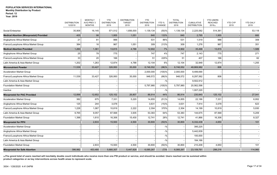**Year: 2019**

|                                                | <b>DISTRIBUTION</b><br>12/2019 | <b>MONTHLY</b><br>AVG PREV 3<br><b>MONTHS</b> | <b>YTD</b><br><b>DISTRIBUTION</b><br>2019 | <b>DISTRIBUTION</b><br><b>TARGET</b><br>2019 | <b>YTD</b><br><b>DISTRIBUTION</b><br>2018 | YTD %<br>CHANGE | <b>TOTAL</b><br><b>DISTRIBUTION</b><br>2018 | <b>CUMULATIVE</b><br><b>DISTRIBUTION</b> | <b>YTD USERS</b><br><b>REACHED</b><br>2019(a) | <b>YTD CYP</b><br>2019 | <b>YTD DALY</b><br>2019 |
|------------------------------------------------|--------------------------------|-----------------------------------------------|-------------------------------------------|----------------------------------------------|-------------------------------------------|-----------------|---------------------------------------------|------------------------------------------|-----------------------------------------------|------------------------|-------------------------|
| Social Enterprise                              | 35,908                         | 16,145                                        | 571,512                                   | 1,656,000                                    | 1.139.134                                 | (50)%           | 1,139,134                                   | 2,225,582                                | 514.361                                       |                        | 53,118                  |
| <b>Medical Abortion (Misoprostol) Provided</b> | 405                            | 98                                            | 1,955                                     | 1,051                                        | 840                                       | 133%            | 840                                         | 2,795                                    | 1,955                                         |                        | 660                     |
| Anglophone Africa Market Group                 | 21                             | 81                                            | 988                                       |                                              | 531                                       | 86%             | 531                                         | 1,519                                    | 988                                           |                        | 309                     |
| Franco/Lusophone Africa Market Group           | 384                            | 16                                            | 967                                       | 1,051                                        | 309                                       | 213%            | 309                                         | 1,276                                    | 967                                           |                        | 351                     |
| <b>Medical Abortion Provided</b>               | 1,260                          | 1,361                                         | 13,815                                    | 4,788                                        | 12,902                                    | 7%              | 12,902                                      | 35,498                                   | 13,815                                        |                        | 1,589                   |
| Anglophone Africa Market Group                 | 25                             | 78                                            | 775                                       |                                              | 747                                       | 4%              | 747                                         | 2,143                                    | 775                                           |                        | 271                     |
| Franco/Lusophone Africa Market Group           | 33                             | 20                                            | 166                                       |                                              | 51                                        | 225%            | 51                                          | 407                                      | 166                                           |                        | 62                      |
| Latin America & Asia Market Group              | 1,202                          | 1,263                                         | 12,874                                    | 4,788                                        | 12,104                                    | 6%              | 12,104                                      | 32,948                                   | 12,874                                        |                        | 1,255                   |
| <b>Micronutrient Powder</b>                    | 11,539                         | 33,427                                        | 326,950                                   | 35,000                                       | 8,746,552                                 | (96)%           | 8,746,552                                   | 48,869,982                               | 806                                           |                        |                         |
| Acceleration Market Group                      |                                |                                               |                                           |                                              | 2,000,000                                 | $(100)$ %       | 2,000,000                                   | 9,499,690                                |                                               |                        |                         |
| Franco/Lusophone Africa Market Group           | 11,539                         | 33,427                                        | 326,950                                   | 35,000                                       | 948,572                                   | (66)%           | 948,572                                     | 8,297,562                                | 806                                           |                        |                         |
| Latin America & Asia Market Group              |                                |                                               |                                           |                                              |                                           | $-$ %           |                                             | 9,502,912                                |                                               |                        |                         |
| <b>Foundation Market Group</b>                 |                                |                                               |                                           |                                              | 5,797,980                                 | $(100)\%$       | 5,797,980                                   | 20,562,598                               |                                               |                        |                         |
| Inactive                                       |                                |                                               |                                           |                                              |                                           | $-$ %           |                                             | 1,007,220                                |                                               |                        |                         |
| <b>Misoprostol for PAC Provided</b>            | 12,898                         | 12,652                                        | 125,102                                   | 26,807                                       | 86,914                                    | 44%             | 86,914                                      | 230,840                                  | 125,102                                       |                        | 27,041                  |
| Acceleration Market Group                      | 382                            | 675                                           | 7,331                                     | 5,220                                        | 14,855                                    | (51)%           | 14,855                                      | 22,186                                   | 7,331                                         |                        | 6,952                   |
| Anglophone Africa Market Group                 | 125                            | 244                                           | 3,078                                     |                                              | 3,631                                     | (15)%           | 3,631                                       | 7,914                                    | 3,078                                         |                        | 623                     |
| Franco/Lusophone Africa Market Group           | 1,228                          | 1,067                                         | 10,819                                    | 2,222                                        | 2,304                                     | 370%            | 2,304                                       | 14,199                                   | 10,819                                        |                        | 5,930                   |
| Latin America & Asia Market Group              | 9,765                          | 9,057                                         | 87,568                                    | 3,935                                        | 53,383                                    | 64%             | 53,383                                      | 144,675                                  | 87,568                                        |                        | 5,209                   |
| <b>Foundation Market Group</b>                 | 1,398                          | 1,610                                         | 16,306                                    | 15,430                                       | 12,741                                    | 28%             | 12,741                                      | 41,866                                   | 16,306                                        |                        | 8,327                   |
| <b>Misoprostol for PPH</b>                     |                                | 2,833                                         | 15,500                                    | 4,500                                        | 30,800                                    | (50)%           | 30,800                                      | 6,332,438                                | 4,650                                         |                        | 101                     |
| <b>Acceleration Market Group</b>               |                                |                                               |                                           |                                              |                                           | $-$ %           |                                             | 395,225                                  |                                               |                        |                         |
| Anglophone Africa Market Group                 |                                |                                               |                                           |                                              |                                           | $-$ %           |                                             | 5,442,839                                |                                               |                        |                         |
| Franco/Lusophone Africa Market Group           |                                |                                               |                                           |                                              |                                           | $-$ %           |                                             | 100,000                                  |                                               |                        |                         |
| Latin America & Asia Market Group              |                                |                                               |                                           |                                              |                                           | $-$ %           |                                             | 184,166                                  |                                               |                        |                         |
| <b>Foundation Market Group</b>                 |                                | 2,833                                         | 15,500                                    | 4,500                                        | 30,800                                    | $(50) \%$       | 30,800                                      | 210,208                                  | 4,650                                         |                        | 101                     |
| <b>Misoprostol for Safe Abortion</b>           | 396,982                        | 453,480                                       | 5,680,307                                 | 5,447,828                                    | 6,085,267                                 | (7)%            | 6,085,267                                   | 23,109,761                               | 298,216                                       |                        | 114,960                 |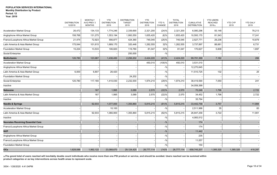|                                          | <b>DISTRIBUTION</b><br>12/2019 | <b>MONTHLY</b><br>AVG PREV 3<br><b>MONTHS</b> | <b>YTD</b><br><b>DISTRIBUTION</b><br>2019 | <b>DISTRIBUTION</b><br><b>TARGET</b><br>2019 | <b>YTD</b><br><b>DISTRIBUTION</b><br>2018 | YTD %<br>CHANGE | <b>TOTAL</b><br><b>DISTRIBUTION</b><br>2018 | <b>CUMULATIVE</b><br><b>DISTRIBUTION</b> | <b>YTD USERS</b><br><b>REACHED</b><br>2019(a) | <b>YTD CYP</b><br>2019 | <b>YTD DALY</b><br>2019 |
|------------------------------------------|--------------------------------|-----------------------------------------------|-------------------------------------------|----------------------------------------------|-------------------------------------------|-----------------|---------------------------------------------|------------------------------------------|-----------------------------------------------|------------------------|-------------------------|
| <b>Acceleration Market Group</b>         | 26,472                         | 134,133                                       | 1,774,246                                 | 2,339,690                                    | 2,321,200                                 | (24)%           | 2,321,200                                   | 6,080,296                                | 93,148                                        |                        | 78,213                  |
| Anglophone Africa Market Group           | 158,768                        | 131,275                                       | 1,553,194                                 | 1,993,550                                    | 1,655,420                                 | (6)%            | 1,655,420                                   | 10,593,170                               | 81,543                                        |                        | 17,241                  |
| Franco/Lusophone Africa Market Group     | 21,474                         | 72,923                                        | 556,877                                   | 424,360                                      | 745,045                                   | (25)%           | 745,045                                     | 2,527,771                                | 29,236                                        |                        | 10,879                  |
| Latin America & Asia Market Group        | 175,044                        | 101,615                                       | 1,689,170                                 | 320,448                                      | 1,282,555                                 | 32%             | 1,282,555                                   | 3,737,897                                | 88,681                                        |                        | 6,731                   |
| <b>Foundation Market Group</b>           | 15,224                         | 13,533                                        | 106,820                                   | 119,780                                      | 81,047                                    | 32%             | 81,047                                      | 170,627                                  | 5,608                                         |                        | 1,897                   |
| Social Enterprise                        |                                |                                               |                                           | 250,000                                      |                                           | $-$ %           |                                             |                                          |                                               |                        |                         |
| <b>Multivitamin</b>                      | 126,780                        | 123,987                                       | 1,436,450                                 | 2,256,202                                    | 2,424,220                                 | (41)%           | 2,424,220                                   | 99,791,369                               | 7,182                                         |                        | 266                     |
| <b>Acceleration Market Group</b>         |                                |                                               |                                           |                                              | 450,010                                   | $(100)\%$       | 450,010                                     | 3,531,010                                |                                               |                        |                         |
| Anglophone Africa Market Group           |                                |                                               |                                           |                                              |                                           | $-$ %           |                                             | 12,270,645                               |                                               |                        |                         |
| Latin America & Asia Market Group        | 6,000                          | 6,807                                         | 26,420                                    |                                              |                                           | $-$ %           |                                             | 11,510,725                               | 132                                           |                        | 25                      |
| <b>Foundation Market Group</b>           |                                |                                               |                                           | 24,202                                       |                                           | $-$ %           |                                             |                                          |                                               |                        |                         |
| Social Enterprise                        | 120,780                        | 117,180                                       | 1,410,030                                 | 2,232,000                                    | 1,974,210                                 | (29)%           | 1,974,210                                   | 38,419,590                               | 7,050                                         |                        | 241                     |
| Inactive                                 |                                |                                               |                                           |                                              |                                           | $-$ %           |                                             | 34,059,399                               |                                               |                        |                         |
| Naloxone                                 |                                | 167                                           | 1,995                                     | 3,089                                        | 2,570                                     | (22)%           | 2,570                                       | 70,246                                   | 1,796                                         |                        | 2,722                   |
| Latin America & Asia Market Group        |                                | 167                                           | 1,995                                     | 3,089                                        | 2,570                                     | (22)%           | 2,570                                       | 34,452                                   | 1,796                                         |                        | 2,722                   |
| Inactive                                 |                                |                                               |                                           |                                              |                                           | $-$ %           |                                             | 35,794                                   |                                               |                        |                         |
| <b>Needle &amp; Syringe</b>              |                                | 92,933                                        | 1,077,000                                 | 1,355,860                                    | 5,815,215                                 | (81)%           | 5,815,215                                   | 33,442,758                               | 3,757                                         |                        | 11,984                  |
| <b>Acceleration Market Group</b>         |                                |                                               | 10,100                                    |                                              |                                           | $-$ %           |                                             | 2,511,988                                | 35                                            |                        | 83                      |
| Latin America & Asia Market Group        |                                | 92,933                                        | 1,066,900                                 | 1,355,860                                    | 5,815,215                                 | (82)%           | 5,815,215                                   | 26,847,258                               | 3,722                                         |                        | 11,901                  |
| Inactive                                 |                                |                                               |                                           |                                              |                                           | $-$ %           |                                             | 4,083,512                                |                                               |                        |                         |
| <b>Neonates Receiving Essential Care</b> |                                |                                               |                                           |                                              |                                           | $-9/0$          |                                             | 174                                      |                                               |                        |                         |
| Franco/Lusophone Africa Market Group     |                                |                                               |                                           |                                              |                                           | $-$ %           |                                             | 174                                      |                                               |                        |                         |
| <b>NVP</b>                               |                                |                                               |                                           |                                              |                                           | $- \frac{0}{0}$ |                                             | 11,442                                   |                                               |                        |                         |
| Anglophone Africa Market Group           |                                |                                               |                                           |                                              |                                           | $-$ %           |                                             | 235                                      |                                               |                        |                         |
| Franco/Lusophone Africa Market Group     |                                |                                               |                                           |                                              |                                           | $-$ %           |                                             | 11,057                                   |                                               |                        |                         |
| Foundation Market Group                  |                                |                                               |                                           |                                              |                                           | $-$ %           |                                             | 150                                      |                                               |                        |                         |
| <b>OCs</b>                               | 1,628,088                      | 1,992,122                                     | 23,088,670                                | 29, 124, 425                                 | 26,777,114                                | (14)%           | 26,777,114                                  | 658,745,207                              | 1,385,320                                     | 1,385,320              | 418,287                 |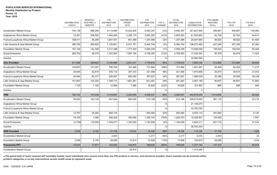|                                      | <b>DISTRIBUTION</b><br>12/2019 | <b>MONTHLY</b><br>AVG PREV 3<br><b>MONTHS</b> | <b>YTD</b><br><b>DISTRIBUTION</b><br>2019 | <b>DISTRIBUTION</b><br><b>TARGET</b><br>2019 | <b>YTD</b><br><b>DISTRIBUTION</b><br>2018 | YTD %<br><b>CHANGE</b> | <b>TOTAL</b><br><b>DISTRIBUTION</b><br>2018 | <b>CUMULATIVE</b><br><b>DISTRIBUTION</b> | <b>YTD USERS</b><br><b>REACHED</b><br>2019(a) | <b>YTD CYP</b><br>2019 | <b>YTD DALY</b><br>2019 |
|--------------------------------------|--------------------------------|-----------------------------------------------|-------------------------------------------|----------------------------------------------|-------------------------------------------|------------------------|---------------------------------------------|------------------------------------------|-----------------------------------------------|------------------------|-------------------------|
| <b>Acceleration Market Group</b>     | 750,138                        | 996,206                                       | 9,114,680                                 | 10,222,400                                   | 9,492,397                                 | (4)%                   | 9,492,397                                   | 321,627,956                              | 546,881                                       | 546,881                | 154,562                 |
| Anglophone Africa Market Group       | 15,301                         | 208,582                                       | 1,545,840                                 | 2,258,175                                    | 2,600,283                                 | (41)%                  | 2,600,283                                   | 81,500,893                               | 92,750                                        | 92,750                 | 44,612                  |
| Franco/Lusophone Africa Market Group | 198,011                        | 89,289                                        | 1,647,001                                 | 851,499                                      | 1,347,096                                 | 22%                    | 1,347,096                                   | 26,467,894                               | 98,820                                        | 98,820                 | 61,600                  |
| Latin America & Asia Market Group    | 290,792                        | 509,620                                       | 7,120,821                                 | 6,917,751                                    | 6,484,744                                 | 10%                    | 6,484,744                                   | 106,573,492                              | 427,249                                       | 427,249                | 81,083                  |
| Foundation Market Group              | 167,144                        | 142,346                                       | 2,317,388                                 | 1,777,420                                    | 2,094,239                                 | 11%                    | 2,094,239                                   | 73,056,038                               | 139,043                                       | 139,043                | 65,406                  |
| Social Enterprise                    | 206,702                        | 46,079                                        | 1,342,940                                 | 7,097,180                                    | 4,758,355                                 | (72)%                  | 4,758,355                                   | 17,426,340                               | 80,576                                        | 80,576                 | 11,023                  |
| Inactive                             |                                |                                               |                                           |                                              |                                           | $-$ %                  |                                             | 32,092,594                               |                                               |                        |                         |
| <b>OCs Provided</b>                  | 371,558                        | 329,623                                       | 3,194,849                                 | 2,831,217                                    | 1,778,915                                 | 80%                    | 1,778,915                                   | 7,564,163                                | 212,990                                       | 212,990                | 85,645                  |
| <b>Acceleration Market Group</b>     | 144,657                        | 101,057                                       | 756,782                                   | 181,469                                      | 151,894                                   | 398%                   | 151,894                                     | 1,001,891                                | 50,452                                        | 50,452                 | 11,210                  |
| Anglophone Africa Market Group       | 29,805                         | 42,815                                        | 535,112                                   | 357,372                                      | 321,499                                   | 66%                    | 321,499                                     | 1,919,858                                | 35,674                                        | 35,674                 | 21,912                  |
| Franco/Lusophone Africa Market Group | 43,694                         | 62,377                                        | 530,857                                   | 683,520                                      | 367,827                                   | 44%                    | 367,827                                     | 1,489,339                                | 35,390                                        | 35,390                 | 30,239                  |
| Latin America & Asia Market Group    | 151,667                        | 122,220                                       | 1,359,110                                 | 1,601,361                                    | 921,067                                   | 48%                    | 921,067                                     | 2,991,169                                | 90,607                                        | 90,607                 | 21,682                  |
| <b>Foundation Market Group</b>       | 1,735                          | 1,155                                         | 12,988                                    | 7,495                                        | 16,628                                    | (22)%                  | 16.628                                      | 161,902                                  | 866                                           | 866                    | 602                     |
| Inactive                             |                                |                                               |                                           |                                              |                                           | $-9/6$                 |                                             |                                          |                                               |                        |                         |
| <b>ORS</b>                           | 126,122                        | 137,249                                       | 3,143,681                                 | 2,220,000                                    | 3,408,447                                 | (8)%                   | 3,408,447                                   | 443,579,240                              | 1,414,656                                     |                        | 62,922                  |
| Acceleration Market Group            | 38,020                         | 124,149                                       | 847,044                                   | 600,000                                      | 514,198                                   | 65%                    | 514,198                                     | 326,810,645                              | 381,170                                       |                        | 22,210                  |
| Anglophone Africa Market Group       |                                |                                               |                                           |                                              |                                           | $-$ %                  |                                             | 21,149,275                               |                                               |                        |                         |
| Franco/Lusophone Africa Market Group |                                |                                               |                                           |                                              |                                           | $-$ %                  |                                             | 32,783,783                               |                                               |                        |                         |
| Latin America & Asia Market Group    | 12,797                         | 28,283                                        | 648,134                                   |                                              | 500,000                                   | 30%                    | 500,000                                     | 4,925,115                                | 291,660                                       |                        | 6,130                   |
| Foundation Market Group              | 79,104                         | 1,080                                         | 299,226                                   | 300,000                                      | 1,249,743                                 | (76)%                  | 1,249,743                                   | 16,326,907                               | 134,652                                       |                        | 7,507                   |
| Social Enterprise                    | (3,799)                        | (16, 263)                                     | 1,349,277                                 | 1,320,000                                    | 1,144,506                                 | 18%                    | 1,144,506                                   | 2,820,211                                | 607,175                                       |                        | 27,074                  |
| Inactive                             |                                |                                               |                                           |                                              |                                           | $-$ %                  |                                             | 38,763,304                               |                                               |                        |                         |
| <b>ORS Provided</b>                  | 3,538                          | 2,150                                         | 31,138                                    | 13,914                                       | 15,726                                    | 98%                    | 15,726                                      | 112,100                                  | 31,138                                        |                        | 1,549                   |
| <b>Acceleration Market Group</b>     |                                |                                               | 2,043                                     |                                              | 2,217                                     | (8)%                   | 2,217                                       | 9,430                                    | 2,043                                         |                        | 33                      |
| <b>Foundation Market Group</b>       | 3,538                          | 2,150                                         | 29,095                                    | 13,914                                       | 13,509                                    | 115%                   | 13,509                                      | 102,670                                  | 29,095                                        |                        | 1,516                   |
| Pneumonia PPT                        | 12,610                         | 17,677                                        | 152,525                                   | 124,910                                      | 768,635                                   | (80)%                  | 768,635                                     | 7,277,183                                | 137,273                                       |                        | 55,974                  |
| <b>Acceleration Market Group</b>     |                                |                                               |                                           | 28,910                                       |                                           | $-$ %                  |                                             | 1,414,256                                |                                               |                        |                         |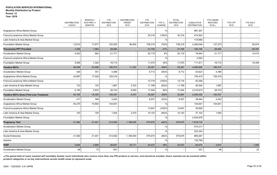|                                                 | <b>DISTRIBUTION</b> | <b>MONTHLY</b><br>AVG PREV 3 | <b>YTD</b><br><b>DISTRIBUTION</b> | <b>DISTRIBUTION</b><br><b>TARGET</b> | <b>YTD</b><br><b>DISTRIBUTION</b> | YTD %     | <b>TOTAL</b><br><b>DISTRIBUTION</b> | <b>CUMULATIVE</b>   | <b>YTD USERS</b><br><b>REACHED</b> | <b>YTD CYP</b> | <b>YTD DALY</b> |
|-------------------------------------------------|---------------------|------------------------------|-----------------------------------|--------------------------------------|-----------------------------------|-----------|-------------------------------------|---------------------|------------------------------------|----------------|-----------------|
|                                                 | 12/2019             | <b>MONTHS</b>                | 2019                              | 2019                                 | 2018                              | CHANGE    | 2018                                | <b>DISTRIBUTION</b> | 2019(a)                            | 2019           | 2019            |
| Anglophone Africa Market Group                  |                     |                              |                                   |                                      |                                   | $-$ %     |                                     | 987,367             |                                    |                |                 |
| Franco/Lusophone Africa Market Group            |                     |                              |                                   |                                      | 30,316                            | $(100)$ % | 30,316                              | 474,924             |                                    |                |                 |
| Latin America & Asia Market Group               |                     |                              |                                   |                                      |                                   | $-$ %     |                                     | 119,990             |                                    |                |                 |
| <b>Foundation Market Group</b>                  | 12,610              | 17,677                       | 152,525                           | 96,000                               | 738,319                           | (79)%     | 738,319                             | 4,280,646           | 137,273                            |                | 55,974          |
| Pneumonia PPT Provided                          | 7,458               | 1,982                        | 38,483                            |                                      | 31,754                            | 21%       | 31,754                              | 194,155             | 38,483                             |                | 29,781          |
| <b>Acceleration Market Group</b>                | 4,452               | 662                          | 21,771                            |                                      | 20,179                            | 8%        | 20,179                              | 79,844              | 21,771                             |                | 10,472          |
| Franco/Lusophone Africa Market Group            |                     |                              |                                   |                                      |                                   | $-$ %     |                                     | 2,500               |                                    |                |                 |
| <b>Foundation Market Group</b>                  | 3,006               | 1,320                        | 16,712                            |                                      | 11,575                            | 44%       | 11,575                              | 111,811             | 16,712                             |                | 19,309          |
| Positive RDTs                                   | 48,406              | 20,466                       | 190,515                           | 11,333                               | 52,281                            | 264%      | 52,281                              | 2,496,855           | 190,515                            |                |                 |
| <b>Acceleration Market Group</b>                | 426                 | 351                          | 4,386                             |                                      | 9,712                             | (55)%     | 9,712                               | 43,623              | 4,386                              |                |                 |
| Anglophone Africa Market Group                  | 42,667              | 17,029                       | 155,419                           |                                      |                                   | $-$ %     |                                     | 155,419             | 155,419                            |                |                 |
| Franco/Lusophone Africa Market Group            |                     |                              |                                   |                                      | 13,716                            | $(100)$ % | 13,716                              | 40,358              |                                    |                |                 |
| Latin America & Asia Market Group               | 123                 | 153                          | 1,967                             | 3,333                                | 11,799                            | (83)%     | 11,799                              | 40,540              | 1,967                              |                |                 |
| <b>Foundation Market Group</b>                  | 5,190               | 2,933                        | 28,743                            | 8,000                                | 17,054                            | 69%       | 17,054                              | 2,216,915           | 28,743                             |                |                 |
| <b>Positive RDTs Given First Line Treatment</b> | 40,795              | 16,355                       | 150,437                           | 2,474                                | 32,687                            | 360%      | 32,687                              | 2,295,492           | 150,437                            |                |                 |
| <b>Acceleration Market Group</b>                | 417                 | 348                          | 4,242                             |                                      | 8,937                             | (53)%     | 8,937                               | 38,844              | 4,242                              |                |                 |
| Anglophone Africa Market Group                  | 40,275              | 15,902                       | 144,641                           |                                      |                                   | $-$ %     |                                     | 144,641             | 144,641                            |                |                 |
| Franco/Lusophone Africa Market Group            |                     |                              |                                   |                                      | 13,647                            | $(100)$ % | 13,647                              | 39,926              |                                    |                |                 |
| Latin America & Asia Market Group               | 103                 | 105                          | 1,554                             | 2,474                                | 10,103                            | (85)%     | 10,103                              | 37,102              | 1,554                              |                |                 |
| <b>Foundation Market Group</b>                  |                     |                              |                                   |                                      |                                   | $-$ %     |                                     | 2,034,979           |                                    |                |                 |
| <b>Pregnancy Test</b>                           | 21,082              | 21,401                       | 313,592                           | 1,188,000                            | 575,675                           | (46)%     | 575,675                             | 1,819,716           |                                    |                |                 |
| <b>Acceleration Market Group</b>                |                     |                              |                                   |                                      |                                   | $-$ %     |                                     | 575,317             |                                    |                |                 |
| Latin America & Asia Market Group               |                     |                              |                                   |                                      |                                   | $-$ %     |                                     | 222,334             |                                    |                |                 |
| Social Enterprise                               | 21,082              | 21,401                       | 313,592                           | 1,188,000                            | 575,675                           | (46)%     | 575,675                             | 889,267             |                                    |                |                 |
| Inactive                                        |                     |                              |                                   |                                      |                                   | $-$ %     |                                     | 132,798             |                                    |                |                 |
| <b>PrEP</b>                                     | 3,845               | 3,866                        | 46,921                            | 35,111                               | 34,437                            | 36%       | 34,437                              | 84,474              | 3,910                              |                | 1,493           |
| <b>Acceleration Market Group</b>                | 69                  | 75                           | 547                               |                                      |                                   | $-9/0$    |                                     | 547                 | 46                                 |                | 23              |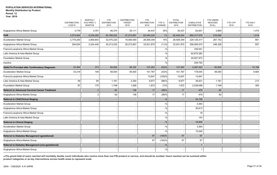|                                                       | <b>DISTRIBUTION</b><br>12/2019 | <b>MONTHLY</b><br>AVG PREV 3<br><b>MONTHS</b> | <b>YTD</b><br><b>DISTRIBUTION</b><br>2019 | <b>DISTRIBUTION</b><br><b>TARGET</b><br>2019 | <b>YTD</b><br><b>DISTRIBUTION</b><br>2018 | YTD %<br><b>CHANGE</b> | <b>TOTAL</b><br><b>DISTRIBUTION</b><br>2018 | <b>CUMULATIVE</b><br><b>DISTRIBUTION</b> | <b>YTD USERS</b><br><b>REACHED</b><br>2019(a) | <b>YTD CYP</b><br>2019 | <b>YTD DALY</b><br>2019 |
|-------------------------------------------------------|--------------------------------|-----------------------------------------------|-------------------------------------------|----------------------------------------------|-------------------------------------------|------------------------|---------------------------------------------|------------------------------------------|-----------------------------------------------|------------------------|-------------------------|
| Anglophone Africa Market Group                        | 3,776                          | 3,791                                         | 46,374                                    | 35,111                                       | 34,437                                    | 35%                    | 34,437                                      | 83,927                                   | 3,864                                         |                        | 1,470                   |
| <b>PUR</b>                                            | 3,073,824                      | 5,234,283                                     | 62,788,252                                | 47,273,857                                   | 62,440,224                                | 1%                     | 62,440,224                                  | 694, 317, 579                            | 516,068                                       |                        | 1,518                   |
| <b>Acceleration Market Group</b>                      | 2,779,200                      | 2,809,843                                     | 32,575,220                                | 19,000,000                                   | 28,508,349                                | 14%                    | 28,508,349                                  | 229,129,317                              | 267,742                                       |                        | 661                     |
| Anglophone Africa Market Group                        | 294,624                        | 2,424,440                                     | 30,213,032                                | 28,273,857                                   | 33,931,875                                | (11)%                  | 33,931,875                                  | 356,095,574                              | 248,326                                       |                        | 857                     |
| Franco/Lusophone Africa Market Group                  |                                |                                               |                                           |                                              |                                           | $-$ %                  |                                             | 239,541                                  |                                               |                        |                         |
| Latin America & Asia Market Group                     |                                |                                               |                                           |                                              |                                           | $-$ %                  |                                             | 62,675,382                               |                                               |                        |                         |
| Foundation Market Group                               |                                |                                               |                                           |                                              |                                           | $-$ %                  |                                             | 45,927,973                               |                                               |                        |                         |
| Inactive                                              |                                |                                               |                                           |                                              |                                           | $-$ %                  |                                             | 249,792                                  |                                               |                        |                         |
| <b>QAACTs Provided after Confirmatory Diagnosis</b>   | 33,364                         | 373                                           | 60,929                                    | 99,182                                       | 127,263                                   | (52)%                  | 127,263                                     | 2,267,422                                | 60,929                                        |                        | 10,169                  |
| <b>Acceleration Market Group</b>                      | 33,218                         | 108                                           | 58,000                                    | 95,000                                       | 101,767                                   | (43)%                  | 101,767                                     | 178,545                                  | 58,000                                        |                        | 9,564                   |
| Franco/Lusophone Africa Market Group                  |                                |                                               |                                           |                                              | 13,647                                    | $(100)\%$              | 13,647                                      | 13,647                                   |                                               |                        |                         |
| Latin America & Asia Market Group                     | 59                             | 95                                            | 1,181                                     | 2,254                                        | 9,977                                     | (88)%                  | 9,977                                       | 36,631                                   | 1,181                                         |                        | 213                     |
| Foundation Market Group                               | 87                             | 170                                           | 1,748                                     | 1,928                                        | 1,872                                     | (7)%                   | 1,872                                       | 2,038,599                                | 1,748                                         |                        | 393                     |
| <b>Referral to Advanced Cervical Cancer Treatment</b> |                                | 2                                             | 62                                        | 136                                          | 17                                        | 265%                   | 17                                          | 479                                      | 62                                            |                        |                         |
| Anglophone Africa Market Group                        |                                | $\overline{2}$                                | 62                                        | 136                                          | 17                                        | 265%                   | 17                                          | 479                                      | 62                                            |                        |                         |
| <b>Referral to CD4/Clinical Staging</b>               |                                |                                               |                                           |                                              |                                           | $-$ %                  | $\overline{\phantom{a}}$                    | 34,138                                   |                                               |                        |                         |
| <b>Acceleration Market Group</b>                      |                                |                                               |                                           |                                              |                                           | $-$ %                  |                                             | 3,364                                    |                                               |                        |                         |
| Anglophone Africa Market Group                        |                                |                                               |                                           |                                              |                                           | $-$ %                  |                                             | 30,613                                   |                                               |                        |                         |
| Franco/Lusophone Africa Market Group                  |                                |                                               |                                           |                                              |                                           | $-$ %                  |                                             | 18                                       |                                               |                        |                         |
| Latin America & Asia Market Group                     |                                |                                               |                                           |                                              |                                           | $-$ %                  |                                             | 143                                      |                                               |                        |                         |
| <b>Referral to Clinical Staging</b>                   |                                |                                               |                                           |                                              |                                           | $-9/0$                 |                                             | 18,909                                   |                                               |                        |                         |
| <b>Acceleration Market Group</b>                      |                                |                                               |                                           |                                              |                                           | $-$ %                  |                                             | 3,364                                    |                                               |                        |                         |
| Anglophone Africa Market Group                        |                                |                                               |                                           |                                              |                                           | $-$ %                  |                                             | 15,545                                   |                                               |                        |                         |
| <b>Referral to Diabetes Management (gestational)</b>  |                                |                                               |                                           |                                              | 67                                        | (100)%                 | 67                                          | 67                                       |                                               |                        |                         |
| Anglophone Africa Market Group                        |                                |                                               |                                           |                                              | 67                                        | $(100)\%$              | 67                                          | 67                                       |                                               |                        |                         |
| Referral to Diabetes Management (non-gestational)     |                                |                                               |                                           |                                              |                                           | $-$ %                  |                                             |                                          |                                               |                        |                         |
| Anglophone Africa Market Group                        |                                |                                               |                                           |                                              |                                           | $-$ %                  |                                             |                                          |                                               |                        |                         |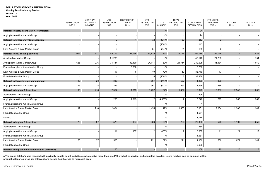|                                                   | <b>DISTRIBUTION</b><br>12/2019 | <b>MONTHLY</b><br>AVG PREV 3<br><b>MONTHS</b> | <b>YTD</b><br><b>DISTRIBUTION</b><br>2019 | <b>DISTRIBUTION</b><br><b>TARGET</b><br>2019 | <b>YTD</b><br><b>DISTRIBUTION</b><br>2018 | YTD %<br>CHANGE | <b>TOTAL</b><br><b>DISTRIBUTION</b><br>2018 | <b>CUMULATIVE</b><br><b>DISTRIBUTION</b> | <b>YTD USERS</b><br><b>REACHED</b><br>2019(a) | <b>YTD CYP</b><br>2019 | YTD DALY<br>2019 |
|---------------------------------------------------|--------------------------------|-----------------------------------------------|-------------------------------------------|----------------------------------------------|-------------------------------------------|-----------------|---------------------------------------------|------------------------------------------|-----------------------------------------------|------------------------|------------------|
|                                                   |                                |                                               |                                           |                                              |                                           |                 |                                             |                                          |                                               |                        |                  |
| <b>Referral to Early Infant Male Circumcision</b> |                                |                                               |                                           |                                              |                                           | $-$ %           |                                             | 94                                       |                                               |                        |                  |
| Anglophone Africa Market Group                    |                                |                                               |                                           |                                              |                                           | $-$ %           |                                             | 94                                       |                                               |                        |                  |
| <b>Referral to Emergency Contraception</b>        |                                |                                               | $\overline{2}$                            | $\mathbf{1}$                                 | 32                                        | (94)%           | 32                                          | 252                                      | $\overline{2}$                                |                        |                  |
| Anglophone Africa Market Group                    |                                |                                               |                                           | 1                                            |                                           | $(100)$ %       | -1                                          | 143                                      |                                               |                        |                  |
| Latin America & Asia Market Group                 |                                | -1                                            | $\overline{2}$                            |                                              | 31                                        | $(94) \%$       | 31                                          | 109                                      | $\overline{2}$                                |                        |                  |
| <b>Referral to HIV Testing Services</b>           | 666                            | 977                                           | 55,716                                    | 91,736                                       | 24,729                                    | 125%            | 24,729                                      | 366,176                                  | 55,716                                        |                        | 1,823            |
| <b>Acceleration Market Group</b>                  |                                |                                               | 21,265                                    |                                              |                                           | $-$ %           |                                             | 47,140                                   | 21,265                                        |                        | 754              |
| Anglophone Africa Market Group                    | 666                            | 976                                           | 34,434                                    | 82,130                                       | 24,714                                    | 39%             | 24,714                                      | 232,695                                  | 34,434                                        |                        | 1,070            |
| Franco/Lusophone Africa Market Group              |                                |                                               |                                           | 9,600                                        |                                           | $-$ %           |                                             | 17,256                                   |                                               |                        |                  |
| Latin America & Asia Market Group                 |                                | $\mathbf{1}$                                  | 17                                        | 6                                            | 10 <sup>°</sup>                           | 70%             | 10                                          | 35,719                                   | 17                                            |                        |                  |
| <b>Foundation Market Group</b>                    |                                |                                               |                                           |                                              | 5                                         | $(100)\%$       | 5                                           | 33,366                                   |                                               |                        |                  |
| <b>Referral to Hypertension Management</b>        | 13                             | 28                                            | 336                                       |                                              | 567                                       | (41)%           | 567                                         | 1,466                                    | 336                                           |                        |                  |
| Anglophone Africa Market Group                    | 13                             | 28                                            | 336                                       |                                              | 567                                       | (41)%           | 567                                         | 1,466                                    | 336                                           |                        |                  |
| <b>Referral to Implant 3 Insertion</b>            | 119                            | 216                                           | 2,357                                     | 1,915                                        | 1,457                                     | 62%             | 1,457                                       | 19,928                                   | 2,357                                         | 2,946                  | 658              |
| <b>Acceleration Market Group</b>                  |                                |                                               |                                           |                                              |                                           | $-$ %           |                                             | 996                                      |                                               |                        |                  |
| Anglophone Africa Market Group                    |                                |                                               | 293                                       | 1,915                                        | $\overline{2}$                            | 14,550%         | $\overline{c}$                              | 8,248                                    | 293                                           | 366                    | 309              |
| Franco/Lusophone Africa Market Group              |                                |                                               |                                           |                                              |                                           | $-$ %           |                                             | -1                                       |                                               |                        |                  |
| Latin America & Asia Market Group                 | 119                            | 216                                           | 2,064                                     |                                              | 1,455                                     | 42%             | 1,455                                       | 5,831                                    | 2,064                                         | 2,580                  | 349              |
| <b>Foundation Market Group</b>                    |                                |                                               |                                           |                                              |                                           | $-$ %           |                                             | 1,674                                    |                                               |                        |                  |
| Inactive                                          |                                |                                               |                                           |                                              |                                           | $-$ %           |                                             | 3,178                                    |                                               |                        |                  |
| <b>Referral to Implant 5 Insertion</b>            | 73                             | 57                                            | 579                                       | 187                                          | 223                                       | 160%            | 223                                         | 20,308                                   | 579                                           | 1,100                  | 259              |
| <b>Acceleration Market Group</b>                  |                                |                                               |                                           |                                              |                                           | $-$ %           |                                             | 584                                      |                                               |                        |                  |
| Anglophone Africa Market Group                    |                                |                                               | 11                                        | 187                                          | $\overline{2}$                            | 450%            | $\overline{2}$                              | 3,607                                    | 11                                            | 21                     | 17               |
| Franco/Lusophone Africa Market Group              |                                |                                               |                                           |                                              |                                           | $-$ %           |                                             | 4,681                                    |                                               |                        |                  |
| Latin America & Asia Market Group                 | 73                             | 57                                            | 568                                       |                                              | 221                                       | 157%            | 221                                         | 1,830                                    | 568                                           | 1,079                  | 242              |
| <b>Foundation Market Group</b>                    |                                |                                               |                                           |                                              |                                           | $-$ %           |                                             | 9,606                                    |                                               |                        |                  |
| Referral to Implant Insertion (duration unknown)  |                                | $\overline{4}$                                | 20                                        |                                              |                                           | $-9/0$          |                                             | 109                                      | 20                                            | 25                     | $\overline{3}$   |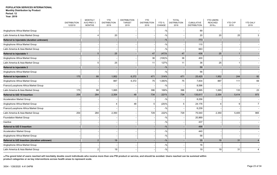|                                              | <b>DISTRIBUTION</b><br>12/2019 | <b>MONTHLY</b><br>AVG PREV 3<br><b>MONTHS</b> | <b>YTD</b><br><b>DISTRIBUTION</b><br>2019 | <b>DISTRIBUTION</b><br><b>TARGET</b><br>2019 | <b>YTD</b><br><b>DISTRIBUTION</b><br>2018 | YTD %<br>CHANGE | <b>TOTAL</b><br><b>DISTRIBUTION</b><br>2018 | <b>CUMULATIVE</b><br><b>DISTRIBUTION</b> | <b>YTD USERS</b><br><b>REACHED</b><br>2019(a) | <b>YTD CYP</b><br>2019 | <b>YTD DALY</b><br>2019 |
|----------------------------------------------|--------------------------------|-----------------------------------------------|-------------------------------------------|----------------------------------------------|-------------------------------------------|-----------------|---------------------------------------------|------------------------------------------|-----------------------------------------------|------------------------|-------------------------|
|                                              |                                |                                               |                                           |                                              |                                           |                 |                                             |                                          |                                               |                        |                         |
| Anglophone Africa Market Group               |                                |                                               |                                           |                                              |                                           | $-$ %           |                                             | 89                                       |                                               |                        |                         |
| Latin America & Asia Market Group            |                                | 4                                             | 20                                        |                                              |                                           | $-$ %           |                                             | 20                                       | 20                                            | 25                     | З                       |
| Referral to Injectable (duration unknown)    |                                |                                               |                                           |                                              |                                           | $-9/0$          |                                             | 773                                      |                                               |                        |                         |
| Anglophone Africa Market Group               |                                |                                               |                                           |                                              |                                           | $-$ %           |                                             | 110                                      |                                               |                        |                         |
| Latin America & Asia Market Group            |                                |                                               |                                           |                                              |                                           | $-$ %           |                                             | 663                                      |                                               |                        |                         |
| <b>Referral to Injectable 1</b>              |                                | 5                                             | 25                                        |                                              | 47                                        | (47)%           | 47                                          | 436                                      | 25                                            |                        |                         |
| Anglophone Africa Market Group               |                                |                                               |                                           |                                              | 36                                        | $(100)$ %       | 36                                          | 400                                      |                                               |                        |                         |
| Latin America & Asia Market Group            |                                | 5                                             | 25                                        |                                              | 11                                        | 127%            | 11                                          | 36                                       | 25                                            |                        |                         |
| <b>Referral to Injectable 2</b>              |                                |                                               |                                           |                                              |                                           | $-$ %           |                                             | 56                                       |                                               |                        |                         |
| Anglophone Africa Market Group               |                                |                                               |                                           |                                              |                                           | $-$ %           |                                             | 56                                       |                                               |                        |                         |
| <b>Referral to Injectable 3</b>              | 175                            | 88                                            | 1,952                                     | 6,372                                        | 471                                       | 314%            | 471                                         | 25,425                                   | 1,952                                         | 244                    | 92                      |
| Anglophone Africa Market Group               |                                |                                               | 887                                       | 6,372                                        | 75                                        | 1,083%          | 75                                          | 7,834                                    | 887                                           | 111                    | 69                      |
| Franco/Lusophone Africa Market Group         |                                |                                               |                                           |                                              |                                           | $-$ %           |                                             | 8,596                                    |                                               |                        |                         |
| Latin America & Asia Market Group            | 175                            | 88                                            | 1,065                                     |                                              | 396                                       | 169%            | 396                                         | 8,995                                    | 1,065                                         | 133                    | 23                      |
| Referral to IUD 10 Insertion                 | 254                            | 284                                           | 2,354                                     | 48                                           | 734                                       | 221%            | 734                                         | 135,617                                  | 2,354                                         | 5,414                  | 973                     |
| <b>Acceleration Market Group</b>             |                                |                                               |                                           |                                              |                                           | $-$ %           |                                             | 8,256                                    |                                               |                        |                         |
| Anglophone Africa Market Group               |                                |                                               |                                           | 48                                           |                                           | (20)%           | 5                                           | 24,176                                   |                                               | g                      | $\overline{7}$          |
| Franco/Lusophone Africa Market Group         |                                |                                               |                                           |                                              |                                           | $-$ %           |                                             | 6,239                                    |                                               |                        |                         |
| Latin America & Asia Market Group            | 254                            | 284                                           | 2,350                                     |                                              | 729                                       | 222%            | 729                                         | 75,540                                   | 2,350                                         | 5,405                  | 965                     |
| <b>Foundation Market Group</b>               |                                |                                               |                                           |                                              |                                           | $-$ %           |                                             | 20,969                                   |                                               |                        |                         |
| Inactive                                     |                                |                                               |                                           |                                              |                                           | $-$ %           |                                             | 437                                      |                                               |                        |                         |
| <b>Referral to IUD 5 Insertion</b>           |                                |                                               |                                           |                                              |                                           | $-$ %           |                                             | 498                                      |                                               |                        |                         |
| <b>Acceleration Market Group</b>             |                                |                                               |                                           |                                              |                                           | $-$ %           |                                             | 440                                      |                                               |                        |                         |
| Anglophone Africa Market Group               |                                |                                               |                                           |                                              |                                           | $-$ %           |                                             | 58                                       |                                               |                        |                         |
| Referral to IUD Insertion (duration unknown) |                                | $\overline{2}$                                | 19                                        |                                              |                                           | $-9/0$          |                                             | 35                                       | 19                                            | 31                     |                         |
| Anglophone Africa Market Group               |                                |                                               |                                           |                                              |                                           | $-$ %           |                                             | 16                                       |                                               |                        |                         |
| Latin America & Asia Market Group            |                                | $\overline{2}$                                | 19                                        |                                              |                                           | $-$ %           |                                             | 19                                       | 19                                            | 31                     | 4                       |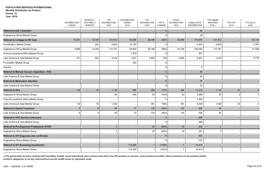|                                              | <b>DISTRIBUTION</b><br>12/2019 | <b>MONTHLY</b><br>AVG PREV 3<br><b>MONTHS</b> | <b>YTD</b><br><b>DISTRIBUTION</b><br>2019 | <b>DISTRIBUTION</b><br><b>TARGET</b><br>2019 | <b>YTD</b><br><b>DISTRIBUTION</b><br>2018 | YTD %<br>CHANGE | <b>TOTAL</b><br><b>DISTRIBUTION</b><br>2018 | <b>CUMULATIVE</b><br><b>DISTRIBUTION</b> | <b>YTD USERS</b><br><b>REACHED</b><br>2019(a) | <b>YTD CYP</b><br>2019 | <b>YTD DALY</b><br>2019 |
|----------------------------------------------|--------------------------------|-----------------------------------------------|-------------------------------------------|----------------------------------------------|-------------------------------------------|-----------------|---------------------------------------------|------------------------------------------|-----------------------------------------------|------------------------|-------------------------|
| <b>Referral to IUS 3 Insertion</b>           |                                |                                               |                                           |                                              |                                           | $-$ %           |                                             | 26                                       |                                               |                        |                         |
| Anglophone Africa Market Group               |                                |                                               |                                           |                                              |                                           | $-$ %           |                                             | 26                                       |                                               |                        |                         |
| <b>Referral to Linkage to HIV Care</b>       | 10,251                         | 13,749                                        | 121,913                                   | 45,296                                       | 26,986                                    | 352%            | 26,986                                      | 174,978                                  | 121,913                                       |                        | 97,130                  |
| <b>Acceleration Market Group</b>             |                                | 242                                           | 5,843                                     | 12,150                                       |                                           | $-$ %           |                                             | 5,843                                    | 5,843                                         |                        | 2,767                   |
| Anglophone Africa Market Group               | 9,980                          | 13,204                                        | 112,751                                   | 29,940                                       | 24,186                                    | 366%            | 24,186                                      | 159,395                                  | 112,751                                       |                        | 91,588                  |
| Franco/Lusophone Africa Market Group         |                                |                                               |                                           | 1,279                                        |                                           | $-$ %           |                                             | 281                                      |                                               |                        |                         |
| Latin America & Asia Market Group            | 271                            | 304                                           | 3,319                                     | 1,627                                        | 2,800                                     | 19%             | 2,800                                       | 9,451                                    | 3,319                                         |                        | 2,776                   |
| <b>Foundation Market Group</b>               |                                |                                               |                                           | 300                                          |                                           | $-$ %           |                                             |                                          |                                               |                        |                         |
| Inactive                                     |                                |                                               |                                           |                                              |                                           | $-$ %           |                                             | Я                                        |                                               |                        |                         |
| Referral to Manual Vacuum Aspiration - PAC   |                                |                                               |                                           |                                              |                                           | $-9/6$          |                                             | 46                                       |                                               |                        |                         |
| Latin America & Asia Market Group            |                                |                                               |                                           |                                              |                                           | $-$ %           |                                             | 46                                       |                                               |                        |                         |
| <b>Referral to Medication Abortion</b>       |                                |                                               |                                           |                                              |                                           | $-9/6$          |                                             | 24                                       |                                               |                        |                         |
| Latin America & Asia Market Group            |                                |                                               |                                           |                                              |                                           | $-$ %           |                                             | 24                                       |                                               |                        |                         |
| <b>Referral to OCs</b>                       | 132                            | 78                                            | 1,119                                     | 665                                          | 484                                       | 131%            | 484                                         | 11,219                                   | 1,119                                         | 37                     |                         |
| Anglophone Africa Market Group               |                                |                                               | 84                                        | 665                                          | 93                                        | $(10)\%$        | 93                                          | 3,389                                    | 84                                            |                        | $\overline{2}$          |
| Franco/Lusophone Africa Market Group         |                                |                                               |                                           |                                              |                                           | $-$ %           |                                             | 1,392                                    |                                               |                        |                         |
| Latin America & Asia Market Group            | 132                            | 78                                            | 1,035                                     |                                              | 391                                       | 165%            | 391                                         | 6,438                                    | 1,035                                         | 34                     | 6                       |
| <b>Referral to Opioid Treatment</b>          | 8                              | 5                                             | 84                                        | 37                                           | 135                                       | (38)%           | 135                                         | 556                                      | 84                                            |                        |                         |
| Latin America & Asia Market Group            | 8                              |                                               | 84                                        | 37                                           | 135                                       | (38)%           | 135                                         | 556                                      | 84                                            |                        |                         |
| <b>Referral to PAC Service (unknown)</b>     |                                |                                               |                                           |                                              |                                           | $-$ %           |                                             | 488                                      |                                               |                        |                         |
| Latin America & Asia Market Group            |                                |                                               |                                           |                                              |                                           | $-$ %           |                                             | 488                                      |                                               |                        |                         |
| Referral to Pre-Exposure Prophylaxis (PrEP)  |                                |                                               |                                           |                                              | 20                                        | (85)%           | 20                                          | 253                                      | 3                                             |                        |                         |
| Anglophone Africa Market Group               |                                |                                               |                                           |                                              | 20                                        | (85)%           | 20                                          | 253                                      | 3                                             |                        |                         |
| Referral to STI Diagnosis (lab confirmed)    |                                |                                               |                                           |                                              |                                           | $-9/6$          |                                             | 332                                      |                                               |                        |                         |
| Anglophone Africa Market Group               |                                |                                               |                                           |                                              |                                           | $-$ %           |                                             | 332                                      |                                               |                        |                         |
| <b>Referral to STI Screening (syndromic)</b> |                                |                                               |                                           | 112,000                                      |                                           | (100)%          | $\overline{7}$                              | 14,419                                   |                                               |                        |                         |
| Anglophone Africa Market Group               |                                |                                               |                                           | 112,000                                      |                                           | (100)%          | $\overline{7}$                              | 14,419                                   |                                               |                        |                         |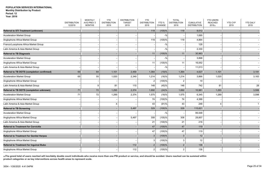|                                                 | <b>DISTRIBUTION</b> | <b>MONTHLY</b><br>AVG PREV 3 | <b>YTD</b><br><b>DISTRIBUTION</b> | <b>DISTRIBUTION</b><br><b>TARGET</b> | <b>YTD</b><br><b>DISTRIBUTION</b> | YTD %     | <b>TOTAL</b><br><b>DISTRIBUTION</b> | <b>CUMULATIVE</b>   | <b>YTD USERS</b><br><b>REACHED</b> | YTD CYP | <b>YTD DALY</b> |
|-------------------------------------------------|---------------------|------------------------------|-----------------------------------|--------------------------------------|-----------------------------------|-----------|-------------------------------------|---------------------|------------------------------------|---------|-----------------|
|                                                 | 12/2019             | <b>MONTHS</b>                | 2019                              | 2019                                 | 2018                              | CHANGE    | 2018                                | <b>DISTRIBUTION</b> | 2019(a)                            | 2019    | 2019            |
| <b>Referral to STI Treatment (unknown)</b>      |                     |                              |                                   |                                      | 119                               | (100)%    | 119                                 | 9,012               | $\overline{\phantom{a}}$           |         |                 |
| Acceleration Market Group                       |                     |                              |                                   |                                      |                                   | $-$ %     |                                     | 1,690               |                                    |         |                 |
| Anglophone Africa Market Group                  |                     |                              |                                   |                                      | 119                               | $(100)$ % | 119                                 | 4,864               |                                    |         |                 |
| Franco/Lusophone Africa Market Group            |                     |                              |                                   |                                      |                                   | $-$ %     |                                     | 128                 |                                    |         |                 |
| Latin America & Asia Market Group               |                     |                              |                                   |                                      |                                   | $-$ %     |                                     | 2,330               |                                    |         |                 |
| <b>Referral to TB Diagnosis</b>                 |                     |                              |                                   |                                      | 11                                | (100)%    | 11                                  | 30,963              |                                    |         |                 |
| <b>Acceleration Market Group</b>                |                     |                              |                                   |                                      |                                   | $-$ %     |                                     | 3,898               |                                    |         |                 |
| Anglophone Africa Market Group                  |                     |                              |                                   |                                      | 11                                | $(100)\%$ | 11                                  | 16,052              |                                    |         |                 |
| Latin America & Asia Market Group               |                     |                              |                                   |                                      |                                   | $-$ %     |                                     | 11,013              |                                    |         |                 |
| Referral to TB DOTS (completion confirmed)      | 69                  | 64                           | 1,101                             | 2,459                                | 1,364                             | (19)%     | 1,364                               | 4,627               | 1,101                              |         | 3,191           |
| <b>Acceleration Market Group</b>                | 69                  | 55                           | 1,020                             | 2,349                                | 1,214                             | (16)%     | 1,214                               | 3,866               | 1,020                              |         | 3,163           |
| Anglophone Africa Market Group                  |                     |                              |                                   |                                      | $\overline{2}$                    | $(100)$ % | $\overline{2}$                      | 19                  |                                    |         |                 |
| Latin America & Asia Market Group               |                     | 9                            | 81                                | 110                                  | 148                               | (45)%     | 148                                 | 742                 | 81                                 |         | 28              |
| Referral to TB DOTS (completion unknown)        | 71                  | 72                           | 1,293                             | 2,374                                | 1,692                             | (24)%     | 1,692                               | 10,981              | 1,293                              |         | 3,599           |
| <b>Acceleration Market Group</b>                | 71                  | 72                           | 1,289                             | 2,374                                | 1,575                             | (18)%     | 1,575                               | 6,345               | 1,289                              |         | 3,598           |
| Anglophone Africa Market Group                  |                     |                              |                                   |                                      | 74                                | $(100)\%$ | 74                                  | 4,388               |                                    |         |                 |
| Latin America & Asia Market Group               |                     |                              |                                   |                                      | 43                                | $(91) \%$ | 43                                  | 248                 |                                    |         | $\overline{1}$  |
| <b>Referral to TB Screening</b>                 |                     |                              |                                   | 5,497                                | 329                               | (100)%    | 329                                 | 115,621             |                                    |         |                 |
| <b>Acceleration Market Group</b>                |                     |                              |                                   |                                      |                                   | $-$ %     |                                     | 85,548              |                                    |         |                 |
| Anglophone Africa Market Group                  |                     |                              |                                   | 5,497                                | 308                               | $(100)\%$ | 308                                 | 29,857              |                                    |         |                 |
| Latin America & Asia Market Group               |                     |                              |                                   |                                      | 21                                | $(100)\%$ | 21                                  | 216                 |                                    |         |                 |
| <b>Referral to Treatment for Cervicitis</b>     |                     |                              |                                   |                                      | 47                                | (100)%    | 47                                  | 119                 |                                    |         |                 |
| Anglophone Africa Market Group                  |                     |                              |                                   |                                      | 47                                | $(100)$ % | 47                                  | 119                 |                                    |         |                 |
| <b>Referral to Treatment for Genital Herpes</b> |                     |                              |                                   |                                      | 3                                 | (100)%    | $\mathbf{3}$                        | 12                  |                                    |         |                 |
| Anglophone Africa Market Group                  |                     |                              |                                   |                                      |                                   | $(100)$ % | 3                                   | 12                  |                                    |         |                 |
| <b>Referral to Treatment for Inguinal Bubo</b>  |                     |                              |                                   | 112                                  | 2                                 | (100)%    | $\overline{2}$                      | 136                 |                                    |         |                 |
| Anglophone Africa Market Group                  |                     |                              |                                   | 112                                  |                                   | $(100)\%$ | $\overline{2}$                      | 136                 |                                    |         |                 |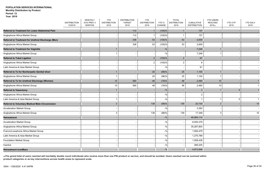|                                                    | <b>DISTRIBUTION</b> | <b>MONTHLY</b><br>AVG PREV 3 | <b>YTD</b><br><b>DISTRIBUTION</b> | <b>DISTRIBUTION</b><br><b>TARGET</b> | <b>YTD</b><br><b>DISTRIBUTION</b> | YTD %     | <b>TOTAL</b><br><b>DISTRIBUTION</b> | <b>CUMULATIVE</b>   | <b>YTD USERS</b><br><b>REACHED</b> | <b>YTD CYP</b> | <b>YTD DALY</b> |
|----------------------------------------------------|---------------------|------------------------------|-----------------------------------|--------------------------------------|-----------------------------------|-----------|-------------------------------------|---------------------|------------------------------------|----------------|-----------------|
|                                                    | 12/2019             | <b>MONTHS</b>                | 2019                              | 2019                                 | 2018                              | CHANGE    | 2018                                | <b>DISTRIBUTION</b> | 2019(a)                            | 2019           | 2019            |
| Referral to Treatment for Lower Abdominal Pain     |                     |                              |                                   | 112                                  |                                   | $(100)$ % | $\mathbf{1}$                        | 137                 | $\overline{\phantom{a}}$           |                |                 |
| Anglophone Africa Market Group                     |                     |                              |                                   | 112                                  |                                   | $(100)$ % | $\overline{\mathbf{1}}$             | 137                 |                                    |                |                 |
| Referral to Treatment for Urethral Discharge (Men) |                     |                              |                                   | 336                                  | 53                                | (100)%    | 53                                  | 2,659               |                                    |                |                 |
| Anglophone Africa Market Group                     |                     |                              |                                   | 336                                  | 53                                | $(100)$ % | 53                                  | 2,659               |                                    |                |                 |
| <b>Referral to Treatment for Vaginitis</b>         |                     |                              |                                   |                                      |                                   | $-$ %     |                                     | 7,248               |                                    |                |                 |
| Anglophone Africa Market Group                     |                     |                              |                                   |                                      |                                   | $-$ %     |                                     | 7,248               |                                    |                |                 |
| <b>Referral to Tubal Ligation</b>                  |                     |                              |                                   |                                      | $\overline{2}$                    | (100)%    | $\sqrt{2}$                          | 67                  |                                    |                |                 |
| Anglophone Africa Market Group                     |                     |                              |                                   |                                      | $\overline{2}$                    | (100)%    | $\overline{2}$                      | 6                   |                                    |                |                 |
| Latin America & Asia Market Group                  |                     |                              |                                   |                                      |                                   | $-$ %     |                                     | 61                  |                                    |                |                 |
| Referral to Tx for Nonherpetic Genital Ulcer       |                     |                              |                                   |                                      | 25                                | (96)%     | 25                                  | 1,100               |                                    |                |                 |
| Anglophone Africa Market Group                     |                     |                              |                                   |                                      | 25                                | (96)%     | 25                                  | 1,100               |                                    |                |                 |
| Referral to Tx for Urethral Discharge (Women)      |                     |                              | 10                                | 560                                  | 48                                | (79)%     | 48                                  | 2,480               | 10                                 |                |                 |
| Anglophone Africa Market Group                     |                     |                              | 10                                | 560                                  | 48                                | (79)%     | 48                                  | 2,480               | 10                                 |                |                 |
| <b>Referral to Vasectomy</b>                       |                     |                              |                                   |                                      |                                   | $-$ %     |                                     | 3                   |                                    | 5              |                 |
| Anglophone Africa Market Group                     |                     |                              |                                   |                                      |                                   | $-$ %     |                                     | 2                   |                                    |                |                 |
| Latin America & Asia Market Group                  |                     |                              |                                   |                                      |                                   | $-$ %     |                                     |                     |                                    | Ŀ              | -1              |
| Referral to Voluntary Medical Male Circumcision    |                     |                              | 3                                 |                                      | 139                               | (98)%     | 139                                 | 20,730              | 3                                  |                | 10 <sup>°</sup> |
| <b>Acceleration Market Group</b>                   |                     |                              |                                   |                                      |                                   | $-9/0$    |                                     | 3,382               |                                    |                |                 |
| Anglophone Africa Market Group                     |                     |                              | 3                                 |                                      | 139                               | (98)%     | 139                                 | 17,348              | 3                                  |                | 10              |
| Retreatment                                        |                     |                              |                                   |                                      |                                   | $-9/0$    |                                     | 46,984,114          |                                    |                |                 |
| <b>Acceleration Market Group</b>                   |                     |                              |                                   |                                      |                                   | $-9/0$    |                                     | 8,050,379           |                                    |                |                 |
| Anglophone Africa Market Group                     |                     |                              |                                   |                                      |                                   | $-$ %     |                                     | 35,287,804          |                                    |                |                 |
| Franco/Lusophone Africa Market Group               |                     |                              |                                   |                                      |                                   | $-$ %     |                                     | 1,094,479           |                                    |                |                 |
| Latin America & Asia Market Group                  |                     |                              |                                   |                                      |                                   | $-$ %     |                                     | 1,275,789           |                                    |                |                 |
| <b>Foundation Market Group</b>                     |                     |                              |                                   |                                      |                                   | $-$ %     |                                     | 1,009,438           |                                    |                |                 |
| Inactive                                           |                     |                              |                                   |                                      |                                   | $-$ %     |                                     | 266,225             |                                    |                |                 |
| <b>Retreatment IconMaxx</b>                        |                     |                              |                                   |                                      |                                   | $-9/0$    |                                     | 4,873,846           |                                    |                |                 |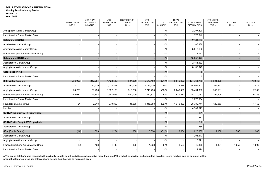|                                      | <b>DISTRIBUTION</b><br>12/2019 | <b>MONTHLY</b><br>AVG PREV 3<br><b>MONTHS</b> | <b>YTD</b><br><b>DISTRIBUTION</b><br>2019 | <b>DISTRIBUTION</b><br><b>TARGET</b><br>2019 | <b>YTD</b><br><b>DISTRIBUTION</b><br>2018 | YTD %<br>CHANGE | <b>TOTAL</b><br><b>DISTRIBUTION</b><br>2018 | <b>CUMULATIVE</b><br><b>DISTRIBUTION</b> | <b>YTD USERS</b><br><b>REACHED</b><br>2019(a) | YTD CYP<br>2019 | <b>YTD DALY</b><br>2019 |
|--------------------------------------|--------------------------------|-----------------------------------------------|-------------------------------------------|----------------------------------------------|-------------------------------------------|-----------------|---------------------------------------------|------------------------------------------|-----------------------------------------------|-----------------|-------------------------|
| Anglophone Africa Market Group       |                                |                                               |                                           |                                              |                                           | $-$ %           |                                             | 2,297,300                                |                                               |                 |                         |
| Latin America & Asia Market Group    |                                |                                               |                                           |                                              |                                           | $-$ %           |                                             | 2,576,546                                |                                               |                 |                         |
| <b>Retreatment KO123</b>             |                                |                                               |                                           |                                              |                                           | $-9/0$          |                                             | 9,124,110                                |                                               |                 |                         |
| <b>Acceleration Market Group</b>     |                                |                                               |                                           |                                              |                                           | $-$ %           |                                             | 1,106,836                                |                                               |                 |                         |
| Anglophone Africa Market Group       |                                |                                               |                                           |                                              |                                           | $-$ %           |                                             | 8,013,192                                |                                               |                 |                         |
| Franco/Lusophone Africa Market Group |                                |                                               |                                           |                                              |                                           | $-$ %           |                                             | 4,082                                    |                                               |                 |                         |
| Retreatment KO123 net                |                                |                                               |                                           |                                              |                                           | $-9/0$          |                                             | 10,259,477                               |                                               |                 |                         |
| <b>Acceleration Market Group</b>     |                                |                                               |                                           |                                              |                                           | $-$ %           |                                             | 2,151,532                                |                                               |                 |                         |
| Anglophone Africa Market Group       |                                |                                               |                                           |                                              |                                           | $-$ %           |                                             | 8,107,945                                |                                               |                 |                         |
| <b>Safe Injection Kit</b>            |                                |                                               |                                           |                                              |                                           | $-$ %           |                                             |                                          |                                               |                 |                         |
| Latin America & Asia Market Group    |                                |                                               |                                           |                                              |                                           | $-9/6$          |                                             |                                          |                                               |                 |                         |
| <b>Safe Water Solution</b>           | 232,025                        | 247,281                                       | 4,422,513                                 | 4,507,380                                    | 5,579,483                                 | (21)%           | 5,579,483                                   | 167,764,778                              | 3,684,335                                     |                 | 13,843                  |
| <b>Acceleration Market Group</b>     | 71,700                         | 71,529                                        | 1,418,258                                 | 1,160,000                                    | 1,114,276                                 | 27%             | 1,114,276                                   | 34,407,902                               | 1,165,692                                     |                 | 2,876                   |
| Anglophone Africa Market Group       | 54,269                         | 78,236                                        | 1,052,196                                 | 1,915,700                                    | 2,248,493                                 | (53)%           | 2,248,493                                   | 83,404,668                               | 789,591                                       |                 | 2,730                   |
| Franco/Lusophone Africa Market Group | 106,032                        | 94,703                                        | 1,581,666                                 | 1,400,000                                    | 870,831                                   | 82%             | 870,831                                     | 14,310,787                               | 1,299,999                                     |                 | 6,786                   |
| Latin America & Asia Market Group    |                                |                                               |                                           |                                              |                                           | $-$ %           |                                             | 2,276,004                                |                                               |                 |                         |
| <b>Foundation Market Group</b>       | 24                             | 2,813                                         | 370,393                                   | 31,680                                       | 1,345,883                                 | (72)%           | 1,345,883                                   | 28,782,744                               | 429,053                                       |                 | 1,452                   |
| Inactive                             |                                |                                               |                                           |                                              |                                           | $-$ %           |                                             | 4,582,673                                |                                               |                 |                         |
| SD NVP w/o Baby ARV Prophylaxis      |                                |                                               |                                           |                                              |                                           | $-$ %           |                                             | 271                                      |                                               |                 |                         |
| <b>Acceleration Market Group</b>     |                                |                                               |                                           |                                              |                                           | $-9/6$          |                                             | 271                                      |                                               |                 |                         |
| SD NVP with Baby ARV Prophylaxis     |                                |                                               |                                           |                                              |                                           | $-$ %           |                                             | 235                                      |                                               |                 |                         |
| <b>Acceleration Market Group</b>     |                                |                                               |                                           |                                              |                                           | $-$ %           |                                             | 235                                      |                                               |                 |                         |
| <b>SDM (Cycle Beads)</b>             | (14)                           | 393                                           | 1,264                                     | 306                                          | 6,654                                     | (81)%           | 6,654                                       | 628,869                                  | 1,138                                         | 1,706           | 1,340                   |
| <b>Acceleration Market Group</b>     |                                |                                               |                                           |                                              |                                           | $-9/6$          |                                             | 201,447                                  |                                               |                 |                         |
| Anglophone Africa Market Group       |                                |                                               |                                           |                                              |                                           | $-$ %           |                                             | 8,591                                    |                                               |                 |                         |
| Franco/Lusophone Africa Market Group | (10)                           | 408                                           | 1,449                                     | 306                                          | 1,533                                     | (5)%            | 1,533                                       | 49,478                                   | 1,304                                         | 1,956           | 1,500                   |
| Latin America & Asia Market Group    |                                |                                               |                                           |                                              |                                           | $-$ %           |                                             | 2,494                                    |                                               |                 |                         |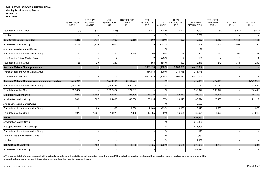## **Year: 2019**

|                                                   | <b>DISTRIBUTION</b><br>12/2019 | <b>MONTHLY</b><br>AVG PREV 3<br><b>MONTHS</b> | <b>YTD</b><br><b>DISTRIBUTION</b><br>2019 | <b>DISTRIBUTION</b><br><b>TARGET</b><br>2019 | <b>YTD</b><br><b>DISTRIBUTION</b><br>2018 | YTD %<br>CHANGE | <b>TOTAL</b><br><b>DISTRIBUTION</b><br>2018 | <b>CUMULATIVE</b><br><b>DISTRIBUTION</b> | <b>YTD USERS</b><br><b>REACHED</b><br>2019(a) | <b>YTD CYP</b><br>2019 | <b>YTD DALY</b><br>2019 |
|---------------------------------------------------|--------------------------------|-----------------------------------------------|-------------------------------------------|----------------------------------------------|-------------------------------------------|-----------------|---------------------------------------------|------------------------------------------|-----------------------------------------------|------------------------|-------------------------|
| <b>Foundation Market Group</b>                    | (4)                            | (15)                                          | (185)                                     |                                              | 5,121                                     | (104)%          | 5,121                                       | 351,101                                  | (167)                                         | (250)                  | (160)                   |
| Inactive                                          |                                |                                               |                                           |                                              |                                           | $-9/6$          |                                             | 15,758                                   |                                               |                        |                         |
| <b>SDM (Cycle Beads) Provided</b>                 | 1,288                          | 1,778                                         | 6,967                                     | 2,550                                        | 609                                       | 1,044%          | 609                                         | 19,632                                   | 6,967                                         | 10,451                 | 8,155                   |
| <b>Acceleration Market Group</b>                  | 1,252                          | 1,755                                         | 6,606                                     |                                              |                                           | 220,100%        | 3                                           | 6,609                                    | 6,606                                         | 9,909                  | 7,738                   |
| Anglophone Africa Market Group                    |                                |                                               |                                           |                                              |                                           | $-$ %           |                                             | 10                                       |                                               |                        |                         |
| Franco/Lusophone Africa Market Group              | 10                             | 3                                             | 110                                       | 2,550                                        | 96                                        | 15%             | 96                                          | 507                                      | 110                                           | 165                    | 127                     |
| Latin America & Asia Market Group                 |                                |                                               |                                           |                                              | 7                                         | (43)%           | $\overline{7}$                              | 130                                      |                                               | -6                     | $\overline{\mathbf{1}}$ |
| <b>Foundation Market Group</b>                    | 26                             | 20                                            | 247                                       |                                              | 503                                       | (51)%           | 503                                         | 12,376                                   | 247                                           | 371                    | 289                     |
| <b>Seasonal Malaria Chemoprevention</b>           |                                |                                               |                                           |                                              | 2,009,973                                 | (100)%          | 2,009,973                                   | 4,420,982                                |                                               |                        |                         |
| Franco/Lusophone Africa Market Group              |                                |                                               |                                           |                                              | 344,748                                   | (100)%          | 344,748                                     | 344,748                                  |                                               |                        |                         |
| <b>Foundation Market Group</b>                    |                                |                                               |                                           |                                              | 1,665,225                                 | (100)%          | 1,665,225                                   | 4,076,234                                |                                               |                        |                         |
| Seasonal Malaria Chemoprevention_children reached | 4,772,814                      |                                               | 4,772,814                                 | 2,761,537                                    |                                           | $-$ %           |                                             | 4,772,814                                | 4,772,814                                     |                        | 1,409,957               |
| Franco/Lusophone Africa Market Group              | 2,780,737                      |                                               | 2,780,737                                 | 990,000                                      |                                           | $-$ %           |                                             | 2,780,737                                | 2,780,737                                     |                        | 471,469                 |
| Foundation Market Group                           | 1,992,077                      |                                               | 1,992,077                                 | 1,771,537                                    |                                           | $-$ %           |                                             | 1,992,077                                | 1,992,077                                     |                        | 938,488                 |
| <b>Skilled Birth Attendance</b>                   | 9,052                          | 3,180                                         | 45,944                                    | 66,196                                       | 45,970                                    | $-$ %           | 45,970                                      | 201,710                                  | 45,944                                        |                        | 50,135                  |
| <b>Acceleration Market Group</b>                  | 6,891                          | 1,327                                         | 25,405                                    | 40,000                                       | 20,115                                    | 26%             | 20,115                                      | 87,574                                   | 25,405                                        |                        | 21,117                  |
| Anglophone Africa Market Group                    |                                |                                               |                                           |                                              |                                           | $-$ %           |                                             | 50,567                                   |                                               |                        |                         |
| Franco/Lusophone Africa Market Group              | 91                             | 89                                            | 1,560                                     | 9,000                                        | 9,160                                     | (83)%           | 9,160                                       | 27,895                                   | 1,560                                         |                        | 1,976                   |
| <b>Foundation Market Group</b>                    | 2,070                          | 1,764                                         | 18,979                                    | 17,196                                       | 16,695                                    | 14%             | 16,695                                      | 35,674                                   | 18,979                                        |                        | 27,042                  |
| <b>STI Kit</b>                                    |                                |                                               |                                           |                                              |                                           | $-$ %           |                                             | 691,263                                  |                                               |                        |                         |
| <b>Acceleration Market Group</b>                  |                                |                                               |                                           |                                              |                                           | $-$ %           |                                             | 240,890                                  |                                               |                        |                         |
| Anglophone Africa Market Group                    |                                |                                               |                                           |                                              |                                           | $-$ %           |                                             | 438,695                                  |                                               |                        |                         |
| Franco/Lusophone Africa Market Group              |                                |                                               |                                           |                                              |                                           | $-$ %           |                                             | 329                                      |                                               |                        |                         |
| Latin America & Asia Market Group                 |                                |                                               |                                           |                                              |                                           | $-$ %           |                                             | 9,882                                    |                                               |                        |                         |
| Inactive                                          |                                |                                               |                                           |                                              |                                           | $-$ %           |                                             | 1,467                                    |                                               |                        |                         |
| <b>STI Kit (Non-Ulcerative)</b>                   |                                | 489                                           | 4,732                                     | 1,869                                        | 6,655                                     | (29)%           | 6,655                                       | 4,022,900                                | 4,259                                         |                        | 304                     |
| <b>Acceleration Market Group</b>                  |                                |                                               |                                           |                                              |                                           | $-$ %           |                                             | 742,374                                  |                                               |                        |                         |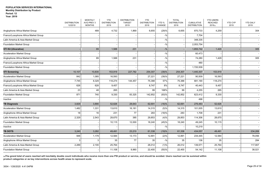| <b>Year: 2019</b> |  |
|-------------------|--|
|-------------------|--|

|                                      | <b>DISTRIBUTION</b><br>12/2019 | <b>MONTHLY</b><br>AVG PREV 3<br><b>MONTHS</b> | <b>YTD</b><br><b>DISTRIBUTION</b><br>2019 | <b>DISTRIBUTION</b><br><b>TARGET</b><br>2019 | <b>YTD</b><br><b>DISTRIBUTION</b><br>2018 | YTD %<br>CHANGE | <b>TOTAL</b><br><b>DISTRIBUTION</b><br>2018 | <b>CUMULATIVE</b><br><b>DISTRIBUTION</b> | <b>YTD USERS</b><br><b>REACHED</b><br>2019(a) | <b>YTD CYP</b><br>2019 | <b>YTD DALY</b><br>2019 |
|--------------------------------------|--------------------------------|-----------------------------------------------|-------------------------------------------|----------------------------------------------|-------------------------------------------|-----------------|---------------------------------------------|------------------------------------------|-----------------------------------------------|------------------------|-------------------------|
| Anglophone Africa Market Group       |                                | 489                                           | 4,732                                     | 1,869                                        | 6,655                                     | (29)%           | 6,655                                       | 870.733                                  | 4,259                                         |                        | 304                     |
| Franco/Lusophone Africa Market Group |                                |                                               |                                           |                                              |                                           | $-$ %           |                                             | 7,704                                    |                                               |                        |                         |
| Latin America & Asia Market Group    |                                |                                               |                                           |                                              |                                           | $-$ %           |                                             | 348,335                                  |                                               |                        |                         |
| <b>Foundation Market Group</b>       |                                |                                               |                                           |                                              |                                           | $-$ %           |                                             | 2,053,754                                |                                               |                        |                         |
| <b>STI Kit (Ulcerative)</b>          |                                | 89                                            | 1,588                                     | 231                                          |                                           | $-$ %           |                                             | 1,855,742                                | 1,429                                         |                        | 305                     |
| <b>Acceleration Market Group</b>     |                                |                                               |                                           |                                              |                                           | $-9/0$          |                                             | 60,473                                   |                                               |                        |                         |
| Anglophone Africa Market Group       |                                | 89                                            | 1,588                                     | 231                                          |                                           | $-$ %           |                                             | 74,280                                   | 1,429                                         |                        | 305                     |
| Franco/Lusophone Africa Market Group |                                |                                               |                                           |                                              |                                           | $-$ %           |                                             | 480                                      |                                               |                        |                         |
| Foundation Market Group              |                                |                                               |                                           |                                              |                                           | $-$ %           |                                             | 1,720,509                                |                                               |                        |                         |
| <b>STI Screening</b>                 | 10,107                         | 10,830                                        | 153,919                                   | 227,782                                      | 254,307                                   | (39)%           | 254,307                                     | 1,440,307                                | 153,919                                       |                        |                         |
| <b>Acceleration Market Group</b>     | 842                            | 1,085                                         | 16,593                                    |                                              | 27,221                                    | (39)%           | 27,221                                      | 90,509                                   | 16,593                                        |                        |                         |
| Anglophone Africa Market Group       | 7,745                          | 8,329                                         | 118,274                                   | 144,457                                      | 75,388                                    | 57%             | 75,388                                      | 681,190                                  | 118,274                                       |                        |                         |
| Franco/Lusophone Africa Market Group | 626                            | 628                                           | 9,457                                     |                                              | 8,747                                     | 8%              | 8,747                                       | 40,443                                   | 9,457                                         |                        |                         |
| Latin America & Asia Market Group    | 23                             | 48                                            | 265                                       |                                              | 99                                        | 168%            | 99                                          | 4,255                                    | 265                                           |                        |                         |
| <b>Foundation Market Group</b>       | 871                            | 740                                           | 9,330                                     | 83,325                                       | 142,852                                   | (93)%           | 142,852                                     | 623,412                                  | 9,330                                         |                        |                         |
| Inactive                             |                                |                                               |                                           |                                              |                                           | $-$ %           |                                             | 498                                      |                                               |                        |                         |
| <b>TB Diagnosis</b>                  | 3,829                          | 3,890                                         | 52,626                                    | 28,643                                       | 62,691                                    | (16)%           | 62,691                                      | 276,483                                  | 52,626                                        |                        |                         |
| <b>Acceleration Market Group</b>     | 1,482                          | 1,331                                         | 13,610                                    | 16,181                                       | 14,315                                    | (5)%            | 14,315                                      | 101,005                                  | 13,610                                        |                        |                         |
| Anglophone Africa Market Group       | 18                             | 16                                            | 231                                       | 77                                           | 283                                       | (18)%           | 283                                         | 1,708                                    | 231                                           |                        |                         |
| Latin America & Asia Market Group    | 2,329                          | 2,543                                         | 28,670                                    | 385                                          | 29,853                                    | (4)%            | 29,853                                      | 114,306                                  | 28,670                                        |                        |                         |
| <b>Foundation Market Group</b>       |                                |                                               | 10,115                                    | 12,000                                       | 18,240                                    | (45)%           | 18,240                                      | 49,245                                   | 10,115                                        |                        |                         |
| Inactive                             |                                |                                               |                                           |                                              |                                           | $-$ %           |                                             | 10,219                                   |                                               |                        |                         |
| <b>TB DOTS</b>                       | 3,240                          | 3,282                                         | 49,491                                    | 23,210                                       | 61,338                                    | (19)%           | 61,338                                      | 434,057                                  | 49,491                                        |                        | 234,269                 |
| <b>Acceleration Market Group</b>     | 948                            | 1,179                                         | 12,584                                    | 13,173                                       | 12,891                                    | (2)%            | 12,891                                      | 234,445                                  | 12,584                                        |                        | 78,056                  |
| Anglophone Africa Market Group       | 3                              | 3                                             | 35                                        | 77                                           | 35                                        | $-$ %           | 35                                          | 136                                      | 35                                            |                        | 284                     |
| Latin America & Asia Market Group    | 2,289                          | 2,100                                         | 25,764                                    |                                              | 26,012                                    | (1)%            | 26,012                                      | 139,571                                  | 25,764                                        |                        | 117,907                 |
| Foundation Market Group              |                                |                                               | 11,108                                    | 9,960                                        | 22,400                                    | (50)%           | 22,400                                      | 54,142                                   | 11,108                                        |                        | 38,021                  |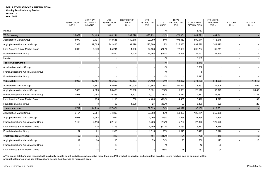**Year: 2019**

|                                      | <b>DISTRIBUTION</b><br>12/2019 | <b>MONTHLY</b><br>AVG PREV 3<br><b>MONTHS</b> | <b>YTD</b><br><b>DISTRIBUTION</b><br>2019 | <b>DISTRIBUTION</b><br><b>TARGET</b><br>2019 | <b>YTD</b><br><b>DISTRIBUTION</b><br>2018 | YTD %<br>CHANGE | <b>TOTAL</b><br><b>DISTRIBUTION</b><br>2018 | <b>CUMULATIVE</b><br><b>DISTRIBUTION</b> | <b>YTD USERS</b><br><b>REACHED</b><br>2019(a) | YTD CYP<br>2019 | <b>YTD DALY</b><br>2019 |
|--------------------------------------|--------------------------------|-----------------------------------------------|-------------------------------------------|----------------------------------------------|-------------------------------------------|-----------------|---------------------------------------------|------------------------------------------|-----------------------------------------------|-----------------|-------------------------|
| Inactive                             |                                |                                               |                                           |                                              |                                           | $-$ %           |                                             | 5,763                                    |                                               |                 |                         |
| <b>TB Screening</b>                  | 35,072                         | 34,405                                        | 464,241                                   | 202,098                                      | 478,931                                   | (3)%            | 478,931                                     | 2,644,521                                | 464,241                                       |                 |                         |
| <b>Acceleration Market Group</b>     | 8,077                          | 9,721                                         | 118,645                                   | 149,616                                      | 103,950                                   | 14%             | 103,950                                     | 599,044                                  | 118,645                                       |                 |                         |
| Anglophone Africa Market Group       | 17,982                         | 19,005                                        | 241,495                                   | 34,396                                       | 225,880                                   | 7%              | 225,880                                     | 1,692,520                                | 241,495                                       |                 |                         |
| Latin America & Asia Market Group    | 9,013                          | 5,679                                         | 65,241                                    | 4,086                                        | 72,433                                    | $(10)\%$        | 72,433                                      | 206,757                                  | 65,241                                        |                 |                         |
| Foundation Market Group              |                                |                                               | 38,860                                    | 14,000                                       | 76,668                                    | (49)%           | 76,668                                      | 139,061                                  | 38,860                                        |                 |                         |
| Inactive                             |                                |                                               |                                           |                                              |                                           | $-$ %           |                                             | 7,139                                    |                                               |                 |                         |
| <b>Toilets Constructed</b>           |                                |                                               |                                           |                                              |                                           | $-9/6$          |                                             | 16,479                                   |                                               |                 |                         |
| <b>Acceleration Market Group</b>     |                                |                                               |                                           |                                              |                                           | $-$ %           |                                             | 12,802                                   |                                               |                 |                         |
| Franco/Lusophone Africa Market Group |                                |                                               |                                           |                                              |                                           | $-$ %           |                                             |                                          |                                               |                 |                         |
| <b>Foundation Market Group</b>       |                                |                                               |                                           |                                              |                                           | $-9/6$          |                                             | 3,672                                    |                                               |                 |                         |
| <b>Toilets Sold</b>                  | 3,983                          | 12,481                                        | 105,669                                   | 98,457                                       | 64,462                                    | 64%             | 64,462                                      | 374,180                                  | 514,069                                       |                 | 14,812                  |
| <b>Acceleration Market Group</b>     |                                | 7,881                                         | 68,647                                    | 60,000                                       | 50,363                                    | 36%             | 50,363                                      | 314,891                                  | 329,506                                       |                 | 7,865                   |
| Anglophone Africa Market Group       | 2,028                          | 2,929                                         | 20,460                                    | 25,600                                       | 5,651                                     | 262%            | 5,651                                       | 26,110                                   | 93,379                                        |                 | 3,607                   |
| Franco/Lusophone Africa Market Group | 1,948                          | 1,493                                         | 15,356                                    | 8,107                                        | 4,017                                     | 282%            | 4,017                                       | 19,373                                   | 85,982                                        |                 | 3,281                   |
| Latin America & Asia Market Group    |                                | 175                                           | 1,113                                     | 750                                          | 4,405                                     | (75)%           | 4,405                                       | 7,416                                    | 4,675                                         |                 | 39                      |
| Foundation Market Group              | 6                              | 3                                             | 93                                        | 4,000                                        | 27                                        | 239%            | 27                                          | 6,390                                    | 529                                           |                 | 20                      |
| <b>Toilets Sold - All</b>            | 10,719                         | 14,218                                        | 127,071                                   |                                              | 69,029                                    | 84%             | 69,029                                      | 196,100                                  | 612,561                                       |                 |                         |
| <b>Acceleration Market Group</b>     | 6,161                          | 7,881                                         | 74,808                                    |                                              | 50,363                                    | 49%             | 50,363                                      | 125,171                                  | 359,078                                       |                 |                         |
| Anglophone Africa Market Group       | 2,028                          | 3,968                                         | 27,092                                    |                                              | 7,266                                     | 273%            | 7,266                                       | 34,358                                   | 117,254                                       |                 |                         |
| Franco/Lusophone Africa Market Group | 2,403                          | 2,113                                         | 22,150                                    |                                              | 5,726                                     | 287%            | 5,726                                       | 27,876                                   | 120,678                                       |                 |                         |
| Latin America & Asia Market Group    |                                | 175                                           | 1,113                                     |                                              | 4,159                                     | (73)%           | 4,159                                       | 5,272                                    | 4,675                                         |                 |                         |
| <b>Foundation Market Group</b>       | 127                            | 81                                            | 1,908                                     |                                              | 1,515                                     | 26%             | 1,515                                       | 3,423                                    | 10,876                                        |                 |                         |
| <b>Treatment for Cervicitis</b>      | 22                             | 35                                            | 316                                       |                                              | 101                                       | 213%            | 101                                         | 735                                      | 316                                           |                 | 15                      |
| Anglophone Africa Market Group       | 12                             | 20                                            | 193                                       |                                              | 73                                        | 164%            | 73                                          | 556                                      | 193                                           |                 | 15                      |
| Franco/Lusophone Africa Market Group | 5                              | -1                                            | 29                                        |                                              |                                           | $-$ %           |                                             | 42                                       | 29                                            |                 |                         |
| Latin America & Asia Market Group    | $5\overline{)}$                | 14                                            | 94                                        |                                              | 28                                        | 236%            | 28                                          | 137                                      | 94                                            |                 |                         |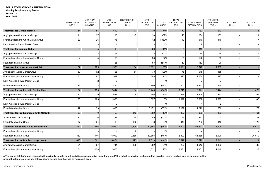| Year: 2019 |  |
|------------|--|
|            |  |

|                                                | <b>DISTRIBUTION</b><br>12/2019 | <b>MONTHLY</b><br>AVG PREV 3<br><b>MONTHS</b> | <b>YTD</b><br><b>DISTRIBUTION</b><br>2019 | <b>DISTRIBUTION</b><br><b>TARGET</b><br>2019 | <b>YTD</b><br><b>DISTRIBUTION</b><br>2018 | YTD <sub>%</sub><br><b>CHANGE</b> | <b>TOTAL</b><br><b>DISTRIBUTION</b><br>2018 | <b>CUMULATIVE</b><br><b>DISTRIBUTION</b> | <b>YTD USERS</b><br><b>REACHED</b><br>2019(a) | <b>YTD CYP</b><br>2019 | <b>YTD DALY</b><br>2019 |
|------------------------------------------------|--------------------------------|-----------------------------------------------|-------------------------------------------|----------------------------------------------|-------------------------------------------|-----------------------------------|---------------------------------------------|------------------------------------------|-----------------------------------------------|------------------------|-------------------------|
| <b>Treatment for Genital Herpes</b>            | 34                             | 54                                            | 612                                       | 17                                           | 70                                        | 774%                              | 70                                          | 783                                      | 612                                           |                        | 11                      |
| Anglophone Africa Market Group                 | 11                             | 27                                            | 135                                       | 17                                           | 28                                        | 382%                              | 28                                          | 234                                      | 135                                           |                        | 4                       |
| Franco/Lusophone Africa Market Group           | 23                             | 26                                            | 476                                       |                                              | 42                                        | 1,033%                            | 42                                          | 540                                      | 476                                           |                        | $\overline{7}$          |
| Latin America & Asia Market Group              |                                |                                               |                                           |                                              |                                           | $-$ %                             |                                             | ʻ.                                       |                                               |                        |                         |
| <b>Treatment for Inguinal Bubo</b>             | 6                              | 5                                             | 99                                        |                                              | 89                                        | 11%                               | 89                                          | 319                                      | 99                                            |                        |                         |
| Anglophone Africa Market Group                 |                                |                                               | 18                                        |                                              |                                           | 500%                              | 3                                           | 35                                       | 18                                            |                        |                         |
| Franco/Lusophone Africa Market Group           | $\overline{4}$                 | 4                                             | 55                                        |                                              | 33                                        | 67%                               | 33                                          | 122                                      | 55                                            |                        |                         |
| <b>Foundation Market Group</b>                 |                                | $\overline{\mathbf{1}}$                       | 26                                        |                                              | 53                                        | (51)%                             | 53                                          | 162                                      | 26                                            |                        |                         |
| <b>Treatment for Lower Abdominal Pain</b>      | 122                            | 189                                           | 1,963                                     | 54                                           | 1,571                                     | 25%                               | 1,571                                       | 5,340                                    | 1,963                                         |                        |                         |
| Anglophone Africa Market Group                 | 33                             | 62                                            | 465                                       | 54                                           | 78                                        | 496%                              | 78                                          | 678                                      | 465                                           |                        |                         |
| Franco/Lusophone Africa Market Group           | 54                             | 87                                            | 997                                       |                                              | 693                                       | 44%                               | 693                                         | 2,064                                    | 997                                           |                        |                         |
| Latin America & Asia Market Group              |                                | $\overline{2}$                                | $\overline{7}$                            |                                              |                                           | $-$ %                             |                                             | 7                                        | $\overline{7}$                                |                        |                         |
| <b>Foundation Market Group</b>                 | 35                             | 38                                            | 494                                       |                                              | 800                                       | (38)%                             | 800                                         | 2,591                                    | 494                                           |                        |                         |
| <b>Treatment for Nonherpetic Genital Ulcer</b> | 182                            | 195                                           | 2,444                                     | 94                                           | 6,745                                     | (64)%                             | 6,745                                       | 18,971                                   | 2,444                                         |                        | 425                     |
| Anglophone Africa Market Group                 | 40                             | 39                                            | 663                                       | 94                                           | 546                                       | 21%                               | 546                                         | 1,809                                    | 663                                           |                        | 205                     |
| Franco/Lusophone Africa Market Group           | 95                             | 103                                           | 1,093                                     |                                              | 1,027                                     | 6%                                | 1,027                                       | 2,882                                    | 1,093                                         |                        | 143                     |
| Latin America & Asia Market Group              |                                | $\overline{\mathbf{1}}$                       | $\overline{2}$                            |                                              |                                           | $-$ %                             |                                             |                                          | $\overline{2}$                                |                        |                         |
| <b>Foundation Market Group</b>                 | 47                             | 53                                            | 686                                       |                                              | 5,172                                     | (87)%                             | 5,172                                       | 14,276                                   | 686                                           |                        | 77                      |
| Treatment for Pre-Eclampsia (with MgSO4)       | 108                            | 40                                            | 453                                       | 413                                          | 392                                       | 16%                               | 392                                         | 966                                      | 453                                           |                        | 1,461                   |
| <b>Acceleration Market Group</b>               | 21                             | 6                                             | 43                                        | 60                                           | 49                                        | (12)%                             | 49                                          | 213                                      | 43                                            |                        | 38                      |
| Foundation Market Group                        | 87                             | 34                                            | 410                                       | 353                                          | 343                                       | 20%                               | 343                                         | 753                                      | 410                                           |                        | 1,423                   |
| <b>Treatment for Severe Acute Malnutrition</b> | 362                            | 746                                           | 6,999                                     | 9,896                                        | 12,893                                    | (46)%                             | 12,893                                      | 61,542                                   | 6,999                                         |                        | 26,679                  |
| Franco/Lusophone Africa Market Group           |                                |                                               |                                           | 8                                            |                                           | $-$ %                             |                                             |                                          |                                               |                        |                         |
| <b>Foundation Market Group</b>                 | 362                            | 746                                           | 6,999                                     | 9,888                                        | 12,893                                    | (46)%                             | 12,893                                      | 61,538                                   | 6,999                                         |                        | 26,679                  |
| <b>Treatment for Urethral Discharge (Men)</b>  | 613                            | 501                                           | 6,451                                     | 195                                          | 7,519                                     | (14)%                             | 7,519                                       | 23,526                                   | 12,643                                        |                        | 124                     |
| Anglophone Africa Market Group                 | 61                             | 67                                            | 741                                       | 195                                          | 292                                       | 154%                              | 292                                         | 1,643                                    | 1,363                                         |                        | 80                      |
| Franco/Lusophone Africa Market Group           | 151                            | 158                                           | 2,005                                     |                                              | 1,631                                     | 23%                               | 1,631                                       | 4,961                                    | 4,010                                         |                        | 23                      |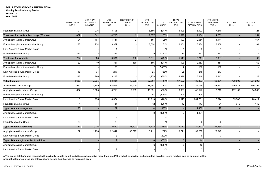|                                                 | <b>DISTRIBUTION</b><br>12/2019 | <b>MONTHLY</b><br>AVG PREV 3<br><b>MONTHS</b> | <b>YTD</b><br><b>DISTRIBUTION</b><br>2019 | <b>DISTRIBUTION</b><br><b>TARGET</b><br>2019 | <b>YTD</b><br><b>DISTRIBUTION</b><br>2018 | YTD %<br>CHANGE | <b>TOTAL</b><br><b>DISTRIBUTION</b><br>2018 | <b>CUMULATIVE</b><br><b>DISTRIBUTION</b> | <b>YTD USERS</b><br><b>REACHED</b><br>2019(a) | <b>YTD CYP</b><br>2019 | <b>YTD DALY</b><br>2019 |
|-------------------------------------------------|--------------------------------|-----------------------------------------------|-------------------------------------------|----------------------------------------------|-------------------------------------------|-----------------|---------------------------------------------|------------------------------------------|-----------------------------------------------|------------------------|-------------------------|
| <b>Foundation Market Group</b>                  | 401                            | 276                                           | 3,705                                     |                                              | 5,596                                     | (34)%           | 5,596                                       | 16,922                                   | 7,270                                         |                        | 21                      |
| <b>Treatment for Urethral Discharge (Women)</b> | 669                            | 341                                           | 4,783                                     | $\overline{2}$                               | 2,577                                     | 86%             | 2,577                                       | 9,854                                    | 4,783                                         |                        | 251                     |
| Anglophone Africa Market Group                  | 104                            | 107                                           | 1,141                                     | $\overline{2}$                               | 507                                       | 125%            | 507                                         | 2,664                                    | 1,141                                         |                        | 167                     |
| Franco/Lusophone Africa Market Group            | 283                            | 234                                           | 3,359                                     |                                              | 2,054                                     | 64%             | 2,054                                       | 6,884                                    | 3,359                                         |                        | 84                      |
| Latin America & Asia Market Group               |                                |                                               |                                           |                                              |                                           | $-$ %           | $\mathbf{1}$                                | g                                        |                                               |                        |                         |
| <b>Foundation Market Group</b>                  | 282                            |                                               | 282                                       |                                              | 15                                        | 1,780%          | 15                                          | 297                                      | 282                                           |                        |                         |
| <b>Treatment for Vaginitis</b>                  | 252                            | 308                                           | 3,931                                     | 380                                          | 5,511                                     | (29)%           | 5,511                                       | 18,211                                   | 3,931                                         |                        | 90                      |
| Anglophone Africa Market Group                  | 22                             | 10                                            | 351                                       | 380                                          | 506                                       | (31)%           | 506                                         | 2,563                                    | 351                                           |                        | 62                      |
| Franco/Lusophone Africa Market Group            |                                |                                               | 150                                       |                                              | 2                                         | 7,400%          | $\overline{2}$                              | 157                                      | 150                                           |                        |                         |
| Latin America & Asia Market Group               | 18                             | 31                                            | 217                                       |                                              | 25                                        | 768%            | 25                                          | 245                                      | 217                                           |                        |                         |
| Foundation Market Group                         | 212                            | 266                                           | 3,213                                     |                                              | 4,978                                     | (35)%           | 4,978                                       | 15,246                                   | 3,213                                         |                        | 28                      |
| <b>Tubal Ligation</b>                           | 8,635                          | 7,235                                         | 63,831                                    | 42,589                                       | 67,507                                    | (5)%            | 67,507                                      | 435,387                                  | 63,831                                        | 769,998                | 261,292                 |
| Acceleration Market Group                       | 7,964                          | 4,709                                         | 44,513                                    | 25,000                                       | 38,957                                    | 14%             | 38,957                                      | 126,728                                  | 44,513                                        | 576,818                | 156,356                 |
| Anglophone Africa Market Group                  | 667                            | 1,525                                         | 10,713                                    | 17,589                                       | 16,391                                    | (35)%           | 16,391                                      | 46,527                                   | 10,713                                        | 107,130                | 84,383                  |
| Franco/Lusophone Africa Market Group            |                                |                                               |                                           |                                              | 204                                       | $(100)\%$       | 204                                         | 204                                      |                                               |                        |                         |
| Latin America & Asia Market Group               | 3                              | 996                                           | 8,574                                     |                                              | 11,913                                    | (28)%           | 11,913                                      | 261,781                                  | 8,574                                         | 85,740                 | 20,411                  |
| <b>Foundation Market Group</b>                  |                                | 4                                             | 31                                        |                                              | 42                                        | $(26)\%$        | 42                                          | 147                                      | 31                                            | 310                    | 142                     |
| <b>Type 2 Diabetes Diagnosis</b>                | 26                             |                                               | 27                                        |                                              | $\overline{4}$                            | 575%            | $\overline{4}$                              | 1,462                                    | 27                                            |                        |                         |
| Anglophone Africa Market Group                  |                                |                                               |                                           |                                              | 3                                         | $(100)$ %       | 3                                           | 1,434                                    |                                               |                        |                         |
| Latin America & Asia Market Group               |                                |                                               |                                           |                                              |                                           | $-$ %           | $\overline{1}$                              | 2                                        |                                               |                        |                         |
| <b>Foundation Market Group</b>                  | 26                             |                                               | 26                                        |                                              |                                           | $-$ %           |                                             | 26                                       | 26                                            |                        |                         |
| <b>Type 2 Diabetes Screening</b>                | 87                             | 1,236                                         | 22,650                                    | 33,797                                       | 6,712                                     | 237%            | 6,712                                       | 39,243                                   | 22,650                                        |                        |                         |
| Anglophone Africa Market Group                  | 87                             | 1,236                                         | 22,647                                    | 33,797                                       | 6,711                                     | 237%            | 6,711                                       | 39,237                                   | 22,647                                        |                        |                         |
| Latin America & Asia Market Group               |                                |                                               | 3                                         |                                              |                                           | 200%            | $\mathbf{1}$                                | 6                                        | 3                                             |                        |                         |
| Type 2 Diabetes_Controlled Condition            |                                |                                               | $\overline{2}$                            |                                              | 6                                         | (67)%           | $6\phantom{1}$                              | 14                                       |                                               |                        |                         |
| Anglophone Africa Market Group                  |                                |                                               |                                           |                                              | 6                                         | $(100)$ %       | 6                                           | 12                                       |                                               |                        |                         |
| Latin America & Asia Market Group               |                                |                                               | $\overline{c}$                            |                                              |                                           | $-$ %           |                                             | $\overline{2}$                           |                                               |                        |                         |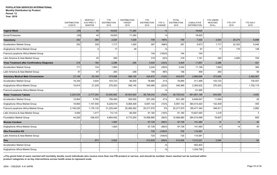**Year: 2019**

|                                                     | <b>DISTRIBUTION</b><br>12/2019 | <b>MONTHLY</b><br>AVG PREV 3<br><b>MONTHS</b> | <b>YTD</b><br><b>DISTRIBUTION</b><br>2019 | <b>DISTRIBUTION</b><br><b>TARGET</b><br>2019 | <b>YTD</b><br><b>DISTRIBUTION</b><br>2018 | YTD %<br>CHANGE | <b>TOTAL</b><br><b>DISTRIBUTION</b><br>2018 | <b>CUMULATIVE</b><br><b>DISTRIBUTION</b> | <b>YTD USERS</b><br><b>REACHED</b><br>2019(a) | <b>YTD CYP</b><br>2019 | <b>YTD DALY</b><br>2019 |
|-----------------------------------------------------|--------------------------------|-----------------------------------------------|-------------------------------------------|----------------------------------------------|-------------------------------------------|-----------------|---------------------------------------------|------------------------------------------|-----------------------------------------------|------------------------|-------------------------|
| <b>Vaginal Wash</b>                                 | (39)                           | 45                                            | 18,625                                    | 71,280                                       |                                           | $-$ %           |                                             | 18,625                                   |                                               |                        |                         |
| Social Enterprise                                   | (39)                           | 45                                            | 18,625                                    | 71,280                                       |                                           | $-$ %           |                                             | 18,625                                   |                                               |                        |                         |
| Vasectomy                                           | 252                            | 368                                           | 2,024                                     | 1,029                                        | 709                                       | 185%            | 709                                         | 7,025                                    | 2,024                                         | 25,373                 | 6,898                   |
| Acceleration Market Group                           | 252                            | 338                                           | 1,717                                     | 1,000                                        | 287                                       | 498%            | 287                                         | 5,673                                    | 1,717                                         | 22,303                 | 6,046                   |
| Anglophone Africa Market Group                      |                                | 4                                             | 17                                        | 29                                           |                                           | $-$ %           |                                             | 57                                       | 17                                            | 170                    | 148                     |
| Franco/Lusophone Africa Market Group                |                                |                                               |                                           |                                              | 104                                       | $(100)\%$       | 104                                         | 104                                      |                                               |                        |                         |
| Latin America & Asia Market Group                   |                                | 25                                            | 290                                       |                                              | 318                                       | (9)%            | 318                                         | 1,191                                    | 290                                           | 2,900                  | 704                     |
| <b>Vivax Treatment after Confirmatory Diagnosis</b> | 218                            | 180                                           | 2,286                                     | 248                                          | 3,400                                     | (33)%           | 3,400                                       | 11,657                                   | 2,286                                         |                        | 421                     |
| <b>Acceleration Market Group</b>                    | 171                            | 134                                           | 1,993                                     |                                              | 3,244                                     | (39)%           | 3,244                                       | 11,199                                   | 1,993                                         |                        | 365                     |
| Latin America & Asia Market Group                   | 47                             | 47                                            | 293                                       | 248                                          | 156                                       | 88%             | 156                                         | 458                                      | 293                                           |                        | 55                      |
| <b>Voluntary Medical Male Circumcision</b>          | 27,148                         | 25,169                                        | 373,926                                   | 396,145                                      | 424,870                                   | (12)%           | 424,870                                     | 2,866,695                                | 373,926                                       |                        | 2,482,667               |
| <b>Acceleration Market Group</b>                    | 16,334                         | 3,934                                         | 103,723                                   | 90,000                                       | 78,885                                    | 31%             | 78,885                                      | 411,498                                  | 103,723                                       |                        | 730,557                 |
| Anglophone Africa Market Group                      | 10,814                         | 21,235                                        | 270,203                                   | 306,145                                      | 345,985                                   | (22)%           | 345,985                                     | 2,393,932                                | 270,203                                       |                        | 1,752,110               |
| Franco/Lusophone Africa Market Group                |                                |                                               |                                           |                                              |                                           | $-$ %           |                                             | 61,265                                   |                                               |                        |                         |
| <b>Water Treatment Tablets</b>                      | 2,224,020                      | 2,777,283                                     | 33,092,882                                | 35,643,920                                   | 38,726,042                                | (15)%           | 38,726,042                                  | 851,881,198                              | 543,993                                       |                        | 3,920                   |
| Acceleration Market Group                           | 10,800                         | 5,760                                         | 708,480                                   | 300,000                                      | 501,290                                   | 41%             | 501,290                                     | 6,648,847                                | 11,646                                        |                        | 29                      |
| Anglophone Africa Market Group                      | 16,800                         | 1,157,540                                     | 6,229,910                                 | 8,068,408                                    | 6,957,142                                 | $(10)\%$        | 6,957,142                                   | 364,414,420                              | 102,409                                       |                        | 405                     |
| Franco/Lusophone Africa Market Group                | 2,148,220                      | 1,176,133                                     | 21,225,440                                | 20,485,262                                   | 20,217,570                                | 5%              | 20,217,570                                  | 185,471,340                              | 348,911                                       |                        | 2,882                   |
| Latin America & Asia Market Group                   | 4,000                          | 1,417                                         | 74,110                                    | 80,000                                       | 91,160                                    | (19)%           | 91,160                                      | 10,827,093                               | 1,218                                         |                        | 3                       |
| Foundation Market Group                             | 44,200                         | 436,433                                       | 4,854,942                                 | 6,710,250                                    | 10,958,880                                | (56)%           | 10,958,880                                  | 284,519,498                              | 79,807                                        |                        | 600                     |
| Woman Condom                                        |                                |                                               | 1,920                                     |                                              | 97,728                                    | (98)%           | 97,728                                      | 141,480                                  | 14                                            | 14                     | 40                      |
| Anglophone Africa Market Group                      |                                |                                               | 1,920                                     |                                              | 97,728                                    | (98)%           | 97,728                                      | 141,480                                  | 14                                            | 14                     | 40                      |
| <b>Zika Prevention Kit</b>                          |                                |                                               |                                           |                                              | 725                                       | (100)%          | 725                                         | 114,581                                  |                                               |                        |                         |
| Latin America & Asia Market Group                   |                                |                                               |                                           |                                              | 725                                       | (100)%          | 725                                         | 114,581                                  |                                               |                        |                         |
| Zinc                                                |                                | 873                                           | 2,822                                     |                                              | 512,836                                   | (99)%           | 512,836                                     | 7,212,221                                | 2,540                                         |                        | 62                      |
| <b>Acceleration Market Group</b>                    |                                |                                               |                                           |                                              |                                           | $-$ %           |                                             | 953,402                                  |                                               |                        |                         |
| Anglophone Africa Market Group                      |                                |                                               |                                           |                                              |                                           | $-$ %           |                                             | 1,034,758                                |                                               |                        |                         |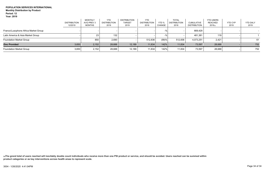|                                      | <b>DISTRIBUTION</b><br>12/2019 | <b>MONTHLY</b><br>AVG PREV 3<br>MONTHS | <b>YTD</b><br><b>DISTRIBUTION</b><br>2019 | <b>DISTRIBUTION</b><br><b>TARGET</b><br>2019 | <b>YTD</b><br><b>DISTRIBUTION</b><br>2018 | YTD %<br><b>CHANGE</b> | <b>TOTAL</b><br><b>DISTRIBUTION</b><br>2018 | <b>CUMULATIVE</b><br><b>DISTRIBUTION</b> | <b>YTD USERS</b><br><b>REACHED</b><br>2019(a) | <b>YTD CYP</b><br>2019 | <b>YTD DALY</b><br>2019 |
|--------------------------------------|--------------------------------|----------------------------------------|-------------------------------------------|----------------------------------------------|-------------------------------------------|------------------------|---------------------------------------------|------------------------------------------|-----------------------------------------------|------------------------|-------------------------|
| Franco/Lusophone Africa Market Group |                                |                                        |                                           |                                              |                                           |                        |                                             | 669,429                                  |                                               |                        |                         |
| Latin America & Asia Market Group    |                                | 23                                     | 132                                       |                                              |                                           |                        |                                             | 481.381                                  | 119                                           |                        |                         |
| <b>Foundation Market Group</b>       |                                | 850                                    | 2,690                                     |                                              | 512,836                                   | (99)%                  | 512.836                                     | 4.073.251                                | 2,421                                         |                        | 61                      |
| <b>Zinc Provided</b>                 | 3,650                          | 2,152                                  | 28,688                                    | 12,189                                       | 11,834                                    | 142%                   | 11,834                                      | 73,597                                   | 28,688                                        |                        | 752                     |
| <b>Foundation Market Group</b>       | 3,650                          | 2,152                                  | 28,688                                    | 12,189                                       | 11,834                                    | 142%                   | 11,834                                      | 73,597                                   | 28,688                                        |                        | 752                     |